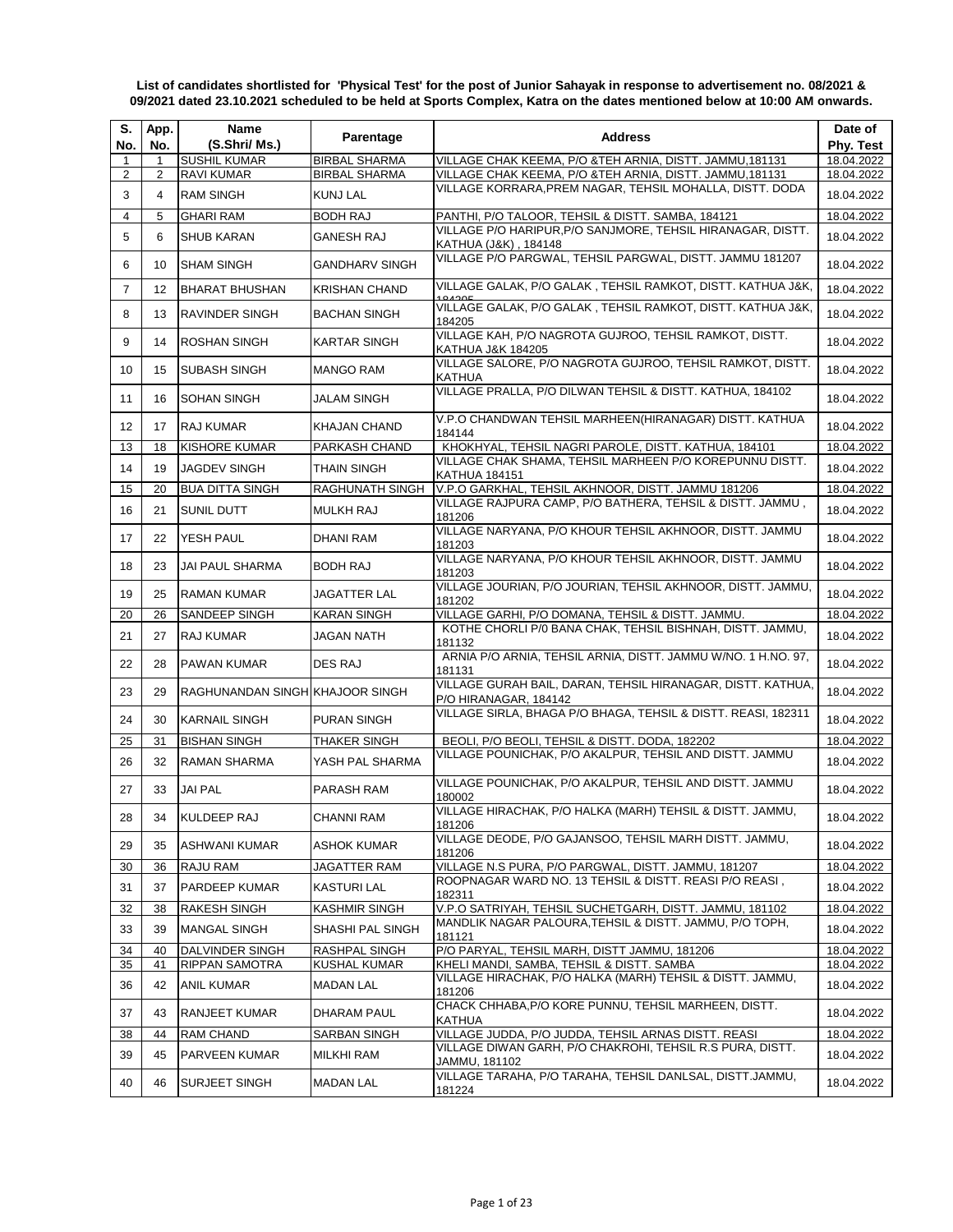**List of candidates shortlisted for 'Physical Test' for the post of Junior Sahayak in response to advertisement no. 08/2021 & 09/2021 dated 23.10.2021 scheduled to be held at Sports Complex, Katra on the dates mentioned below at 10:00 AM onwards.**

| S.<br>No.      | App.<br>No. | <b>Name</b><br>(S.Shri/ Ms.)    | Parentage             | <b>Address</b>                                                                                                  | Date of<br>Phy. Test |
|----------------|-------------|---------------------------------|-----------------------|-----------------------------------------------------------------------------------------------------------------|----------------------|
| 1              | 1           | <b>SUSHIL KUMAR</b>             | <b>BIRBAL SHARMA</b>  | VILLAGE CHAK KEEMA, P/O &TEH ARNIA, DISTT. JAMMU,181131                                                         | 18.04.2022           |
| $\overline{2}$ | 2           | <b>RAVI KUMAR</b>               | BIRBAL SHARMA         | VILLAGE CHAK KEEMA, P/O &TEH ARNIA, DISTT. JAMMU,181131                                                         | 18.04.2022           |
| 3              | 4           | <b>RAM SINGH</b>                | KUNJ LAL              | VILLAGE KORRARA, PREM NAGAR, TEHSIL MOHALLA, DISTT. DODA                                                        | 18.04.2022           |
| $\overline{4}$ | 5           | <b>GHARI RAM</b>                | <b>BODH RAJ</b>       | PANTHI, P/O TALOOR, TEHSIL & DISTT. SAMBA, 184121                                                               | 18.04.2022           |
| 5              | 6           | <b>SHUB KARAN</b>               | <b>GANESH RAJ</b>     | VILLAGE P/O HARIPUR, P/O SANJMORE, TEHSIL HIRANAGAR, DISTT.<br>KATHUA (J&K), 184148                             | 18.04.2022           |
| 6              | 10          | <b>SHAM SINGH</b>               | <b>GANDHARV SINGH</b> | VILLAGE P/O PARGWAL, TEHSIL PARGWAL, DISTT. JAMMU 181207                                                        | 18.04.2022           |
| 7              | 12          | <b>BHARAT BHUSHAN</b>           | <b>KRISHAN CHAND</b>  | VILLAGE GALAK, P/O GALAK, TEHSIL RAMKOT, DISTT. KATHUA J&K,                                                     | 18.04.2022           |
| 8              | 13          | RAVINDER SINGH                  | <b>BACHAN SINGH</b>   | VILLAGE GALAK, P/O GALAK, TEHSIL RAMKOT, DISTT. KATHUA J&K,<br>184205                                           | 18.04.2022           |
| 9              | 14          | <b>ROSHAN SINGH</b>             | <b>KARTAR SINGH</b>   | VILLAGE KAH, P/O NAGROTA GUJROO, TEHSIL RAMKOT, DISTT.<br>KATHUA J&K 184205                                     | 18.04.2022           |
| 10             | 15          | <b>SUBASH SINGH</b>             | <b>MANGO RAM</b>      | VILLAGE SALORE, P/O NAGROTA GUJROO, TEHSIL RAMKOT, DISTT.<br>KATHUA                                             | 18.04.2022           |
| 11             | 16          | <b>SOHAN SINGH</b>              | JALAM SINGH           | VILLAGE PRALLA, P/O DILWAN TEHSIL & DISTT. KATHUA, 184102                                                       | 18.04.2022           |
| 12             | 17          | <b>RAJ KUMAR</b>                | <b>KHAJAN CHAND</b>   | V.P.O CHANDWAN TEHSIL MARHEEN(HIRANAGAR) DISTT. KATHUA<br>184144                                                | 18.04.2022           |
| 13             | 18          | KISHORE KUMAR                   | PARKASH CHAND         | KHOKHYAL, TEHSIL NAGRI PAROLE, DISTT. KATHUA, 184101<br>VILLAGE CHAK SHAMA. TEHSIL MARHEEN P/O KOREPUNNU DISTT. | 18.04.2022           |
| 14             | 19          | <b>JAGDEV SINGH</b>             | <b>THAIN SINGH</b>    | <b>KATHUA 184151</b>                                                                                            | 18.04.2022           |
| 15             | 20          | <b>BUA DITTA SINGH</b>          | RAGHUNATH SINGH       | V.P.O GARKHAL, TEHSIL AKHNOOR, DISTT. JAMMU 181206                                                              | 18.04.2022           |
| 16             | 21          | SUNIL DUTT                      | <b>MULKH RAJ</b>      | VILLAGE RAJPURA CAMP, P/O BATHERA, TEHSIL & DISTT. JAMMU,<br>181206                                             | 18.04.2022           |
| 17             | 22          | YESH PAUL                       | DHANI RAM             | VILLAGE NARYANA, P/O KHOUR TEHSIL AKHNOOR, DISTT. JAMMU<br>181203                                               | 18.04.2022           |
| 18             | 23          | JAI PAUL SHARMA                 | <b>BODH RAJ</b>       | VILLAGE NARYANA, P/O KHOUR TEHSIL AKHNOOR, DISTT. JAMMU<br>181203                                               | 18.04.2022           |
| 19             | 25          | RAMAN KUMAR                     | JAGATTER LAL          | VILLAGE JOURIAN, P/O JOURIAN, TEHSIL AKHNOOR, DISTT. JAMMU,<br>181202                                           | 18.04.2022           |
| 20             | 26          | SANDEEP SINGH                   | <b>KARAN SINGH</b>    | VILLAGE GARHI, P/O DOMANA, TEHSIL & DISTT. JAMMU.                                                               | 18.04.2022           |
| 21             | 27          | RAJ KUMAR                       | JAGAN NATH            | KOTHE CHORLI P/0 BANA CHAK, TEHSIL BISHNAH, DISTT. JAMMU,<br>181132                                             | 18.04.2022           |
| 22             | 28          | PAWAN KUMAR                     | <b>DES RAJ</b>        | ARNIA P/O ARNIA, TEHSIL ARNIA, DISTT. JAMMU W/NO. 1 H.NO. 97,<br>181131                                         | 18.04.2022           |
| 23             | 29          | RAGHUNANDAN SINGH KHAJOOR SINGH |                       | VILLAGE GURAH BAIL, DARAN, TEHSIL HIRANAGAR, DISTT. KATHUA,<br>P/O HIRANAGAR, 184142                            | 18.04.2022           |
| 24             | 30          | <b>KARNAIL SINGH</b>            | PURAN SINGH           | VILLAGE SIRLA, BHAGA P/O BHAGA, TEHSIL & DISTT. REASI, 182311                                                   | 18.04.2022           |
| 25             | 31          | <b>BISHAN SINGH</b>             | THAKER SINGH          | BEOLI, P/O BEOLI, TEHSIL & DISTT. DODA, 182202                                                                  | 18.04.2022           |
| 26             | 32          | <b>RAMAN SHARMA</b>             | YASH PAL SHARMA       | VILLAGE POUNICHAK, P/O AKALPUR, TEHSIL AND DISTT. JAMMU                                                         | 18.04.2022           |
| 27             | 33          | <b>JAI PAL</b>                  | PARASH RAM            | VILLAGE POUNICHAK, P/O AKALPUR, TEHSIL AND DISTT. JAMMU<br>180002                                               | 18.04.2022           |
| 28             | 34          | KULDEEP RAJ                     | <b>CHANNI RAM</b>     | VILLAGE HIRACHAK, P/O HALKA (MARH) TEHSIL & DISTT. JAMMU,<br>181206                                             | 18.04.2022           |
| 29             | 35          | ASHWANI KUMAR                   | <b>ASHOK KUMAR</b>    | VILLAGE DEODE, P/O GAJANSOO, TEHSIL MARH DISTT. JAMMU,<br>181206                                                | 18.04.2022           |
| 30             | 36          | RAJU RAM                        | <b>JAGATTER RAM</b>   | VILLAGE N.S PURA, P/O PARGWAL, DISTT. JAMMU, 181207                                                             | 18.04.2022           |
| 31             | 37          | PARDEEP KUMAR                   | KASTURI LAL           | ROOPNAGAR WARD NO. 13 TEHSIL & DISTT. REASI P/O REASI,<br>182311                                                | 18.04.2022           |
| 32             | 38          | <b>RAKESH SINGH</b>             | <b>KASHMIR SINGH</b>  | V.P.O SATRIYAH, TEHSIL SUCHETGARH, DISTT. JAMMU, 181102                                                         | 18.04.2022           |
| 33             | 39          | MANGAL SINGH                    | SHASHI PAL SINGH      | MANDLIK NAGAR PALOURA, TEHSIL & DISTT. JAMMU, P/O TOPH,<br>181121                                               | 18.04.2022           |
| 34             | 40          | DALVINDER SINGH                 | RASHPAL SINGH         | P/O PARYAL, TEHSIL MARH, DISTT JAMMU, 181206                                                                    | 18.04.2022           |
| 35             | 41          | <b>RIPPAN SAMOTRA</b>           | KUSHAL KUMAR          | KHELI MANDI, SAMBA, TEHSIL & DISTT. SAMBA<br>VILLAGE HIRACHAK, P/O HALKA (MARH) TEHSIL & DISTT. JAMMU,          | 18.04.2022           |
| 36             | 42          | ANIL KUMAR                      | <b>MADAN LAL</b>      | 181206<br>CHACK CHHABA, P/O KORE PUNNU, TEHSIL MARHEEN, DISTT.                                                  | 18.04.2022           |
| 37             | 43          | RANJEET KUMAR                   | DHARAM PAUL           | KATHUA                                                                                                          | 18.04.2022           |
| 38             | 44          | RAM CHAND                       | <b>SARBAN SINGH</b>   | VILLAGE JUDDA, P/O JUDDA, TEHSIL ARNAS DISTT. REASI                                                             | 18.04.2022           |
| 39             | 45          | PARVEEN KUMAR                   | <b>MILKHI RAM</b>     | VILLAGE DIWAN GARH, P/O CHAKROHI, TEHSIL R.S PURA, DISTT.<br>JAMMU, 181102                                      | 18.04.2022           |
| 40             | 46          | SURJEET SINGH                   | <b>MADAN LAL</b>      | VILLAGE TARAHA, P/O TARAHA, TEHSIL DANLSAL, DISTT.JAMMU,<br>181224                                              | 18.04.2022           |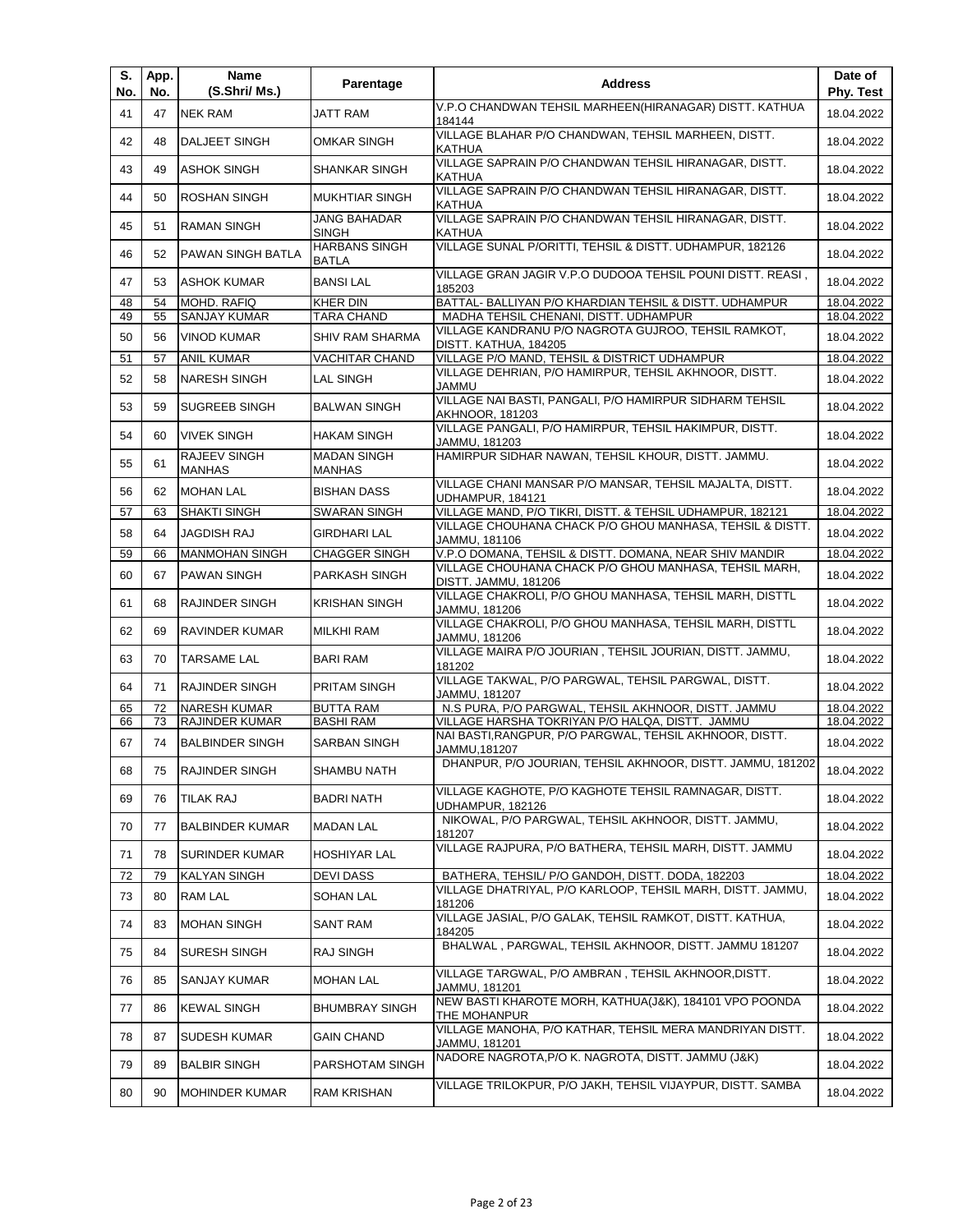| S.<br>No. | App.<br>No. | Name<br>(S.Shri/ Ms.)                           | Parentage                               | <b>Address</b>                                                                                             | Date of<br>Phy. Test     |
|-----------|-------------|-------------------------------------------------|-----------------------------------------|------------------------------------------------------------------------------------------------------------|--------------------------|
| 41        | 47          | <b>NEK RAM</b>                                  | <b>JATT RAM</b>                         | V.P.O CHANDWAN TEHSIL MARHEEN(HIRANAGAR) DISTT. KATHUA<br>184144                                           | 18.04.2022               |
| 42        | 48          | DALJEET SINGH                                   | <b>OMKAR SINGH</b>                      | VILLAGE BLAHAR P/O CHANDWAN, TEHSIL MARHEEN, DISTT.<br>KATHUA                                              | 18.04.2022               |
| 43        | 49          | <b>ASHOK SINGH</b>                              | SHANKAR SINGH                           | VILLAGE SAPRAIN P/O CHANDWAN TEHSIL HIRANAGAR, DISTT.<br><b>KATHUA</b>                                     | 18.04.2022               |
| 44        | 50          | <b>ROSHAN SINGH</b>                             | <b>MUKHTIAR SINGH</b>                   | VILLAGE SAPRAIN P/O CHANDWAN TEHSIL HIRANAGAR, DISTT.<br>KATHUA                                            | 18.04.2022               |
| 45        | 51          | <b>RAMAN SINGH</b>                              | <b>JANG BAHADAR</b><br><b>SINGH</b>     | VILLAGE SAPRAIN P/O CHANDWAN TEHSIL HIRANAGAR, DISTT.<br><b>KATHUA</b>                                     | 18.04.2022               |
| 46        | 52          | PAWAN SINGH BATLA                               | <b>HARBANS SINGH</b><br><b>BATLA</b>    | VILLAGE SUNAL P/ORITTI, TEHSIL & DISTT. UDHAMPUR, 182126                                                   | 18.04.2022               |
| 47        | 53          | <b>ASHOK KUMAR</b>                              | <b>BANSILAL</b>                         | VILLAGE GRAN JAGIR V.P.O DUDOOA TEHSIL POUNI DISTT. REASI,<br>185203                                       | 18.04.2022               |
| 48        | 54          | MOHD. RAFIQ                                     | <b>KHER DIN</b>                         | BATTAL- BALLIYAN P/O KHARDIAN TEHSIL & DISTT. UDHAMPUR                                                     | 18.04.2022               |
| 49        | 55          | SANJAY KUMAR                                    | <b>TARA CHAND</b>                       | MADHA TEHSIL CHENANI, DISTT. UDHAMPUR                                                                      | 18.04.2022               |
| 50        | 56          | <b>VINOD KUMAR</b>                              | <b>SHIV RAM SHARMA</b>                  | VILLAGE KANDRANU P/O NAGROTA GUJROO, TEHSIL RAMKOT,<br>DISTT. KATHUA, 184205                               | 18.04.2022               |
| 51        | 57          | <b>ANIL KUMAR</b>                               | VACHITAR CHAND                          | VILLAGE P/O MAND, TEHSIL & DISTRICT UDHAMPUR                                                               | 18.04.2022               |
| 52        | 58          | <b>NARESH SINGH</b>                             | <b>LAL SINGH</b>                        | VILLAGE DEHRIAN, P/O HAMIRPUR, TEHSIL AKHNOOR, DISTT.<br><b>JAMMU</b>                                      | 18.04.2022               |
| 53        | 59          | <b>SUGREEB SINGH</b>                            | <b>BALWAN SINGH</b>                     | VILLAGE NAI BASTI, PANGALI, P/O HAMIRPUR SIDHARM TEHSIL<br><b>AKHNOOR, 181203</b>                          | 18.04.2022               |
| 54        | 60          | <b>VIVEK SINGH</b>                              | <b>HAKAM SINGH</b>                      | VILLAGE PANGALI, P/O HAMIRPUR, TEHSIL HAKIMPUR, DISTT.<br>JAMMU, 181203                                    | 18.04.2022               |
| 55        | 61          | RAJEEV SINGH<br><b>MANHAS</b>                   | <b>MADAN SINGH</b><br><b>MANHAS</b>     | HAMIRPUR SIDHAR NAWAN, TEHSIL KHOUR, DISTT. JAMMU.                                                         | 18.04.2022               |
| 56        | 62          | <b>MOHAN LAL</b>                                | <b>BISHAN DASS</b>                      | VILLAGE CHANI MANSAR P/O MANSAR, TEHSIL MAJALTA, DISTT.<br>UDHAMPUR, 184121                                | 18.04.2022               |
| 57        | 63          | <b>SHAKTI SINGH</b>                             | <b>SWARAN SINGH</b>                     | VILLAGE MAND, P/O TIKRI, DISTT. & TEHSIL UDHAMPUR, 182121                                                  | 18.04.2022               |
| 58        | 64          | <b>JAGDISH RAJ</b>                              | <b>GIRDHARI LAL</b>                     | VILLAGE CHOUHANA CHACK P/O GHOU MANHASA, TEHSIL & DISTT.<br>JAMMU, 181106                                  | 18.04.2022               |
| 59        | 66          | <b>MANMOHAN SINGH</b>                           | <b>CHAGGER SINGH</b>                    | V.P.O DOMANA, TEHSIL & DISTT. DOMANA, NEAR SHIV MANDIR                                                     | 18.04.2022               |
| 60        | 67          | <b>PAWAN SINGH</b>                              | PARKASH SINGH                           | VILLAGE CHOUHANA CHACK P/O GHOU MANHASA, TEHSIL MARH,<br>DISTT. JAMMU, 181206                              | 18.04.2022               |
| 61        | 68          | RAJINDER SINGH                                  | <b>KRISHAN SINGH</b>                    | VILLAGE CHAKROLI, P/O GHOU MANHASA, TEHSIL MARH, DISTTL<br>JAMMU, 181206                                   | 18.04.2022               |
| 62        | 69          | RAVINDER KUMAR                                  | MILKHI RAM                              | VILLAGE CHAKROLI, P/O GHOU MANHASA, TEHSIL MARH, DISTTL<br>JAMMU, 181206                                   | 18.04.2022               |
| 63        | 70          | <b>TARSAME LAL</b>                              | <b>BARI RAM</b>                         | VILLAGE MAIRA P/O JOURIAN, TEHSIL JOURIAN, DISTT. JAMMU,<br>181202                                         | 18.04.2022               |
| 64        | 71          | <b>RAJINDER SINGH</b>                           | PRITAM SINGH                            | VILLAGE TAKWAL, P/O PARGWAL, TEHSIL PARGWAL, DISTT.<br>JAMMU, 181207                                       | 18.04.2022               |
| 65        | 72          | <b>NARESH KUMAR</b>                             | <b>BUTTA RAM</b>                        | N.S PURA, P/O PARGWAL, TEHSIL AKHNOOR, DISTT. JAMMU                                                        | 18.04.2022               |
| 66<br>67  | 73<br>74    | <b>RAJINDER KUMAR</b><br><b>BALBINDER SINGH</b> | <b>BASHI RAM</b><br><b>SARBAN SINGH</b> | VILLAGE HARSHA TOKRIYAN P/O HALQA, DISTT. JAMMU<br>NAI BASTI, RANGPUR, P/O PARGWAL, TEHSIL AKHNOOR, DISTT. | 18.04.2022<br>18.04.2022 |
| 68        | 75          | RAJINDER SINGH                                  | SHAMBU NATH                             | JAMMU,181207<br>DHANPUR, P/O JOURIAN, TEHSIL AKHNOOR, DISTT. JAMMU, 181202                                 | 18.04.2022               |
| 69        | 76          | TILAK RAJ                                       | <b>BADRI NATH</b>                       | VILLAGE KAGHOTE, P/O KAGHOTE TEHSIL RAMNAGAR, DISTT.                                                       | 18.04.2022               |
| 70        | 77          | <b>BALBINDER KUMAR</b>                          | <b>MADAN LAL</b>                        | UDHAMPUR, 182126<br>NIKOWAL, P/O PARGWAL, TEHSIL AKHNOOR, DISTT. JAMMU,                                    | 18.04.2022               |
| 71        | 78          | <b>SURINDER KUMAR</b>                           | <b>HOSHIYAR LAL</b>                     | 181207<br>VILLAGE RAJPURA, P/O BATHERA, TEHSIL MARH, DISTT. JAMMU                                          | 18.04.2022               |
|           |             |                                                 |                                         |                                                                                                            |                          |
| 72        | 79          | <b>KALYAN SINGH</b>                             | DEVI DASS                               | BATHERA, TEHSIL/ P/O GANDOH, DISTT. DODA, 182203                                                           | 18.04.2022               |
| 73        | 80          | RAM LAL                                         | <b>SOHAN LAL</b>                        | VILLAGE DHATRIYAL, P/O KARLOOP, TEHSIL MARH, DISTT. JAMMU,<br>181206                                       | 18.04.2022               |
| 74        | 83          | <b>MOHAN SINGH</b>                              | SANT RAM                                | VILLAGE JASIAL, P/O GALAK, TEHSIL RAMKOT, DISTT. KATHUA,<br>184205                                         | 18.04.2022               |
| 75        | 84          | <b>SURESH SINGH</b>                             | RAJ SINGH                               | BHALWAL, PARGWAL, TEHSIL AKHNOOR, DISTT. JAMMU 181207                                                      | 18.04.2022               |
| 76        | 85          | SANJAY KUMAR                                    | <b>MOHAN LAL</b>                        | VILLAGE TARGWAL, P/O AMBRAN, TEHSIL AKHNOOR, DISTT.<br>JAMMU, 181201                                       | 18.04.2022               |
| 77        | 86          | <b>KEWAL SINGH</b>                              | <b>BHUMBRAY SINGH</b>                   | NEW BASTI KHAROTE MORH, KATHUA(J&K), 184101 VPO POONDA<br>THE MOHANPUR                                     | 18.04.2022               |
| 78        | 87          | <b>SUDESH KUMAR</b>                             | <b>GAIN CHAND</b>                       | VILLAGE MANOHA, P/O KATHAR, TEHSIL MERA MANDRIYAN DISTT.<br>JAMMU, 181201                                  | 18.04.2022               |
| 79        | 89          | <b>BALBIR SINGH</b>                             | PARSHOTAM SINGH                         | NADORE NAGROTA, P/O K. NAGROTA, DISTT. JAMMU (J&K)                                                         | 18.04.2022               |
| 80        | 90          | <b>MOHINDER KUMAR</b>                           | <b>RAM KRISHAN</b>                      | VILLAGE TRILOKPUR, P/O JAKH, TEHSIL VIJAYPUR, DISTT. SAMBA                                                 | 18.04.2022               |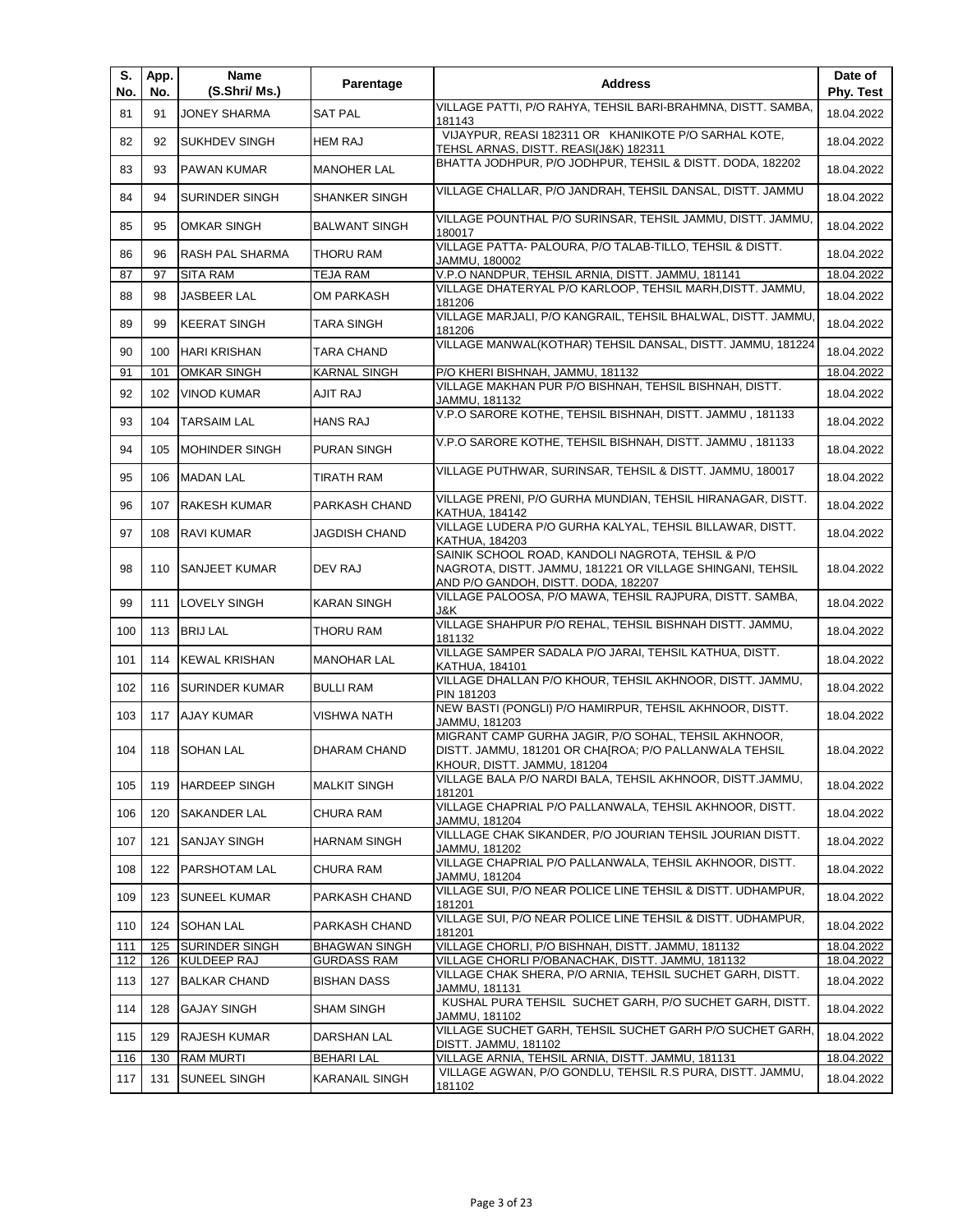| S.<br>No. | App.<br>No. | Name<br>(S.Shri/ Ms.)  | Parentage             | <b>Address</b>                                                                                                                                        | Date of<br>Phy. Test |
|-----------|-------------|------------------------|-----------------------|-------------------------------------------------------------------------------------------------------------------------------------------------------|----------------------|
| 81        | 91          | <b>JONEY SHARMA</b>    | <b>SAT PAL</b>        | VILLAGE PATTI, P/O RAHYA, TEHSIL BARI-BRAHMNA, DISTT. SAMBA,<br>181143                                                                                | 18.04.2022           |
| 82        | 92          | <b>SUKHDEV SINGH</b>   | <b>HEM RAJ</b>        | VIJAYPUR, REASI 182311 OR KHANIKOTE P/O SARHAL KOTE,<br>TEHSL ARNAS, DISTT. REASI(J&K) 182311                                                         | 18.04.2022           |
| 83        | 93          | PAWAN KUMAR            | <b>MANOHER LAL</b>    | BHATTA JODHPUR, P/O JODHPUR, TEHSIL & DISTT. DODA, 182202                                                                                             | 18.04.2022           |
| 84        | 94          | <b>SURINDER SINGH</b>  | SHANKER SINGH         | VILLAGE CHALLAR, P/O JANDRAH, TEHSIL DANSAL, DISTT. JAMMU                                                                                             | 18.04.2022           |
| 85        | 95          | <b>OMKAR SINGH</b>     | <b>BALWANT SINGH</b>  | VILLAGE POUNTHAL P/O SURINSAR, TEHSIL JAMMU, DISTT. JAMMU,<br>180017                                                                                  | 18.04.2022           |
| 86        | 96          | <b>RASH PAL SHARMA</b> | THORU RAM             | VILLAGE PATTA- PALOURA, P/O TALAB-TILLO, TEHSIL & DISTT.<br>JAMMU, 180002                                                                             | 18.04.2022           |
| 87        | 97          | <b>SITA RAM</b>        | <b>TEJA RAM</b>       | V.P.O NANDPUR, TEHSIL ARNIA, DISTT. JAMMU, 181141                                                                                                     | 18.04.2022           |
| 88        | 98          | JASBEER LAL            | OM PARKASH            | VILLAGE DHATERYAL P/O KARLOOP, TEHSIL MARH, DISTT. JAMMU,<br>181206                                                                                   | 18.04.2022           |
| 89        | 99          | <b>KEERAT SINGH</b>    | <b>TARA SINGH</b>     | VILLAGE MARJALI, P/O KANGRAIL, TEHSIL BHALWAL, DISTT. JAMMU,<br>181206                                                                                | 18.04.2022           |
| 90        | 100         | <b>HARI KRISHAN</b>    | TARA CHAND            | VILLAGE MANWAL(KOTHAR) TEHSIL DANSAL, DISTT. JAMMU, 181224                                                                                            | 18.04.2022           |
| 91        | 101         | <b>OMKAR SINGH</b>     | KARNAL SINGH          | P/O KHERI BISHNAH, JAMMU, 181132                                                                                                                      | 18.04.2022           |
| 92        | 102         | <b>VINOD KUMAR</b>     | AJIT RAJ              | VILLAGE MAKHAN PUR P/O BISHNAH, TEHSIL BISHNAH, DISTT.                                                                                                | 18.04.2022           |
|           |             |                        |                       | JAMMU, 181132<br>V.P.O SARORE KOTHE, TEHSIL BISHNAH, DISTT. JAMMU, 181133                                                                             |                      |
| 93        | 104         | <b>TARSAIM LAL</b>     | <b>HANS RAJ</b>       |                                                                                                                                                       | 18.04.2022           |
| 94        | 105         | <b>MOHINDER SINGH</b>  | <b>PURAN SINGH</b>    | V.P.O SARORE KOTHE, TEHSIL BISHNAH, DISTT. JAMMU, 181133                                                                                              | 18.04.2022           |
| 95        | 106         | <b>MADAN LAL</b>       | <b>TIRATH RAM</b>     | VILLAGE PUTHWAR, SURINSAR, TEHSIL & DISTT. JAMMU, 180017                                                                                              | 18.04.2022           |
| 96        | 107         | <b>RAKESH KUMAR</b>    | PARKASH CHAND         | VILLAGE PRENI, P/O GURHA MUNDIAN, TEHSIL HIRANAGAR, DISTT.<br>KATHUA, 184142                                                                          | 18.04.2022           |
| 97        | 108         | <b>RAVI KUMAR</b>      | JAGDISH CHAND         | VILLAGE LUDERA P/O GURHA KALYAL, TEHSIL BILLAWAR, DISTT.<br>KATHUA, 184203                                                                            | 18.04.2022           |
| 98        | 110         | <b>SANJEET KUMAR</b>   | DEV RAJ               | SAINIK SCHOOL ROAD, KANDOLI NAGROTA, TEHSIL & P/O<br>NAGROTA, DISTT. JAMMU, 181221 OR VILLAGE SHINGANI, TEHSIL<br>AND P/O GANDOH, DISTT. DODA, 182207 | 18.04.2022           |
| 99        | 111         | <b>LOVELY SINGH</b>    | <b>KARAN SINGH</b>    | VILLAGE PALOOSA, P/O MAWA, TEHSIL RAJPURA, DISTT. SAMBA,<br>J&K                                                                                       | 18.04.2022           |
| 100       | 113         | <b>BRIJ LAL</b>        | THORU RAM             | VILLAGE SHAHPUR P/O REHAL, TEHSIL BISHNAH DISTT. JAMMU,<br>181132                                                                                     | 18.04.2022           |
| 101       | 114         | <b>KEWAL KRISHAN</b>   | <b>MANOHAR LAL</b>    | VILLAGE SAMPER SADALA P/O JARAI, TEHSIL KATHUA, DISTT.<br>KATHUA, 184101                                                                              | 18.04.2022           |
| 102       | 116         | <b>ISURINDER KUMAR</b> | <b>BULLI RAM</b>      | VILLAGE DHALLAN P/O KHOUR, TEHSIL AKHNOOR, DISTT. JAMMU,<br>PIN 181203                                                                                | 18.04.2022           |
| 103       | 117         | <b>AJAY KUMAR</b>      | <b>VISHWA NATH</b>    | NEW BASTI (PONGLI) P/O HAMIRPUR, TEHSIL AKHNOOR, DISTT.<br>JAMMU, 181203                                                                              | 18.04.2022           |
| 104       |             | 118 SOHAN LAL          | <b>DHARAM CHAND</b>   | MIGRANT CAMP GURHA JAGIR, P/O SOHAL, TEHSIL AKHNOOR,<br>DISTT. JAMMU, 181201 OR CHA[ROA; P/O PALLANWALA TEHSIL<br>KHOUR, DISTT. JAMMU, 181204         | 18.04.2022           |
| 105       | 119         | <b>HARDEEP SINGH</b>   | <b>MALKIT SINGH</b>   | VILLAGE BALA P/O NARDI BALA, TEHSIL AKHNOOR, DISTT.JAMMU,<br>181201                                                                                   | 18.04.2022           |
| 106       | 120         | <b>SAKANDER LAL</b>    | <b>CHURA RAM</b>      | VILLAGE CHAPRIAL P/O PALLANWALA, TEHSIL AKHNOOR, DISTT.<br>JAMMU, 181204                                                                              | 18.04.2022           |
| 107       | 121         | <b>SANJAY SINGH</b>    | <b>HARNAM SINGH</b>   | VILLLAGE CHAK SIKANDER, P/O JOURIAN TEHSIL JOURIAN DISTT.<br>JAMMU, 181202                                                                            | 18.04.2022           |
| 108       | 122         | PARSHOTAM LAL          | <b>CHURA RAM</b>      | VILLAGE CHAPRIAL P/O PALLANWALA, TEHSIL AKHNOOR, DISTT.<br>JAMMU, 181204                                                                              | 18.04.2022           |
| 109       | 123         | <b>SUNEEL KUMAR</b>    | PARKASH CHAND         | VILLAGE SUI, P/O NEAR POLICE LINE TEHSIL & DISTT. UDHAMPUR,<br>181201                                                                                 | 18.04.2022           |
| 110       | 124         | <b>SOHAN LAL</b>       | PARKASH CHAND         | VILLAGE SUI, P/O NEAR POLICE LINE TEHSIL & DISTT. UDHAMPUR,                                                                                           | 18.04.2022           |
| 111       | 125         | SURINDER SINGH         | <b>BHAGWAN SINGH</b>  | 181201<br>VILLAGE CHORLI, P/O BISHNAH, DISTT. JAMMU, 181132                                                                                           | 18.04.2022           |
| 112       | 126         | <b>KULDEEP RAJ</b>     | <b>GURDASS RAM</b>    | VILLAGE CHORLI P/OBANACHAK, DISTT. JAMMU, 181132                                                                                                      | 18.04.2022           |
| 113       | 127         | <b>BALKAR CHAND</b>    | <b>BISHAN DASS</b>    | VILLAGE CHAK SHERA, P/O ARNIA, TEHSIL SUCHET GARH, DISTT.<br>JAMMU, 181131                                                                            | 18.04.2022           |
| 114       | 128         | <b>GAJAY SINGH</b>     | <b>SHAM SINGH</b>     | KUSHAL PURA TEHSIL SUCHET GARH, P/O SUCHET GARH, DISTT.<br>JAMMU, 181102                                                                              | 18.04.2022           |
| 115       | 129         | <b>RAJESH KUMAR</b>    | DARSHAN LAL           | VILLAGE SUCHET GARH, TEHSIL SUCHET GARH P/O SUCHET GARH,<br>DISTT. JAMMU, 181102                                                                      | 18.04.2022           |
| 116       | 130         | <b>RAM MURTI</b>       | <b>BEHARI LAL</b>     | VILLAGE ARNIA, TEHSIL ARNIA, DISTT. JAMMU, 181131                                                                                                     | 18.04.2022           |
| 117       | 131         | <b>SUNEEL SINGH</b>    | <b>KARANAIL SINGH</b> | VILLAGE AGWAN, P/O GONDLU, TEHSIL R.S PURA, DISTT. JAMMU,<br>181102                                                                                   | 18.04.2022           |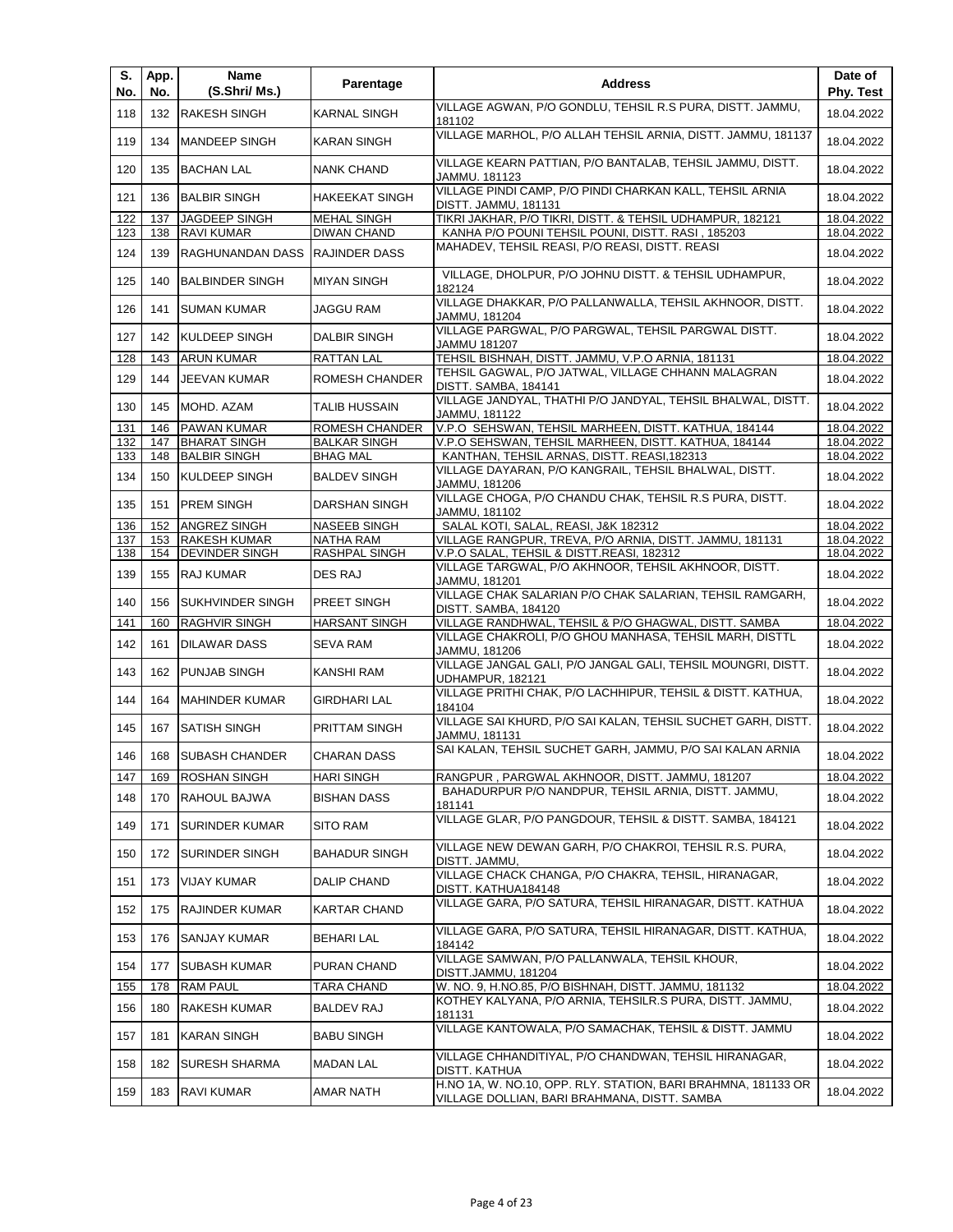| S.<br>No. | App.<br>No. | Name<br>(S.Shri/ Ms.)   | Parentage             | <b>Address</b>                                                                                                  | Date of<br>Phy. Test |
|-----------|-------------|-------------------------|-----------------------|-----------------------------------------------------------------------------------------------------------------|----------------------|
| 118       | 132         | <b>RAKESH SINGH</b>     | <b>KARNAL SINGH</b>   | VILLAGE AGWAN, P/O GONDLU, TEHSIL R.S PURA, DISTT. JAMMU,<br>181102                                             | 18.04.2022           |
| 119       | 134         | <b>MANDEEP SINGH</b>    | <b>KARAN SINGH</b>    | VILLAGE MARHOL, P/O ALLAH TEHSIL ARNIA, DISTT. JAMMU, 181137                                                    | 18.04.2022           |
| 120       | 135         | <b>BACHAN LAL</b>       | <b>NANK CHAND</b>     | VILLAGE KEARN PATTIAN, P/O BANTALAB, TEHSIL JAMMU, DISTT.<br>JAMMU. 181123                                      | 18.04.2022           |
| 121       | 136         | <b>BALBIR SINGH</b>     | <b>HAKEEKAT SINGH</b> | VILLAGE PINDI CAMP, P/O PINDI CHARKAN KALL, TEHSIL ARNIA<br>DISTT. JAMMU, 181131                                | 18.04.2022           |
| 122       | 137         | <b>JAGDEEP SINGH</b>    | <b>MEHAL SINGH</b>    | TIKRI JAKHAR, P/O TIKRI, DISTT. & TEHSIL UDHAMPUR, 182121                                                       | 18.04.2022           |
| 123       | 138         | <b>RAVI KUMAR</b>       | <b>DIWAN CHAND</b>    | KANHA P/O POUNI TEHSIL POUNI, DISTT. RASI, 185203                                                               | 18.04.2022           |
| 124       | 139         | RAGHUNANDAN DASS        | <b>RAJINDER DASS</b>  | MAHADEV, TEHSIL REASI, P/O REASI, DISTT. REASI                                                                  | 18.04.2022           |
| 125       | 140         | <b>BALBINDER SINGH</b>  | <b>MIYAN SINGH</b>    | VILLAGE, DHOLPUR, P/O JOHNU DISTT. & TEHSIL UDHAMPUR,<br>182124                                                 | 18.04.2022           |
| 126       | 141         | <b>SUMAN KUMAR</b>      | <b>JAGGU RAM</b>      | VILLAGE DHAKKAR, P/O PALLANWALLA, TEHSIL AKHNOOR, DISTT.<br>JAMMU, 181204                                       | 18.04.2022           |
| 127       | 142         | KULDEEP SINGH           | <b>DALBIR SINGH</b>   | VILLAGE PARGWAL, P/O PARGWAL, TEHSIL PARGWAL DISTT.<br>JAMMU 181207                                             | 18.04.2022           |
| 128       | 143         | <b>ARUN KUMAR</b>       | <b>RATTAN LAL</b>     | TEHSIL BISHNAH, DISTT. JAMMU, V.P.O ARNIA, 181131                                                               | 18.04.2022           |
| 129       | 144         | <b>JEEVAN KUMAR</b>     | <b>ROMESH CHANDER</b> | TEHSIL GAGWAL, P/O JATWAL, VILLAGE CHHANN MALAGRAN<br>DISTT. SAMBA, 184141                                      | 18.04.2022           |
| 130       | 145         | MOHD. AZAM              | <b>TALIB HUSSAIN</b>  | VILLAGE JANDYAL, THATHI P/O JANDYAL, TEHSIL BHALWAL, DISTT.<br>JAMMU, 181122                                    | 18.04.2022           |
| 131       | 146         | PAWAN KUMAR             | ROMESH CHANDER        | V.P.O SEHSWAN, TEHSIL MARHEEN, DISTT. KATHUA, 184144                                                            | 18.04.2022           |
| 132       | 147         | <b>BHARAT SINGH</b>     | <b>BALKAR SINGH</b>   | V.P.O SEHSWAN, TEHSIL MARHEEN, DISTT. KATHUA, 184144                                                            | 18.04.2022           |
| 133       | 148         | <b>BALBIR SINGH</b>     | <b>BHAG MAL</b>       | KANTHAN, TEHSIL ARNAS, DISTT. REASI, 182313                                                                     | 18.04.2022           |
| 134       | 150         | <b>KULDEEP SINGH</b>    | <b>BALDEV SINGH</b>   | VILLAGE DAYARAN, P/O KANGRAIL, TEHSIL BHALWAL, DISTT.<br>JAMMU, 181206                                          | 18.04.2022           |
| 135       | 151         | <b>PREM SINGH</b>       | DARSHAN SINGH         | VILLAGE CHOGA, P/O CHANDU CHAK, TEHSIL R.S PURA, DISTT.<br>JAMMU, 181102                                        | 18.04.2022           |
| 136       | 152         | <b>ANGREZ SINGH</b>     | <b>NASEEB SINGH</b>   | SALAL KOTI, SALAL, REASI, J&K 182312                                                                            | 18.04.2022           |
| 137       | 153         | <b>RAKESH KUMAR</b>     | <b>NATHA RAM</b>      | VILLAGE RANGPUR, TREVA, P/O ARNIA, DISTT. JAMMU, 181131                                                         | 18.04.2022           |
| 138       | 154         | <b>DEVINDER SINGH</b>   | RASHPAL SINGH         | V.P.O SALAL, TEHSIL & DISTT.REASI, 182312<br>VILLAGE TARGWAL, P/O AKHNOOR, TEHSIL AKHNOOR, DISTT.               | 18.04.2022           |
| 139       | 155         | <b>RAJ KUMAR</b>        | DES RAJ               | JAMMU, 181201<br>VILLAGE CHAK SALARIAN P/O CHAK SALARIAN, TEHSIL RAMGARH,                                       | 18.04.2022           |
| 140       | 156         | <b>SUKHVINDER SINGH</b> | PREET SINGH           | DISTT. SAMBA, 184120                                                                                            | 18.04.2022           |
| 141       | 160         | <b>RAGHVIR SINGH</b>    | <b>HARSANT SINGH</b>  | VILLAGE RANDHWAL, TEHSIL & P/O GHAGWAL, DISTT. SAMBA<br>VILLAGE CHAKROLI, P/O GHOU MANHASA, TEHSIL MARH, DISTTL | 18.04.2022           |
| 142       | 161         | <b>DILAWAR DASS</b>     | <b>SEVA RAM</b>       | JAMMU, 181206<br>VILLAGE JANGAL GALI, P/O JANGAL GALI, TEHSIL MOUNGRI, DISTT.                                   | 18.04.2022           |
| 143       | 162         | <b>PUNJAB SINGH</b>     | <b>KANSHI RAM</b>     | UDHAMPUR, 182121<br>VILLAGE PRITHI CHAK, P/O LACHHIPUR, TEHSIL & DISTT. KATHUA,                                 | 18.04.2022           |
| 144       | 164         | <b>MAHINDER KUMAR</b>   | <b>GIRDHARI LAL</b>   | 184104                                                                                                          | 18.04.2022           |
| 145       | 167         | <b>SATISH SINGH</b>     | PRITTAM SINGH         | VILLAGE SAI KHURD, P/O SAI KALAN, TEHSIL SUCHET GARH, DISTT.<br>JAMMU, 181131                                   | 18.04.2022           |
| 146       |             | 168 SUBASH CHANDER      | <b>CHARAN DASS</b>    | SAI KALAN, TEHSIL SUCHET GARH, JAMMU, P/O SAI KALAN ARNIA                                                       | 18.04.2022           |
| 147       | 169         | <b>ROSHAN SINGH</b>     | HARI SINGH            | RANGPUR, PARGWAL AKHNOOR, DISTT. JAMMU, 181207                                                                  | 18.04.2022           |
| 148       | 170         | RAHOUL BAJWA            | <b>BISHAN DASS</b>    | BAHADURPUR P/O NANDPUR, TEHSIL ARNIA, DISTT, JAMMU,<br>181141                                                   | 18.04.2022           |
| 149       | 171         | <b>SURINDER KUMAR</b>   | <b>SITO RAM</b>       | VILLAGE GLAR, P/O PANGDOUR, TEHSIL & DISTT. SAMBA, 184121                                                       | 18.04.2022           |
| 150       | 172         | <b>SURINDER SINGH</b>   | <b>BAHADUR SINGH</b>  | VILLAGE NEW DEWAN GARH, P/O CHAKROI, TEHSIL R.S. PURA,<br>DISTT. JAMMU,                                         | 18.04.2022           |
| 151       | 173         | <b>VIJAY KUMAR</b>      | <b>DALIP CHAND</b>    | VILLAGE CHACK CHANGA, P/O CHAKRA, TEHSIL, HIRANAGAR,<br>DISTT. KATHUA184148                                     | 18.04.2022           |
| 152       | 175         | RAJINDER KUMAR          | <b>KARTAR CHAND</b>   | VILLAGE GARA, P/O SATURA, TEHSIL HIRANAGAR, DISTT. KATHUA                                                       | 18.04.2022           |
| 153       | 176         | <b>SANJAY KUMAR</b>     | <b>BEHARI LAL</b>     | VILLAGE GARA, P/O SATURA, TEHSIL HIRANAGAR, DISTT. KATHUA,<br>184142                                            | 18.04.2022           |
| 154       | 177         | <b>SUBASH KUMAR</b>     | PURAN CHAND           | VILLAGE SAMWAN, P/O PALLANWALA, TEHSIL KHOUR,<br>DISTT.JAMMU, 181204                                            | 18.04.2022           |
| 155       | 178         | RAM PAUL                | <b>TARA CHAND</b>     | W. NO. 9, H.NO.85, P/O BISHNAH, DISTT. JAMMU, 181132                                                            | 18.04.2022           |
| 156       | 180         | <b>RAKESH KUMAR</b>     | <b>BALDEV RAJ</b>     | KOTHEY KALYANA, P/O ARNIA, TEHSILR.S PURA, DISTT. JAMMU,<br>181131                                              | 18.04.2022           |
| 157       | 181         | <b>KARAN SINGH</b>      | <b>BABU SINGH</b>     | VILLAGE KANTOWALA, P/O SAMACHAK, TEHSIL & DISTT. JAMMU                                                          | 18.04.2022           |
| 158       | 182         | <b>SURESH SHARMA</b>    | <b>MADAN LAL</b>      | VILLAGE CHHANDITIYAL, P/O CHANDWAN, TEHSIL HIRANAGAR,<br>DISTT. KATHUA                                          | 18.04.2022           |
| 159       | 183         | RAVI KUMAR              | AMAR NATH             | H.NO 1A, W. NO.10, OPP. RLY. STATION, BARI BRAHMNA, 181133 OR<br>VILLAGE DOLLIAN, BARI BRAHMANA, DISTT. SAMBA   | 18.04.2022           |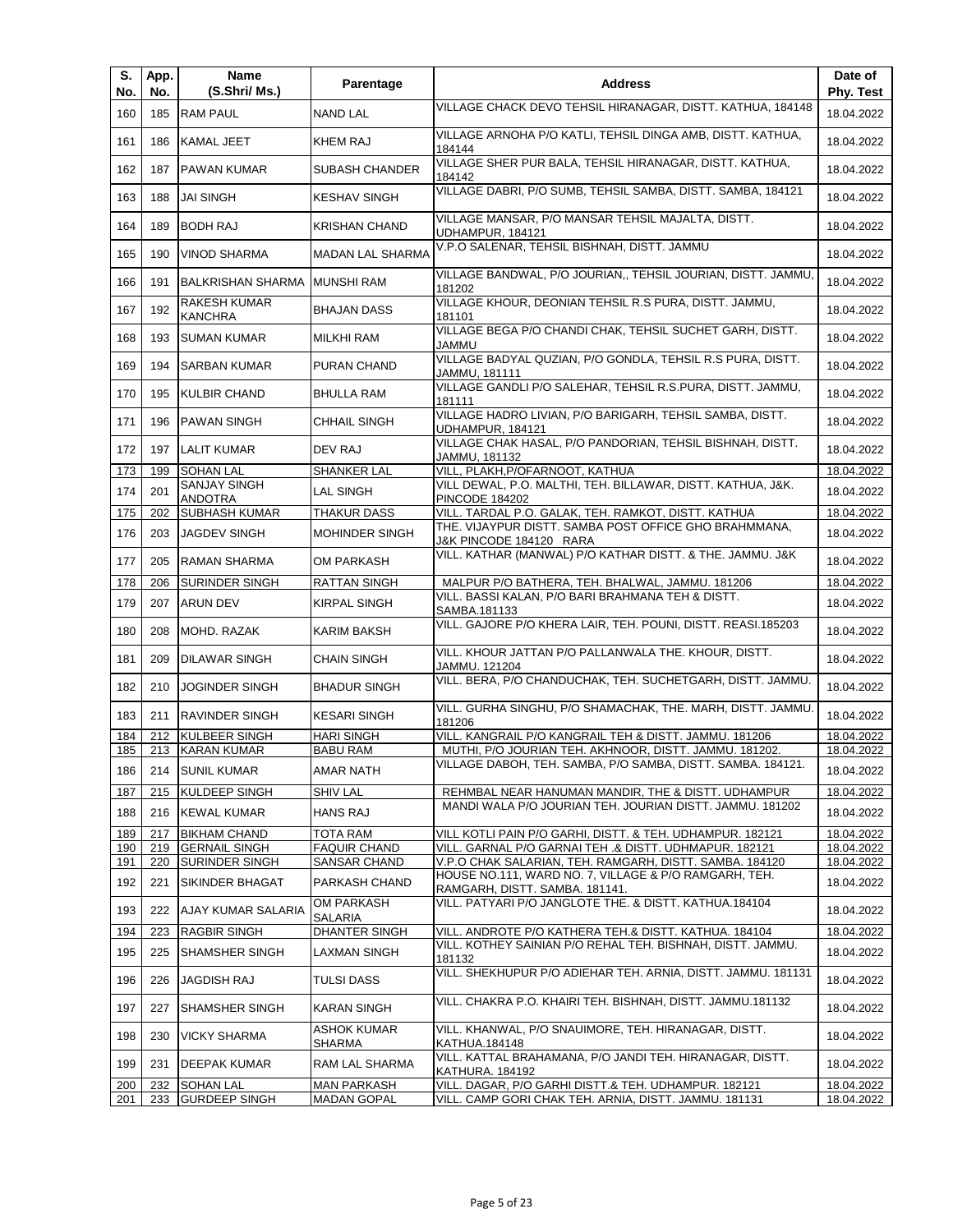| S.<br>No. | App.<br>No. | Name<br>(S.Shri/ Ms.)                 | Parentage                           | <b>Address</b>                                                                          | Date of<br>Phy. Test |
|-----------|-------------|---------------------------------------|-------------------------------------|-----------------------------------------------------------------------------------------|----------------------|
| 160       | 185         | <b>RAM PAUL</b>                       | <b>NAND LAL</b>                     | VILLAGE CHACK DEVO TEHSIL HIRANAGAR, DISTT. KATHUA, 184148                              | 18.04.2022           |
| 161       | 186         | KAMAL JEET                            | <b>KHEM RAJ</b>                     | VILLAGE ARNOHA P/O KATLI, TEHSIL DINGA AMB, DISTT. KATHUA,<br>184144                    | 18.04.2022           |
| 162       | 187         | <b>PAWAN KUMAR</b>                    | <b>SUBASH CHANDER</b>               | VILLAGE SHER PUR BALA, TEHSIL HIRANAGAR, DISTT. KATHUA,<br>184142                       | 18.04.2022           |
| 163       | 188         | <b>JAI SINGH</b>                      | <b>KESHAV SINGH</b>                 | VILLAGE DABRI, P/O SUMB, TEHSIL SAMBA, DISTT. SAMBA, 184121                             | 18.04.2022           |
| 164       | 189         | <b>BODH RAJ</b>                       | <b>KRISHAN CHAND</b>                | VILLAGE MANSAR, P/O MANSAR TEHSIL MAJALTA, DISTT.<br>UDHAMPUR, 184121                   | 18.04.2022           |
| 165       | 190         | <b>VINOD SHARMA</b>                   | <b>MADAN LAL SHARMA</b>             | V.P.O SALENAR, TEHSIL BISHNAH, DISTT. JAMMU                                             | 18.04.2022           |
| 166       | 191         | <b>BALKRISHAN SHARMA</b>              | <b>MUNSHI RAM</b>                   | VILLAGE BANDWAL, P/O JOURIAN,, TEHSIL JOURIAN, DISTT. JAMMU,<br>181202                  | 18.04.2022           |
| 167       | 192         | <b>RAKESH KUMAR</b><br><b>KANCHRA</b> | <b>BHAJAN DASS</b>                  | VILLAGE KHOUR, DEONIAN TEHSIL R.S PURA, DISTT. JAMMU,<br>181101                         | 18.04.2022           |
| 168       | 193         | <b>SUMAN KUMAR</b>                    | <b>MILKHI RAM</b>                   | VILLAGE BEGA P/O CHANDI CHAK, TEHSIL SUCHET GARH, DISTT.<br>JAMMU                       | 18.04.2022           |
| 169       | 194         | <b>SARBAN KUMAR</b>                   | PURAN CHAND                         | VILLAGE BADYAL QUZIAN, P/O GONDLA, TEHSIL R.S PURA, DISTT.<br>JAMMU, 181111             | 18.04.2022           |
| 170       | 195         | <b>KULBIR CHAND</b>                   | <b>BHULLA RAM</b>                   | VILLAGE GANDLI P/O SALEHAR, TEHSIL R.S.PURA, DISTT. JAMMU,<br>181111                    | 18.04.2022           |
| 171       | 196         | <b>PAWAN SINGH</b>                    | <b>CHHAIL SINGH</b>                 | VILLAGE HADRO LIVIAN, P/O BARIGARH, TEHSIL SAMBA, DISTT.<br>UDHAMPUR, 184121            | 18.04.2022           |
| 172       | 197         | <b>LALIT KUMAR</b>                    | DEV RAJ                             | VILLAGE CHAK HASAL, P/O PANDORIAN, TEHSIL BISHNAH, DISTT.<br>JAMMU, 181132              | 18.04.2022           |
| 173       | 199         | <b>SOHAN LAL</b>                      | <b>SHANKER LAL</b>                  | VILL, PLAKH, P/OFARNOOT, KATHUA                                                         | 18.04.2022           |
| 174       | 201         | <b>SANJAY SINGH</b><br><b>ANDOTRA</b> | <b>LAL SINGH</b>                    | VILL DEWAL, P.O. MALTHI, TEH. BILLAWAR, DISTT. KATHUA, J&K.<br><b>PINCODE 184202</b>    | 18.04.2022           |
| 175       | 202         | <b>SUBHASH KUMAR</b>                  | <b>THAKUR DASS</b>                  | VILL. TARDAL P.O. GALAK, TEH. RAMKOT, DISTT. KATHUA                                     | 18.04.2022           |
| 176       | 203         | <b>JAGDEV SINGH</b>                   | <b>MOHINDER SINGH</b>               | THE. VIJAYPUR DISTT. SAMBA POST OFFICE GHO BRAHMMANA,<br>J&K PINCODE 184120 RARA        | 18.04.2022           |
| 177       | 205         | <b>RAMAN SHARMA</b>                   | <b>OM PARKASH</b>                   | VILL. KATHAR (MANWAL) P/O KATHAR DISTT. & THE. JAMMU. J&K                               | 18.04.2022           |
| 178       | 206         | SURINDER SINGH                        | <b>RATTAN SINGH</b>                 | MALPUR P/O BATHERA, TEH. BHALWAL, JAMMU. 181206                                         | 18.04.2022           |
| 179       | 207         | <b>ARUN DEV</b>                       | <b>KIRPAL SINGH</b>                 | VILL. BASSI KALAN, P/O BARI BRAHMANA TEH & DISTT.<br>SAMBA.181133                       | 18.04.2022           |
| 180       | 208         | MOHD. RAZAK                           | KARIM BAKSH                         | VILL. GAJORE P/O KHERA LAIR, TEH. POUNI, DISTT. REASI.185203                            | 18.04.2022           |
| 181       | 209         | DILAWAR SINGH                         | <b>CHAIN SINGH</b>                  | VILL. KHOUR JATTAN P/O PALLANWALA THE. KHOUR, DISTT.<br>JAMMU. 121204                   | 18.04.2022           |
| 182       | 210         | <b>JOGINDER SINGH</b>                 | <b>BHADUR SINGH</b>                 | VILL. BERA, P/O CHANDUCHAK, TEH. SUCHETGARH, DISTT. JAMMU.                              | 18.04.2022           |
| 183       | 211         | <b>RAVINDER SINGH</b>                 | <b>KESARI SINGH</b>                 | VILL. GURHA SINGHU, P/O SHAMACHAK, THE. MARH, DISTT. JAMMU.<br>181206                   | 18.04.2022           |
| 184       | 212         | <b>KULBEER SINGH</b>                  | <b>HARI SINGH</b>                   | VILL. KANGRAIL P/O KANGRAIL TEH & DISTT. JAMMU. 181206                                  | 18.04.2022           |
| 185       | 213         | <b>KARAN KUMAR</b>                    | <b>BABU RAM</b>                     | MUTHI, P/O JOURIAN TEH. AKHNOOR, DISTT. JAMMU. 181202.                                  | 18.04.2022           |
| 186       |             | 214 SUNIL KUMAR                       | <b>AMAR NATH</b>                    | VILLAGE DABOH, TEH. SAMBA, P/O SAMBA, DISTT. SAMBA. 184121.                             | 18.04.2022           |
| 187       | 215         | <b>KULDEEP SINGH</b>                  | <b>SHIV LAL</b>                     | REHMBAL NEAR HANUMAN MANDIR, THE & DISTT. UDHAMPUR                                      | 18.04.2022           |
| 188       | 216         | <b>KEWAL KUMAR</b>                    | <b>HANS RAJ</b>                     | MANDI WALA P/O JOURIAN TEH. JOURIAN DISTT. JAMMU. 181202                                | 18.04.2022           |
| 189       | 217         | <b>BIKHAM CHAND</b>                   | <b>TOTA RAM</b>                     | VILL KOTLI PAIN P/O GARHI, DISTT. & TEH. UDHAMPUR. 182121                               | 18.04.2022           |
| 190       | 219         | <b>GERNAIL SINGH</b>                  | <b>FAQUIR CHAND</b>                 | VILL. GARNAL P/O GARNAI TEH .& DISTT. UDHMAPUR. 182121                                  | 18.04.2022           |
| 191       | 220         | <b>SURINDER SINGH</b>                 | SANSAR CHAND                        | V.P.O CHAK SALARIAN, TEH. RAMGARH, DISTT. SAMBA. 184120                                 | 18.04.2022           |
| 192       | 221         | SIKINDER BHAGAT                       | PARKASH CHAND                       | HOUSE NO.111, WARD NO. 7, VILLAGE & P/O RAMGARH, TEH.<br>RAMGARH, DISTT. SAMBA. 181141. | 18.04.2022           |
| 193       | 222         | <b>AJAY KUMAR SALARIA</b>             | OM PARKASH<br><b>SALARIA</b>        | VILL. PATYARI P/O JANGLOTE THE. & DISTT. KATHUA.184104                                  | 18.04.2022           |
| 194       | 223         | <b>RAGBIR SINGH</b>                   | DHANTER SINGH                       | VILL. ANDROTE P/O KATHERA TEH.& DISTT. KATHUA. 184104                                   | 18.04.2022           |
| 195       | 225         | SHAMSHER SINGH                        | LAXMAN SINGH                        | VILL. KOTHEY SAINIAN P/O REHAL TEH. BISHNAH, DISTT. JAMMU.<br>181132                    | 18.04.2022           |
| 196       | 226         | <b>JAGDISH RAJ</b>                    | <b>TULSI DASS</b>                   | VILL. SHEKHUPUR P/O ADIEHAR TEH. ARNIA, DISTT. JAMMU. 181131                            | 18.04.2022           |
| 197       | 227         | SHAMSHER SINGH                        | <b>KARAN SINGH</b>                  | VILL. CHAKRA P.O. KHAIRI TEH. BISHNAH, DISTT. JAMMU.181132                              | 18.04.2022           |
| 198       | 230         | <b>VICKY SHARMA</b>                   | <b>ASHOK KUMAR</b><br><b>SHARMA</b> | VILL. KHANWAL, P/O SNAUIMORE, TEH. HIRANAGAR, DISTT.<br>KATHUA.184148                   | 18.04.2022           |
| 199       | 231         | <b>DEEPAK KUMAR</b>                   | RAM LAL SHARMA                      | VILL. KATTAL BRAHAMANA, P/O JANDI TEH. HIRANAGAR, DISTT.<br>KATHURA. 184192             | 18.04.2022           |
| 200       | 232         | <b>SOHAN LAL</b>                      | <b>MAN PARKASH</b>                  | VILL. DAGAR, P/O GARHI DISTT.& TEH. UDHAMPUR. 182121                                    | 18.04.2022           |
| 201       | 233         | <b>GURDEEP SINGH</b>                  | <b>MADAN GOPAL</b>                  | VILL. CAMP GORI CHAK TEH. ARNIA, DISTT. JAMMU. 181131                                   | 18.04.2022           |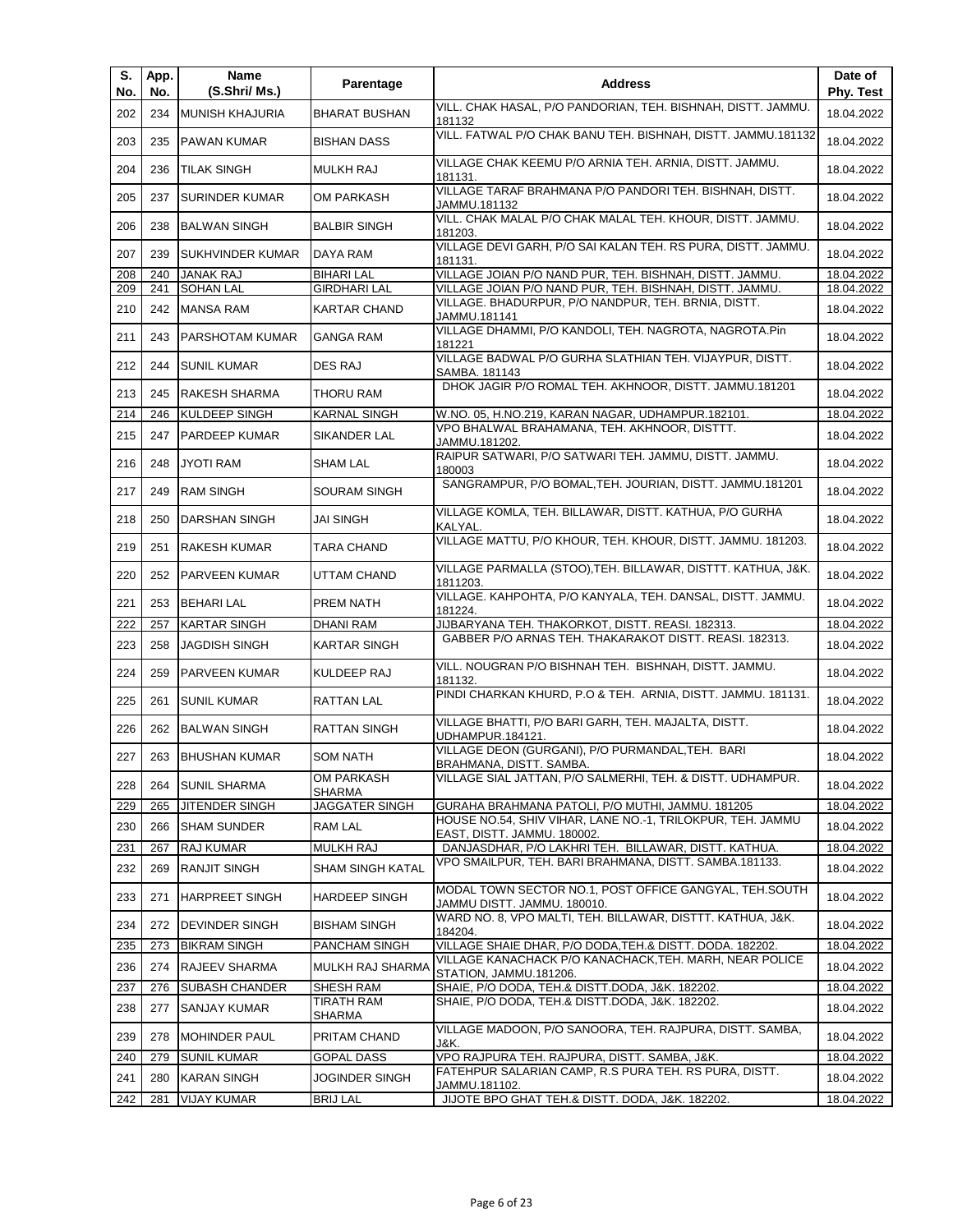| S.<br>No. | App.<br>No. | Name<br>(S.Shri/ Ms.)  | Parentage                   | <b>Address</b>                                                                                                 | Date of<br>Phy. Test |
|-----------|-------------|------------------------|-----------------------------|----------------------------------------------------------------------------------------------------------------|----------------------|
| 202       | 234         | <b>MUNISH KHAJURIA</b> | <b>BHARAT BUSHAN</b>        | VILL. CHAK HASAL, P/O PANDORIAN, TEH. BISHNAH, DISTT. JAMMU.<br>181132                                         | 18.04.2022           |
| 203       | 235         | PAWAN KUMAR            | <b>BISHAN DASS</b>          | VILL. FATWAL P/O CHAK BANU TEH. BISHNAH, DISTT. JAMMU.181132                                                   | 18.04.2022           |
| 204       | 236         | <b>TILAK SINGH</b>     | <b>MULKH RAJ</b>            | VILLAGE CHAK KEEMU P/O ARNIA TEH. ARNIA, DISTT. JAMMU.<br>181131.                                              | 18.04.2022           |
| 205       | 237         | <b>SURINDER KUMAR</b>  | OM PARKASH                  | VILLAGE TARAF BRAHMANA P/O PANDORI TEH. BISHNAH, DISTT.<br>JAMMU.181132                                        | 18.04.2022           |
| 206       | 238         | <b>BALWAN SINGH</b>    | <b>BALBIR SINGH</b>         | VILL. CHAK MALAL P/O CHAK MALAL TEH. KHOUR, DISTT. JAMMU.<br>181203.                                           | 18.04.2022           |
| 207       | 239         | SUKHVINDER KUMAR       | DAYA RAM                    | VILLAGE DEVI GARH, P/O SAI KALAN TEH. RS PURA, DISTT. JAMMU.<br>181131.                                        | 18.04.2022           |
| 208       | 240         | <b>JANAK RAJ</b>       | <b>BIHARI LAL</b>           | VILLAGE JOIAN P/O NAND PUR, TEH. BISHNAH, DISTT. JAMMU.                                                        | 18.04.2022           |
| 209       | 241         | <b>SOHAN LAL</b>       | <b>GIRDHARI LAL</b>         | VILLAGE JOIAN P/O NAND PUR, TEH. BISHNAH, DISTT. JAMMU.<br>VILLAGE. BHADURPUR, P/O NANDPUR, TEH. BRNIA, DISTT. | 18.04.2022           |
| 210       | 242         | <b>MANSA RAM</b>       | <b>KARTAR CHAND</b>         | JAMMU.181141<br>VILLAGE DHAMMI, P/O KANDOLI, TEH. NAGROTA, NAGROTA.Pin                                         | 18.04.2022           |
| 211       | 243         | PARSHOTAM KUMAR        | <b>GANGA RAM</b>            | 181221                                                                                                         | 18.04.2022           |
| 212       | 244         | <b>SUNIL KUMAR</b>     | <b>DES RAJ</b>              | VILLAGE BADWAL P/O GURHA SLATHIAN TEH. VIJAYPUR, DISTT.<br>SAMBA. 181143                                       | 18.04.2022           |
| 213       | 245         | <b>RAKESH SHARMA</b>   | THORU RAM                   | DHOK JAGIR P/O ROMAL TEH. AKHNOOR, DISTT. JAMMU.181201                                                         | 18.04.2022           |
| 214       | 246         | KULDEEP SINGH          | <b>KARNAL SINGH</b>         | W.NO. 05, H.NO.219, KARAN NAGAR, UDHAMPUR.182101.                                                              | 18.04.2022           |
| 215       | 247         | PARDEEP KUMAR          | SIKANDER LAL                | VPO BHALWAL BRAHAMANA, TEH. AKHNOOR, DISTTT.<br>JAMMU.181202.                                                  | 18.04.2022           |
| 216       | 248         | JYOTI RAM              | <b>SHAM LAL</b>             | RAIPUR SATWARI, P/O SATWARI TEH. JAMMU, DISTT. JAMMU.<br>180003                                                | 18.04.2022           |
| 217       | 249         | <b>RAM SINGH</b>       | SOURAM SINGH                | SANGRAMPUR, P/O BOMAL, TEH. JOURIAN, DISTT. JAMMU.181201                                                       | 18.04.2022           |
| 218       | 250         | DARSHAN SINGH          | JAI SINGH                   | VILLAGE KOMLA, TEH. BILLAWAR, DISTT. KATHUA, P/O GURHA<br>KALYAL.                                              | 18.04.2022           |
| 219       | 251         | RAKESH KUMAR           | TARA CHAND                  | VILLAGE MATTU, P/O KHOUR, TEH. KHOUR, DISTT. JAMMU. 181203.                                                    | 18.04.2022           |
| 220       | 252         | PARVEEN KUMAR          | UTTAM CHAND                 | VILLAGE PARMALLA (STOO), TEH. BILLAWAR, DISTTT. KATHUA, J&K.<br>1811203.                                       | 18.04.2022           |
| 221       | 253         | <b>BEHARI LAL</b>      | PREM NATH                   | VILLAGE. KAHPOHTA, P/O KANYALA, TEH. DANSAL, DISTT. JAMMU.<br>181224.                                          | 18.04.2022           |
| 222       | 257         | <b>KARTAR SINGH</b>    | DHANI RAM                   | JIJBARYANA TEH. THAKORKOT, DISTT. REASI. 182313.                                                               | 18.04.2022           |
| 223       | 258         | <b>JAGDISH SINGH</b>   | KARTAR SINGH                | GABBER P/O ARNAS TEH. THAKARAKOT DISTT. REASI. 182313.                                                         | 18.04.2022           |
| 224       | 259         | PARVEEN KUMAR          | KULDEEP RAJ                 | VILL. NOUGRAN P/O BISHNAH TEH. BISHNAH, DISTT. JAMMU.<br>181132.                                               | 18.04.2022           |
| 225       | 261         | <b>SUNIL KUMAR</b>     | RATTAN LAL                  | PINDI CHARKAN KHURD, P.O & TEH. ARNIA, DISTT. JAMMU. 181131.                                                   | 18.04.2022           |
| 226       | 262         | <b>BALWAN SINGH</b>    | <b>RATTAN SINGH</b>         | VILLAGE BHATTI, P/O BARI GARH, TEH. MAJALTA, DISTT.<br>UDHAMPUR.184121.                                        | 18.04.2022           |
| 227       |             | 263 BHUSHAN KUMAR      | <b>SOM NATH</b>             | VILLAGE DEON (GURGANI), P/O PURMANDAL, TEH. BARI<br>BRAHMANA, DISTT. SAMBA.                                    | 18.04.2022           |
| 228       | 264         | <b>SUNIL SHARMA</b>    | OM PARKASH<br><b>SHARMA</b> | VILLAGE SIAL JATTAN, P/O SALMERHI, TEH. & DISTT. UDHAMPUR.                                                     | 18.04.2022           |
| 229       | 265         | JITENDER SINGH         | JAGGATER SINGH              | GURAHA BRAHMANA PATOLI, P/O MUTHI, JAMMU. 181205                                                               | 18.04.2022           |
| 230       | 266         | <b>SHAM SUNDER</b>     | RAM LAL                     | HOUSE NO.54, SHIV VIHAR, LANE NO.-1, TRILOKPUR, TEH. JAMMU<br>EAST, DISTT. JAMMU. 180002.                      | 18.04.2022           |
| 231       | 267         | RAJ KUMAR              | MULKH RAJ                   | DANJASDHAR, P/O LAKHRI TEH. BILLAWAR, DISTT. KATHUA.                                                           | 18.04.2022           |
| 232       | 269         | RANJIT SINGH           | <b>SHAM SINGH KATAL</b>     | VPO SMAILPUR, TEH. BARI BRAHMANA, DISTT. SAMBA.181133.                                                         | 18.04.2022           |
| 233       | 271         | HARPREET SINGH         | HARDEEP SINGH               | MODAL TOWN SECTOR NO.1, POST OFFICE GANGYAL, TEH.SOUTH<br>JAMMU DISTT. JAMMU. 180010.                          | 18.04.2022           |
| 234       | 272         | <b>DEVINDER SINGH</b>  | <b>BISHAM SINGH</b>         | WARD NO. 8, VPO MALTI, TEH. BILLAWAR, DISTTT. KATHUA, J&K.<br>184204.                                          | 18.04.2022           |
| 235       | 273         | <b>BIKRAM SINGH</b>    | PANCHAM SINGH               | VILLAGE SHAIE DHAR, P/O DODA, TEH.& DISTT. DODA. 182202.                                                       | 18.04.2022           |
| 236       | 274         | RAJEEV SHARMA          | MULKH RAJ SHARMA            | VILLAGE KANACHACK P/O KANACHACK, TEH. MARH, NEAR POLICE<br>STATION, JAMMU.181206.                              | 18.04.2022           |
| 237       | 276         | SUBASH CHANDER         | SHESH RAM                   | SHAIE, P/O DODA, TEH.& DISTT.DODA, J&K. 182202.                                                                | 18.04.2022           |
| 238       | 277         | SANJAY KUMAR           | TIRATH RAM<br>SHARMA        | SHAIE, P/O DODA, TEH.& DISTT.DODA, J&K. 182202.                                                                | 18.04.2022           |
| 239       | 278         | <b>MOHINDER PAUL</b>   | PRITAM CHAND                | VILLAGE MADOON, P/O SANOORA, TEH. RAJPURA, DISTT. SAMBA,<br>J&K.                                               | 18.04.2022           |
| 240       | 279         | <b>SUNIL KUMAR</b>     | <b>GOPAL DASS</b>           | VPO RAJPURA TEH. RAJPURA, DISTT. SAMBA, J&K.                                                                   | 18.04.2022           |
| 241       | 280         | <b>KARAN SINGH</b>     | JOGINDER SINGH              | FATEHPUR SALARIAN CAMP, R.S PURA TEH. RS PURA, DISTT.<br>JAMMU.181102.                                         | 18.04.2022           |
| 242       | 281         | <b>VIJAY KUMAR</b>     | <b>BRIJ LAL</b>             | JIJOTE BPO GHAT TEH.& DISTT. DODA, J&K. 182202.                                                                | 18.04.2022           |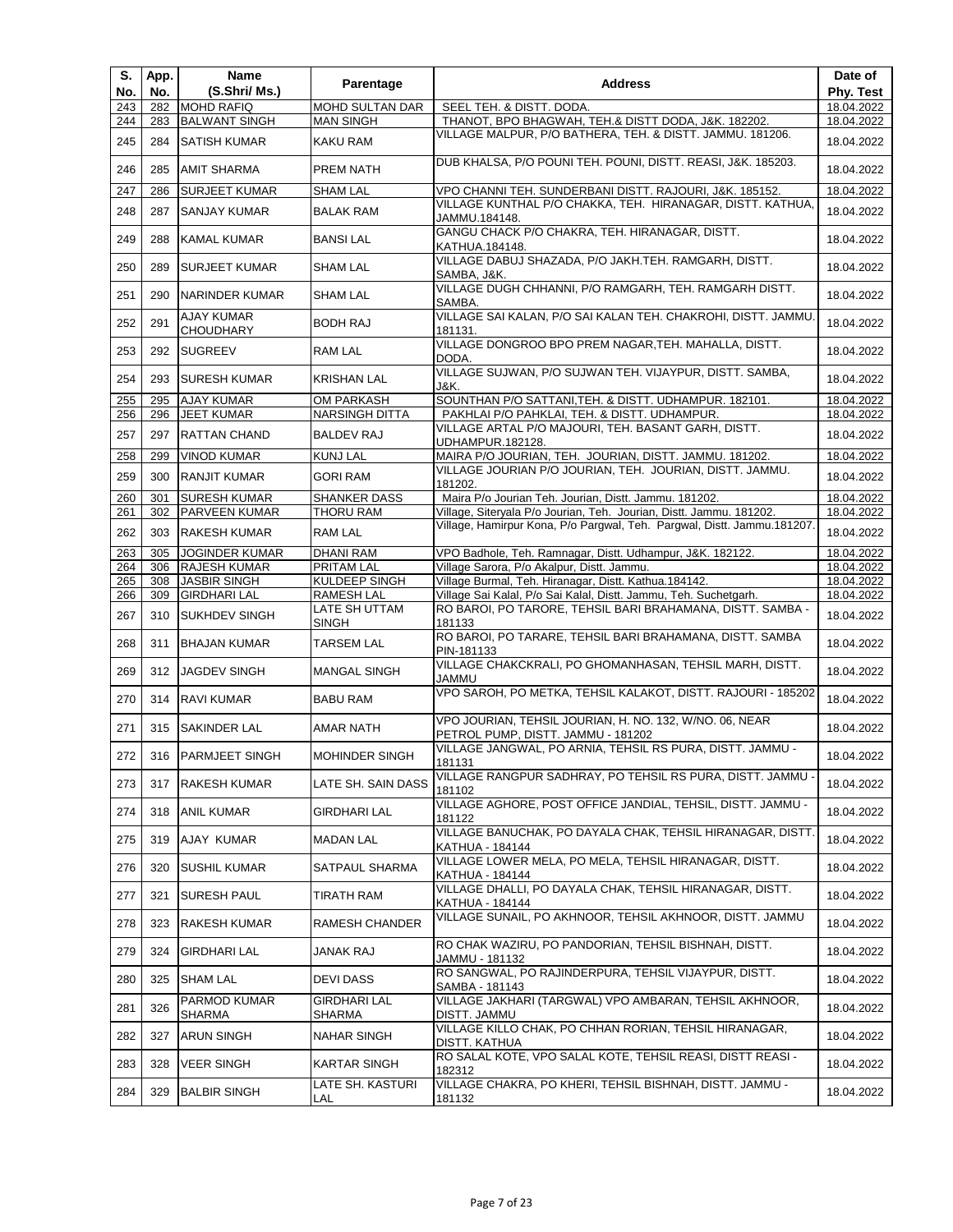| S.<br>No.  | App.<br>No. | Name<br>(S.Shri/ Ms.)                        | Parentage                      | <b>Address</b>                                                                                                                                 | Date of<br>Phy. Test     |
|------------|-------------|----------------------------------------------|--------------------------------|------------------------------------------------------------------------------------------------------------------------------------------------|--------------------------|
| 243        | 282         | <b>MOHD RAFIQ</b>                            | <b>MOHD SULTAN DAR</b>         | SEEL TEH. & DISTT. DODA.                                                                                                                       | 18.04.2022               |
| 244        | 283         | <b>BALWANT SINGH</b>                         | <b>MAN SINGH</b>               | THANOT, BPO BHAGWAH, TEH.& DISTT DODA, J&K. 182202.                                                                                            | 18.04.2022               |
| 245        | 284         | <b>SATISH KUMAR</b>                          | KAKU RAM                       | VILLAGE MALPUR, P/O BATHERA, TEH. & DISTT. JAMMU. 181206.                                                                                      | 18.04.2022               |
| 246        | 285         | <b>AMIT SHARMA</b>                           | PREM NATH                      | DUB KHALSA, P/O POUNI TEH. POUNI, DISTT. REASI, J&K. 185203.                                                                                   | 18.04.2022               |
| 247        | 286         | <b>SURJEET KUMAR</b>                         | <b>SHAM LAL</b>                | VPO CHANNI TEH. SUNDERBANI DISTT. RAJOURI, J&K. 185152.                                                                                        | 18.04.2022               |
| 248        | 287         | SANJAY KUMAR                                 | <b>BALAK RAM</b>               | VILLAGE KUNTHAL P/O CHAKKA, TEH. HIRANAGAR, DISTT. KATHUA,<br>JAMMU.184148.                                                                    | 18.04.2022               |
| 249        | 288         | KAMAL KUMAR                                  | <b>BANSILAL</b>                | GANGU CHACK P/O CHAKRA, TEH. HIRANAGAR, DISTT.<br>KATHUA.184148.                                                                               | 18.04.2022               |
| 250        | 289         | <b>SURJEET KUMAR</b>                         | SHAM LAL                       | VILLAGE DABUJ SHAZADA, P/O JAKH.TEH. RAMGARH, DISTT.<br>SAMBA, J&K.                                                                            | 18.04.2022               |
| 251        | 290         | <b>NARINDER KUMAR</b>                        | SHAM LAL                       | VILLAGE DUGH CHHANNI, P/O RAMGARH, TEH. RAMGARH DISTT.<br>SAMBA.                                                                               | 18.04.2022               |
| 252        | 291         | <b>AJAY KUMAR</b><br><b>CHOUDHARY</b>        | <b>BODH RAJ</b>                | VILLAGE SAI KALAN, P/O SAI KALAN TEH. CHAKROHI, DISTT. JAMMU.<br>181131.                                                                       | 18.04.2022               |
| 253        | 292         | <b>SUGREEV</b>                               | RAM LAL                        | VILLAGE DONGROO BPO PREM NAGAR, TEH. MAHALLA, DISTT.<br>DODA.                                                                                  | 18.04.2022               |
| 254        | 293         | <b>SURESH KUMAR</b>                          | <b>KRISHAN LAL</b>             | VILLAGE SUJWAN, P/O SUJWAN TEH. VIJAYPUR, DISTT. SAMBA,<br>J&K.                                                                                | 18.04.2022               |
| 255        | 295         | <b>AJAY KUMAR</b>                            | OM PARKASH                     | SOUNTHAN P/O SATTANI, TEH. & DISTT. UDHAMPUR. 182101.                                                                                          | 18.04.2022               |
| 256        | 296         | <b>JEET KUMAR</b>                            | NARSINGH DITTA                 | PAKHLAI P/O PAHKLAI, TEH. & DISTT. UDHAMPUR.                                                                                                   | 18.04.2022               |
| 257        | 297         | <b>RATTAN CHAND</b>                          | <b>BALDEV RAJ</b>              | VILLAGE ARTAL P/O MAJOURI, TEH. BASANT GARH, DISTT.<br>UDHAMPUR.182128.                                                                        | 18.04.2022               |
| 258        | 299         | <b>VINOD KUMAR</b>                           | <b>KUNJ LAL</b>                | MAIRA P/O JOURIAN, TEH. JOURIAN, DISTT. JAMMU. 181202.                                                                                         | 18.04.2022               |
| 259        | 300         | <b>RANJIT KUMAR</b>                          | <b>GORI RAM</b>                | VILLAGE JOURIAN P/O JOURIAN, TEH. JOURIAN, DISTT. JAMMU.<br>181202.                                                                            | 18.04.2022               |
| 260        | 301         | <b>SURESH KUMAR</b>                          | <b>SHANKER DASS</b>            | Maira P/o Jourian Teh. Jourian, Distt. Jammu. 181202.                                                                                          | 18.04.2022               |
| 261        | 302         | PARVEEN KUMAR                                | THORU RAM                      | Village, Siteryala P/o Jourian, Teh. Jourian, Distt. Jammu. 181202.<br>Village, Hamirpur Kona, P/o Pargwal, Teh. Pargwal, Distt. Jammu.181207. | 18.04.2022               |
| 262        | 303         | <b>RAKESH KUMAR</b>                          | RAM LAL                        |                                                                                                                                                | 18.04.2022               |
| 263<br>264 | 305<br>306  | <b>JOGINDER KUMAR</b><br><b>RAJESH KUMAR</b> | <b>DHANI RAM</b><br>PRITAM LAL | VPO Badhole, Teh. Ramnagar, Distt. Udhampur, J&K. 182122.<br>Village Sarora, P/o Akalpur, Distt. Jammu.                                        | 18.04.2022<br>18.04.2022 |
| 265        | 308         | <b>JASBIR SINGH</b>                          | KULDEEP SINGH                  | Village Burmal, Teh. Hiranagar, Distt. Kathua.184142.                                                                                          | 18.04.2022               |
| 266        | 309         | <b>GIRDHARI LAL</b>                          | <b>RAMESH LAL</b>              | Village Sai Kalal, P/o Sai Kalal, Distt. Jammu, Teh. Suchetgarh.                                                                               | 18.04.2022               |
| 267        | 310         | <b>SUKHDEV SINGH</b>                         | LATE SH UTTAM<br>SINGH         | RO BAROI, PO TARORE, TEHSIL BARI BRAHAMANA, DISTT. SAMBA -<br>181133                                                                           | 18.04.2022               |
| 268        | 311         | <b>BHAJAN KUMAR</b>                          | TARSEM LAL                     | RO BAROI, PO TARARE, TEHSIL BARI BRAHAMANA, DISTT. SAMBA<br>PIN-181133                                                                         | 18.04.2022               |
| 269        | 312         | <b>JAGDEV SINGH</b>                          | <b>MANGAL SINGH</b>            | VILLAGE CHAKCKRALI, PO GHOMANHASAN, TEHSIL MARH, DISTT.<br>JAMMU                                                                               | 18.04.2022               |
| 270        | 314         | <b>RAVI KUMAR</b>                            | <b>BABU RAM</b>                | VPO SAROH, PO METKA, TEHSIL KALAKOT, DISTT. RAJOURI - 185202                                                                                   | 18.04.2022               |
| 271        | 315         | SAKINDER LAL                                 | AMAR NATH                      | VPO JOURIAN, TEHSIL JOURIAN, H. NO. 132, W/NO. 06, NEAR<br>PETROL PUMP, DISTT. JAMMU - 181202                                                  | 18.04.2022               |
| 272        |             | 316 PARMJEET SINGH                           | <b>MOHINDER SINGH</b>          | VILLAGE JANGWAL, PO ARNIA, TEHSIL RS PURA, DISTT. JAMMU -<br>181131                                                                            | 18.04.2022               |
| 273        | 317         | RAKESH KUMAR                                 | LATE SH. SAIN DASS             | VILLAGE RANGPUR SADHRAY, PO TEHSIL RS PURA, DISTT. JAMMU -<br>181102                                                                           | 18.04.2022               |
| 274        | 318         | <b>ANIL KUMAR</b>                            | GIRDHARI LAL                   | VILLAGE AGHORE, POST OFFICE JANDIAL, TEHSIL, DISTT. JAMMU -<br>181122                                                                          | 18.04.2022               |
| 275        | 319         | AJAY KUMAR                                   | <b>MADAN LAL</b>               | VILLAGE BANUCHAK, PO DAYALA CHAK, TEHSIL HIRANAGAR, DISTT.<br>KATHUA - 184144                                                                  | 18.04.2022               |
| 276        | 320         | SUSHIL KUMAR                                 | SATPAUL SHARMA                 | VILLAGE LOWER MELA, PO MELA, TEHSIL HIRANAGAR, DISTT.<br>KATHUA - 184144                                                                       | 18.04.2022               |
| 277        | 321         | <b>SURESH PAUL</b>                           | TIRATH RAM                     | VILLAGE DHALLI, PO DAYALA CHAK, TEHSIL HIRANAGAR, DISTT.<br>KATHUA - 184144                                                                    | 18.04.2022               |
| 278        | 323         | RAKESH KUMAR                                 | RAMESH CHANDER                 | VILLAGE SUNAIL, PO AKHNOOR, TEHSIL AKHNOOR, DISTT. JAMMU                                                                                       | 18.04.2022               |
| 279        | 324         | <b>GIRDHARI LAL</b>                          | JANAK RAJ                      | RO CHAK WAZIRU, PO PANDORIAN, TEHSIL BISHNAH, DISTT.<br>JAMMU - 181132                                                                         | 18.04.2022               |
| 280        | 325         | <b>SHAM LAL</b>                              | DEVI DASS                      | RO SANGWAL, PO RAJINDERPURA, TEHSIL VIJAYPUR, DISTT.<br>SAMBA - 181143                                                                         | 18.04.2022               |
| 281        | 326         | PARMOD KUMAR<br><b>SHARMA</b>                | GIRDHARI LAL<br>SHARMA         | VILLAGE JAKHARI (TARGWAL) VPO AMBARAN, TEHSIL AKHNOOR,<br>DISTT. JAMMU                                                                         | 18.04.2022               |
| 282        | 327         | <b>ARUN SINGH</b>                            | NAHAR SINGH                    | VILLAGE KILLO CHAK, PO CHHAN RORIAN, TEHSIL HIRANAGAR,<br>DISTT. KATHUA                                                                        | 18.04.2022               |
| 283        | 328         | <b>VEER SINGH</b>                            | KARTAR SINGH                   | RO SALAL KOTE, VPO SALAL KOTE, TEHSIL REASI, DISTT REASI -<br>182312                                                                           | 18.04.2022               |
| 284        | 329         | <b>BALBIR SINGH</b>                          | LATE SH. KASTURI<br>LAL        | VILLAGE CHAKRA, PO KHERI, TEHSIL BISHNAH, DISTT. JAMMU -<br>181132                                                                             | 18.04.2022               |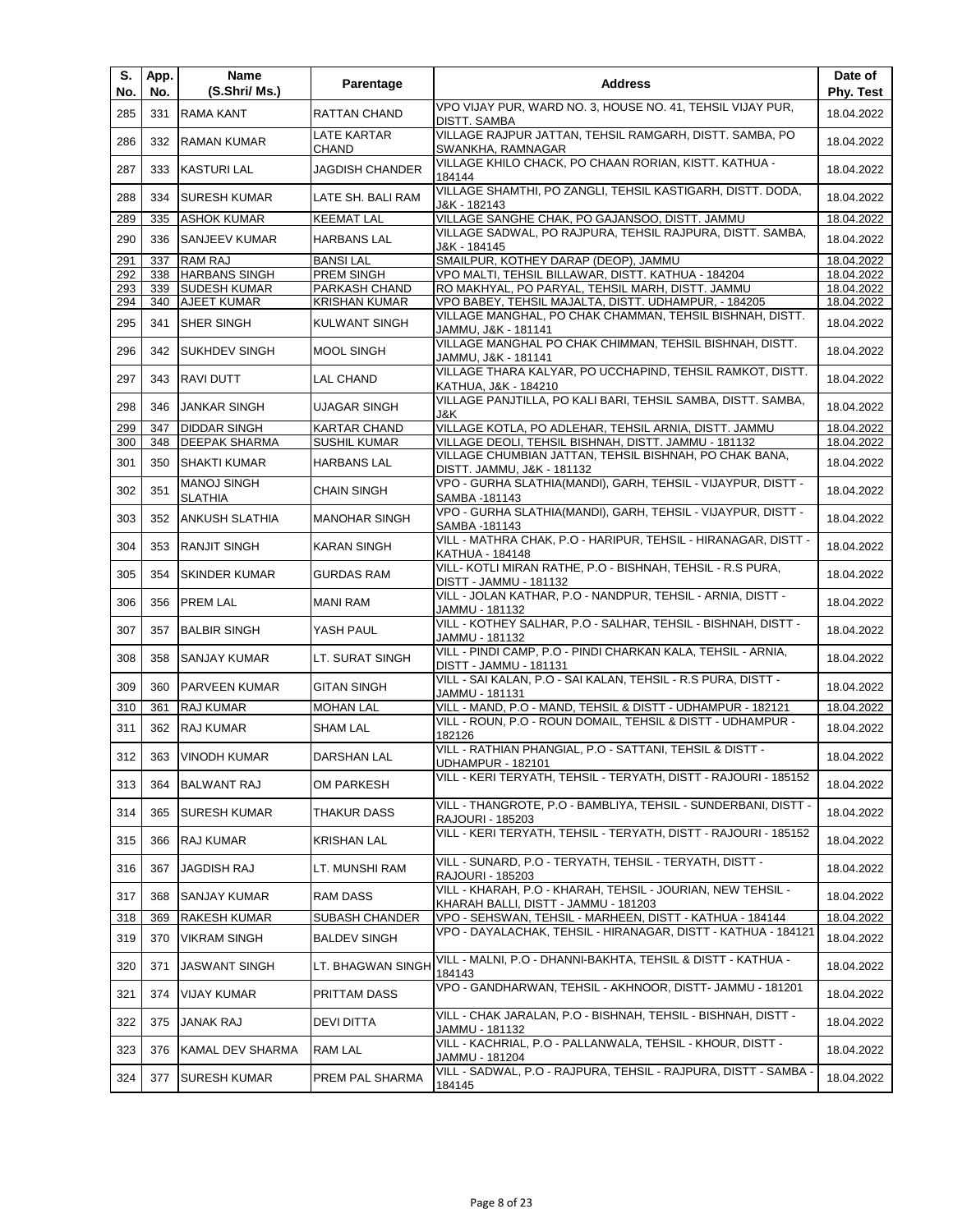| S.<br>No. | App.<br>No. | Name<br>(S.Shri/ Ms.)                | Parentage                   | <b>Address</b>                                                                                                   | Date of<br>Phy. Test |
|-----------|-------------|--------------------------------------|-----------------------------|------------------------------------------------------------------------------------------------------------------|----------------------|
| 285       | 331         | <b>RAMA KANT</b>                     | RATTAN CHAND                | VPO VIJAY PUR, WARD NO. 3, HOUSE NO. 41, TEHSIL VIJAY PUR,<br>DISTT. SAMBA                                       | 18.04.2022           |
| 286       | 332         | <b>RAMAN KUMAR</b>                   | LATE KARTAR<br><b>CHAND</b> | VILLAGE RAJPUR JATTAN, TEHSIL RAMGARH, DISTT. SAMBA, PO<br>SWANKHA, RAMNAGAR                                     | 18.04.2022           |
| 287       | 333         | <b>KASTURI LAL</b>                   | <b>JAGDISH CHANDER</b>      | VILLAGE KHILO CHACK, PO CHAAN RORIAN, KISTT. KATHUA -<br>184144                                                  | 18.04.2022           |
| 288       | 334         | <b>SURESH KUMAR</b>                  | LATE SH. BALI RAM           | VILLAGE SHAMTHI, PO ZANGLI, TEHSIL KASTIGARH, DISTT. DODA,<br>J&K - 182143                                       | 18.04.2022           |
| 289       | 335         | <b>ASHOK KUMAR</b>                   | <b>KEEMAT LAL</b>           | VILLAGE SANGHE CHAK, PO GAJANSOO, DISTT. JAMMU                                                                   | 18.04.2022           |
| 290       | 336         | <b>SANJEEV KUMAR</b>                 | <b>HARBANS LAL</b>          | VILLAGE SADWAL, PO RAJPURA, TEHSIL RAJPURA, DISTT. SAMBA,<br>J&K - 184145                                        | 18.04.2022           |
| 291       | 337         | RAM RAJ                              | <b>BANSI LAL</b>            | SMAILPUR, KOTHEY DARAP (DEOP), JAMMU                                                                             | 18.04.2022           |
| 292       | 338         | <b>HARBANS SINGH</b>                 | PREM SINGH                  | VPO MALTI, TEHSIL BILLAWAR, DISTT. KATHUA - 184204                                                               | 18.04.2022           |
| 293       | 339         | <b>SUDESH KUMAR</b>                  | PARKASH CHAND               | RO MAKHYAL, PO PARYAL, TEHSIL MARH, DISTT. JAMMU                                                                 | 18.04.2022           |
| 294       | 340         | <b>AJEET KUMAR</b>                   | <b>KRISHAN KUMAR</b>        | VPO BABEY, TEHSIL MAJALTA, DISTT. UDHAMPUR, - 184205<br>VILLAGE MANGHAL, PO CHAK CHAMMAN, TEHSIL BISHNAH, DISTT. | 18.04.2022           |
| 295       | 341         | SHER SINGH                           | <b>KULWANT SINGH</b>        | JAMMU, J&K - 181141                                                                                              | 18.04.2022           |
| 296       | 342         | <b>SUKHDEV SINGH</b>                 | <b>MOOL SINGH</b>           | VILLAGE MANGHAL PO CHAK CHIMMAN, TEHSIL BISHNAH, DISTT.<br>JAMMU, J&K - 181141                                   | 18.04.2022           |
| 297       | 343         | <b>RAVI DUTT</b>                     | LAL CHAND                   | VILLAGE THARA KALYAR, PO UCCHAPIND, TEHSIL RAMKOT, DISTT.<br>KATHUA, J&K - 184210                                | 18.04.2022           |
| 298       | 346         | <b>JANKAR SINGH</b>                  | UJAGAR SINGH                | VILLAGE PANJTILLA, PO KALI BARI, TEHSIL SAMBA, DISTT. SAMBA,<br>J&K.                                             | 18.04.2022           |
| 299       | 347         | <b>DIDDAR SINGH</b>                  | <b>KARTAR CHAND</b>         | VILLAGE KOTLA, PO ADLEHAR, TEHSIL ARNIA, DISTT. JAMMU                                                            | 18.04.2022           |
| 300       | 348         | DEEPAK SHARMA                        | SUSHIL KUMAR                | VILLAGE DEOLI, TEHSIL BISHNAH, DISTT. JAMMU - 181132                                                             | 18.04.2022           |
| 301       | 350         | <b>SHAKTI KUMAR</b>                  | <b>HARBANS LAL</b>          | VILLAGE CHUMBIAN JATTAN, TEHSIL BISHNAH, PO CHAK BANA,<br>DISTT. JAMMU, J&K - 181132                             | 18.04.2022           |
| 302       | 351         | <b>MANOJ SINGH</b><br><b>SLATHIA</b> | <b>CHAIN SINGH</b>          | VPO - GURHA SLATHIA(MANDI), GARH, TEHSIL - VIJAYPUR, DISTT -<br>SAMBA -181143                                    | 18.04.2022           |
| 303       | 352         | <b>ANKUSH SLATHIA</b>                | <b>MANOHAR SINGH</b>        | VPO - GURHA SLATHIA(MANDI), GARH, TEHSIL - VIJAYPUR, DISTT -<br>SAMBA -181143                                    | 18.04.2022           |
| 304       | 353         | <b>RANJIT SINGH</b>                  | <b>KARAN SINGH</b>          | VILL - MATHRA CHAK, P.O - HARIPUR, TEHSIL - HIRANAGAR, DISTT -<br>KATHUA - 184148                                | 18.04.2022           |
| 305       | 354         | <b>SKINDER KUMAR</b>                 | GURDAS RAM                  | VILL- KOTLI MIRAN RATHE, P.O - BISHNAH, TEHSIL - R.S PURA,<br>DISTT - JAMMU - 181132                             | 18.04.2022           |
| 306       | 356         | <b>PREM LAL</b>                      | <b>MANI RAM</b>             | VILL - JOLAN KATHAR, P.O - NANDPUR, TEHSIL - ARNIA, DISTT -<br>JAMMU - 181132                                    | 18.04.2022           |
| 307       | 357         | BALBIR SINGH                         | YASH PAUL                   | VILL - KOTHEY SALHAR, P.O - SALHAR, TEHSIL - BISHNAH, DISTT -<br>JAMMU - 181132                                  | 18.04.2022           |
| 308       | 358         | <b>SANJAY KUMAR</b>                  | LT. SURAT SINGH             | VILL - PINDI CAMP, P.O - PINDI CHARKAN KALA, TEHSIL - ARNIA,<br>DISTT - JAMMU - 181131                           | 18.04.2022           |
| 309       | 360         | <b>PARVEEN KUMAR</b>                 | <b>GITAN SINGH</b>          | VILL - SAI KALAN, P.O - SAI KALAN, TEHSIL - R.S PURA, DISTT -<br>JAMMU - 181131                                  | 18.04.2022           |
| 310       | 361         | RAJ KUMAR                            | <b>MOHAN LAL</b>            | VILL - MAND, P.O - MAND, TEHSIL & DISTT - UDHAMPUR - 182121                                                      | 18.04.2022           |
| 311       | 362         | <b>RAJ KUMAR</b>                     | SHAM LAL                    | VILL - ROUN, P.O - ROUN DOMAIL, TEHSIL & DISTT - UDHAMPUR -<br>182126                                            | 18.04.2022           |
| 312       |             | 363 VINODH KUMAR                     | <b>DARSHAN LAL</b>          | VILL - RATHIAN PHANGIAL, P.O - SATTANI, TEHSIL & DISTT -<br>UDHAMPUR - 182101                                    | 18.04.2022           |
| 313       | 364         | <b>BALWANT RAJ</b>                   | OM PARKESH                  | VILL - KERI TERYATH, TEHSIL - TERYATH, DISTT - RAJOURI - 185152                                                  | 18.04.2022           |
| 314       | 365         | SURESH KUMAR                         | THAKUR DASS                 | VILL - THANGROTE, P.O - BAMBLIYA, TEHSIL - SUNDERBANI, DISTT -<br>RAJOURI - 185203                               | 18.04.2022           |
| 315       | 366         | <b>RAJ KUMAR</b>                     | KRISHAN LAL                 | VILL - KERI TERYATH, TEHSIL - TERYATH, DISTT - RAJOURI - 185152                                                  | 18.04.2022           |
| 316       | 367         | JAGDISH RAJ                          | LT. MUNSHI RAM              | VILL - SUNARD, P.O - TERYATH, TEHSIL - TERYATH, DISTT -<br>RAJOURI - 185203                                      | 18.04.2022           |
| 317       | 368         | <b>SANJAY KUMAR</b>                  | RAM DASS                    | VILL - KHARAH, P.O - KHARAH, TEHSIL - JOURIAN, NEW TEHSIL -<br>KHARAH BALLI, DISTT - JAMMU - 181203              | 18.04.2022           |
| 318       | 369         | RAKESH KUMAR                         | SUBASH CHANDER              | VPO - SEHSWAN, TEHSIL - MARHEEN, DISTT - KATHUA - 184144                                                         | 18.04.2022           |
| 319       | 370         | <b>VIKRAM SINGH</b>                  | BALDEV SINGH                | VPO - DAYALACHAK, TEHSIL - HIRANAGAR, DISTT - KATHUA - 184121                                                    | 18.04.2022           |
| 320       | 371         | JASWANT SINGH                        | LT. BHAGWAN SINGH           | VILL - MALNI, P.O - DHANNI-BAKHTA, TEHSIL & DISTT - KATHUA -<br>184143                                           | 18.04.2022           |
| 321       | 374         | VIJAY KUMAR                          | PRITTAM DASS                | VPO - GANDHARWAN, TEHSIL - AKHNOOR, DISTT- JAMMU - 181201                                                        | 18.04.2022           |
| 322       | 375         | JANAK RAJ                            | DEVI DITTA                  | VILL - CHAK JARALAN, P.O - BISHNAH, TEHSIL - BISHNAH, DISTT -<br>JAMMU - 181132                                  | 18.04.2022           |
| 323       | 376         | KAMAL DEV SHARMA                     | RAM LAL                     | VILL - KACHRIAL, P.O - PALLANWALA, TEHSIL - KHOUR, DISTT -<br>JAMMU - 181204                                     | 18.04.2022           |
| 324       | 377         | <b>SURESH KUMAR</b>                  | PREM PAL SHARMA             | VILL - SADWAL, P.O - RAJPURA, TEHSIL - RAJPURA, DISTT - SAMBA -<br>184145                                        | 18.04.2022           |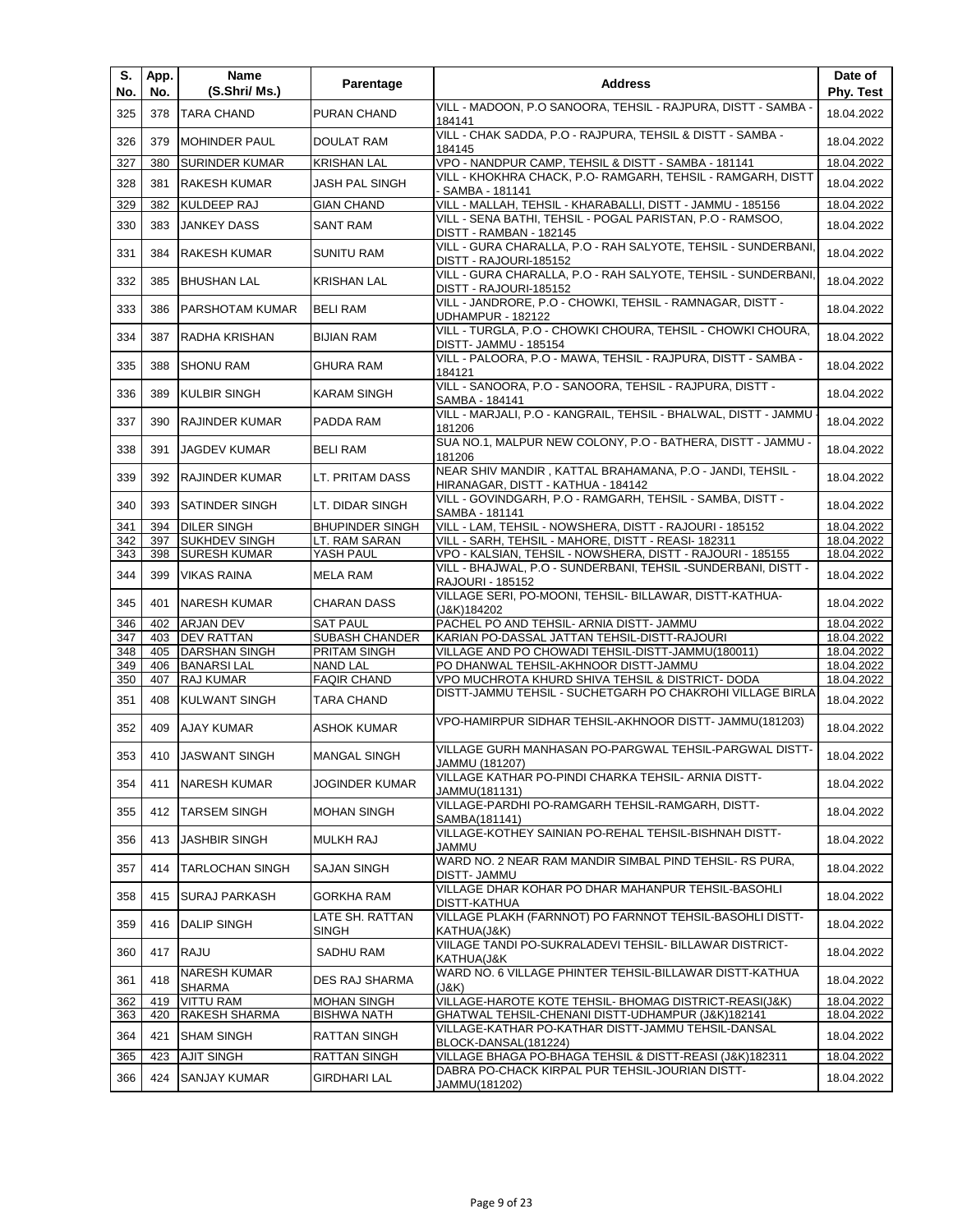| S.<br>No. | App.<br>No. | Name<br>(S.Shri/ Ms.)                | Parentage                | <b>Address</b>                                                                                  | Date of<br><b>Phy. Test</b> |
|-----------|-------------|--------------------------------------|--------------------------|-------------------------------------------------------------------------------------------------|-----------------------------|
| 325       | 378         | <b>TARA CHAND</b>                    | PURAN CHAND              | VILL - MADOON, P.O SANOORA, TEHSIL - RAJPURA, DISTT - SAMBA -<br>184141                         | 18.04.2022                  |
| 326       | 379         | <b>MOHINDER PAUL</b>                 | DOULAT RAM               | VILL - CHAK SADDA, P.O - RAJPURA, TEHSIL & DISTT - SAMBA -<br>184145                            | 18.04.2022                  |
| 327       | 380         | <b>SURINDER KUMAR</b>                | <b>KRISHAN LAL</b>       | VPO - NANDPUR CAMP, TEHSIL & DISTT - SAMBA - 181141                                             | 18.04.2022                  |
| 328       | 381         | <b>RAKESH KUMAR</b>                  | JASH PAL SINGH           | VILL - KHOKHRA CHACK, P.O- RAMGARH, TEHSIL - RAMGARH, DISTT<br>- SAMBA - 181141                 | 18.04.2022                  |
| 329       | 382         | KULDEEP RAJ                          | <b>GIAN CHAND</b>        | VILL - MALLAH, TEHSIL - KHARABALLI, DISTT - JAMMU - 185156                                      | 18.04.2022                  |
| 330       | 383         | <b>JANKEY DASS</b>                   | <b>SANT RAM</b>          | VILL - SENA BATHI, TEHSIL - POGAL PARISTAN, P.O - RAMSOO,<br>DISTT - RAMBAN - 182145            | 18.04.2022                  |
| 331       | 384         | <b>RAKESH KUMAR</b>                  | <b>SUNITU RAM</b>        | VILL - GURA CHARALLA, P.O - RAH SALYOTE, TEHSIL - SUNDERBANI,<br>DISTT - RAJOURI-185152         | 18.04.2022                  |
| 332       | 385         | <b>BHUSHAN LAL</b>                   | <b>KRISHAN LAL</b>       | VILL - GURA CHARALLA, P.O - RAH SALYOTE, TEHSIL - SUNDERBANI,<br>DISTT - RAJOURI-185152         | 18.04.2022                  |
| 333       | 386         | PARSHOTAM KUMAR                      | <b>BELI RAM</b>          | VILL - JANDRORE, P.O - CHOWKI, TEHSIL - RAMNAGAR, DISTT -<br><b>UDHAMPUR - 182122</b>           | 18.04.2022                  |
| 334       | 387         | RADHA KRISHAN                        | <b>BIJIAN RAM</b>        | VILL - TURGLA, P.O - CHOWKI CHOURA, TEHSIL - CHOWKI CHOURA,<br>DISTT- JAMMU - 185154            | 18.04.2022                  |
| 335       | 388         | <b>SHONU RAM</b>                     | <b>GHURA RAM</b>         | VILL - PALOORA, P.O - MAWA, TEHSIL - RAJPURA, DISTT - SAMBA -<br>184121                         | 18.04.2022                  |
| 336       | 389         | <b>KULBIR SINGH</b>                  | KARAM SINGH              | VILL - SANOORA, P.O - SANOORA, TEHSIL - RAJPURA, DISTT -<br>SAMBA - 184141                      | 18.04.2022                  |
| 337       | 390         | <b>RAJINDER KUMAR</b>                | PADDA RAM                | VILL - MARJALI, P.O - KANGRAIL, TEHSIL - BHALWAL, DISTT - JAMMU<br>181206                       | 18.04.2022                  |
| 338       | 391         | <b>JAGDEV KUMAR</b>                  | <b>BELI RAM</b>          | SUA NO.1, MALPUR NEW COLONY, P.O - BATHERA, DISTT - JAMMU -<br>181206                           | 18.04.2022                  |
| 339       | 392         | <b>RAJINDER KUMAR</b>                | LT. PRITAM DASS          | NEAR SHIV MANDIR, KATTAL BRAHAMANA, P.O - JANDI, TEHSIL -<br>HIRANAGAR, DISTT - KATHUA - 184142 | 18.04.2022                  |
| 340       | 393         | <b>SATINDER SINGH</b>                | LT. DIDAR SINGH          | VILL - GOVINDGARH, P.O - RAMGARH, TEHSIL - SAMBA, DISTT -<br>SAMBA - 181141                     | 18.04.2022                  |
| 341       | 394         | <b>DILER SINGH</b>                   | <b>BHUPINDER SINGH</b>   | VILL - LAM, TEHSIL - NOWSHERA, DISTT - RAJOURI - 185152                                         | 18.04.2022                  |
| 342       | 397         | <b>SUKHDEV SINGH</b>                 | LT. RAM SARAN            | VILL - SARH, TEHSIL - MAHORE, DISTT - REASI- 182311                                             | 18.04.2022                  |
| 343       | 398         | <b>SURESH KUMAR</b>                  | YASH PAUL                | VPO - KALSIAN, TEHSIL - NOWSHERA, DISTT - RAJOURI - 185155                                      | 18.04.2022                  |
| 344       | 399         | <b>VIKAS RAINA</b>                   | MELA RAM                 | VILL - BHAJWAL, P.O - SUNDERBANI, TEHSIL -SUNDERBANI, DISTT -<br>RAJOURI - 185152               | 18.04.2022                  |
| 345       | 401         | NARESH KUMAR                         | CHARAN DASS              | VILLAGE SERI, PO-MOONI, TEHSIL- BILLAWAR, DISTT-KATHUA-<br>(J&K)184202                          | 18.04.2022                  |
| 346       | 402         | ARJAN DEV                            | <b>SAT PAUL</b>          | PACHEL PO AND TEHSIL- ARNIA DISTT- JAMMU                                                        | 18.04.2022                  |
| 347       | 403         | <b>DEV RATTAN</b>                    | <b>SUBASH CHANDER</b>    | KARIAN PO-DASSAL JATTAN TEHSIL-DISTT-RAJOURI                                                    | 18.04.2022                  |
| 348       | 405         | <b>DARSHAN SINGH</b>                 | PRITAM SINGH             | VILLAGE AND PO CHOWADI TEHSIL-DISTT-JAMMU(180011)                                               | 18.04.2022                  |
| 349       | 406         | <b>BANARSILAL</b>                    | <b>NAND LAL</b>          | PO DHANWAL TEHSIL-AKHNOOR DISTT-JAMMU                                                           | 18.04.2022                  |
| 350       | 407         | RAJ KUMAR                            | <b>FAQIR CHAND</b>       | VPO MUCHROTA KHURD SHIVA TEHSIL & DISTRICT- DODA                                                | 18.04.2022                  |
| 351       | 408         | <b>KULWANT SINGH</b>                 | TARA CHAND               | DISTT-JAMMU TEHSIL - SUCHETGARH PO CHAKROHI VILLAGE BIRLA                                       | 18.04.2022                  |
| 352       | 409         | <b>AJAY KUMAR</b>                    | ASHOK KUMAR              | VPO-HAMIRPUR SIDHAR TEHSIL-AKHNOOR DISTT- JAMMU(181203)                                         | 18.04.2022                  |
| 353       |             | 410 JASWANT SINGH                    | <b>MANGAL SINGH</b>      | VILLAGE GURH MANHASAN PO-PARGWAL TEHSIL-PARGWAL DISTT-<br>JAMMU (181207)                        | 18.04.2022                  |
| 354       | 411         | <b>NARESH KUMAR</b>                  | JOGINDER KUMAR           | VILLAGE KATHAR PO-PINDI CHARKA TEHSIL- ARNIA DISTT-<br>JAMMU(181131)                            | 18.04.2022                  |
| 355       | 412         | <b>TARSEM SINGH</b>                  | <b>MOHAN SINGH</b>       | VILLAGE-PARDHI PO-RAMGARH TEHSIL-RAMGARH, DISTT-<br>SAMBA(181141)                               | 18.04.2022                  |
| 356       | 413         | <b>JASHBIR SINGH</b>                 | <b>MULKH RAJ</b>         | VILLAGE-KOTHEY SAINIAN PO-REHAL TEHSIL-BISHNAH DISTT-<br>JAMMU                                  | 18.04.2022                  |
| 357       | 414         | <b>TARLOCHAN SINGH</b>               | <b>SAJAN SINGH</b>       | WARD NO. 2 NEAR RAM MANDIR SIMBAL PIND TEHSIL- RS PURA,<br><b>DISTT- JAMMU</b>                  | 18.04.2022                  |
| 358       | 415         | <b>SURAJ PARKASH</b>                 | <b>GORKHA RAM</b>        | VILLAGE DHAR KOHAR PO DHAR MAHANPUR TEHSIL-BASOHLI<br>DISTT-KATHUA                              | 18.04.2022                  |
| 359       | 416         | <b>DALIP SINGH</b>                   | LATE SH. RATTAN<br>SINGH | VILLAGE PLAKH (FARNNOT) PO FARNNOT TEHSIL-BASOHLI DISTT-<br>KATHUA(J&K)                         | 18.04.2022                  |
| 360       | 417         | <b>RAJU</b>                          | SADHU RAM                | VIILAGE TANDI PO-SUKRALADEVI TEHSIL- BILLAWAR DISTRICT-<br>KATHUA(J&K                           | 18.04.2022                  |
| 361       | 418         | <b>NARESH KUMAR</b><br><b>SHARMA</b> | DES RAJ SHARMA           | WARD NO. 6 VILLAGE PHINTER TEHSIL-BILLAWAR DISTT-KATHUA<br>(J&K)                                | 18.04.2022                  |
| 362       | 419         | <b>VITTU RAM</b>                     | <b>MOHAN SINGH</b>       | VILLAGE-HAROTE KOTE TEHSIL- BHOMAG DISTRICT-REASI(J&K)                                          | 18.04.2022                  |
| 363       | 420         | RAKESH SHARMA                        | <b>BISHWA NATH</b>       | GHATWAL TEHSIL-CHENANI DISTT-UDHAMPUR (J&K)182141                                               | 18.04.2022                  |
| 364       | 421         | <b>SHAM SINGH</b>                    | RATTAN SINGH             | VILLAGE-KATHAR PO-KATHAR DISTT-JAMMU TEHSIL-DANSAL<br>BLOCK-DANSAL(181224)                      | 18.04.2022                  |
| 365       | 423         | <b>AJIT SINGH</b>                    | RATTAN SINGH             | VILLAGE BHAGA PO-BHAGA TEHSIL & DISTT-REASI (J&K)182311                                         | 18.04.2022                  |
| 366       | 424         | SANJAY KUMAR                         | <b>GIRDHARI LAL</b>      | DABRA PO-CHACK KIRPAL PUR TEHSIL-JOURIAN DISTT-<br>JAMMU(181202)                                | 18.04.2022                  |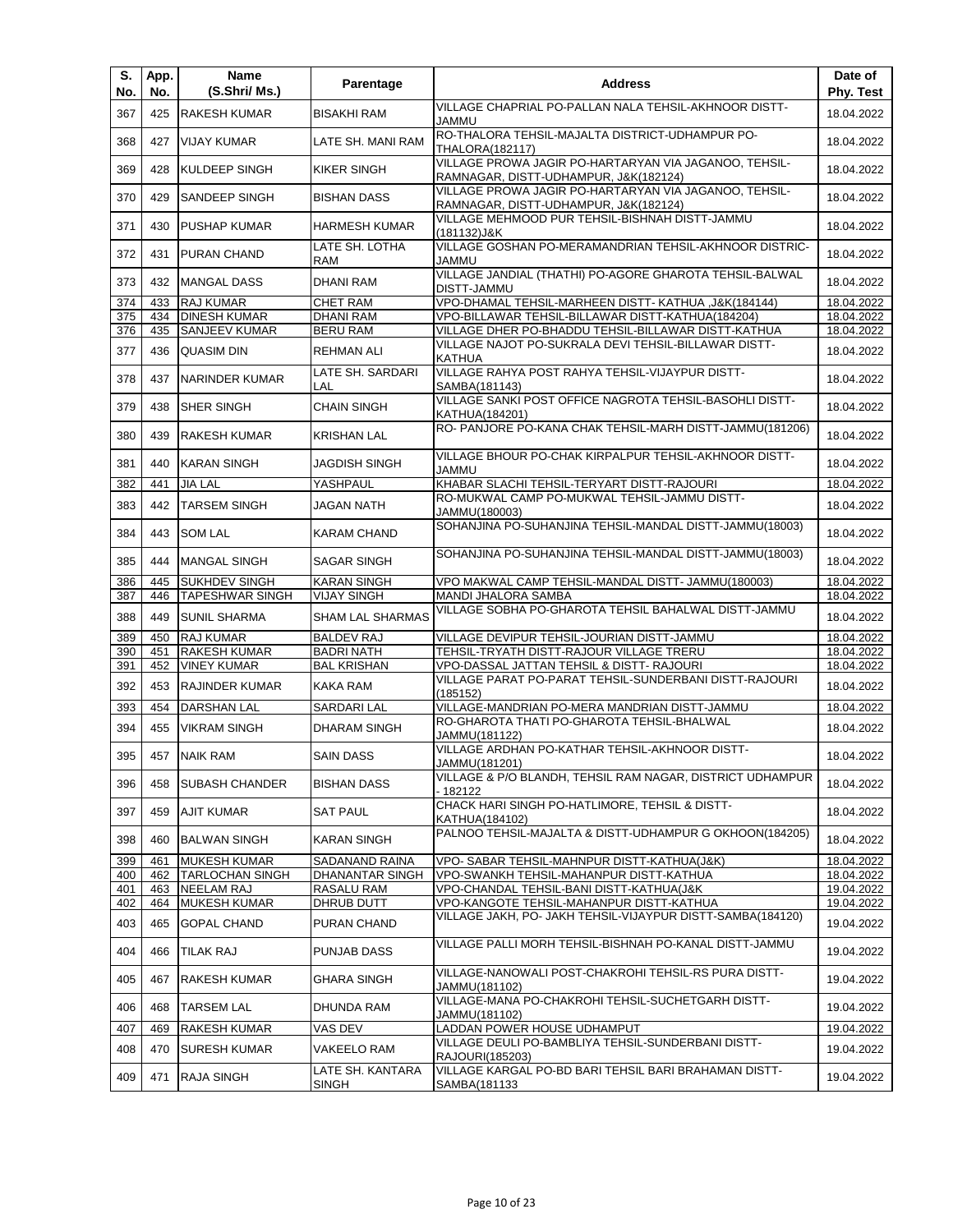| S.<br>No.  | App.<br>No. | Name<br>(S.Shri/ Ms.)                         | Parentage                                     | <b>Address</b>                                                                                 | Date of<br>Phy. Test     |
|------------|-------------|-----------------------------------------------|-----------------------------------------------|------------------------------------------------------------------------------------------------|--------------------------|
| 367        | 425         | <b>RAKESH KUMAR</b>                           | BISAKHI RAM                                   | VILLAGE CHAPRIAL PO-PALLAN NALA TEHSIL-AKHNOOR DISTT-<br>JAMMU                                 | 18.04.2022               |
| 368        | 427         | <b>VIJAY KUMAR</b>                            | LATE SH. MANI RAM                             | RO-THALORA TEHSIL-MAJALTA DISTRICT-UDHAMPUR PO-<br><b>THALORA(182117)</b>                      | 18.04.2022               |
| 369        | 428         | KULDEEP SINGH                                 | KIKER SINGH                                   | VILLAGE PROWA JAGIR PO-HARTARYAN VIA JAGANOO, TEHSIL-<br>RAMNAGAR, DISTT-UDHAMPUR, J&K(182124) | 18.04.2022               |
| 370        | 429         | SANDEEP SINGH                                 | <b>BISHAN DASS</b>                            | VILLAGE PROWA JAGIR PO-HARTARYAN VIA JAGANOO, TEHSIL-<br>RAMNAGAR, DISTT-UDHAMPUR, J&K(182124) | 18.04.2022               |
| 371        | 430         | PUSHAP KUMAR                                  | <b>HARMESH KUMAR</b>                          | VILLAGE MEHMOOD PUR TEHSIL-BISHNAH DISTT-JAMMU<br>(181132)J&K                                  | 18.04.2022               |
| 372        | 431         | PURAN CHAND                                   | LATE SH. LOTHA<br>RAM                         | VILLAGE GOSHAN PO-MERAMANDRIAN TEHSIL-AKHNOOR DISTRIC-<br>JAMMU                                | 18.04.2022               |
| 373        | 432         | <b>MANGAL DASS</b>                            | <b>DHANI RAM</b>                              | VILLAGE JANDIAL (THATHI) PO-AGORE GHAROTA TEHSIL-BALWAL<br><b>DISTT-JAMMU</b>                  | 18.04.2022               |
| 374        | 433         | <b>RAJ KUMAR</b>                              | <b>CHET RAM</b>                               | VPO-DHAMAL TEHSIL-MARHEEN DISTT- KATHUA , J&K(184144)                                          | 18.04.2022               |
| 375        | 434         | <b>DINESH KUMAR</b>                           | <b>DHANI RAM</b>                              | VPO-BILLAWAR TEHSIL-BILLAWAR DISTT-KATHUA(184204)                                              | 18.04.2022               |
| 376        | 435         | <b>SANJEEV KUMAR</b>                          | <b>BERU RAM</b>                               | VILLAGE DHER PO-BHADDU TEHSIL-BILLAWAR DISTT-KATHUA                                            | 18.04.2022               |
| 377        | 436         | <b>QUASIM DIN</b>                             | <b>REHMAN ALI</b>                             | VILLAGE NAJOT PO-SUKRALA DEVI TEHSIL-BILLAWAR DISTT-<br><b>KATHUA</b>                          | 18.04.2022               |
| 378        | 437         | <b>NARINDER KUMAR</b>                         | LATE SH. SARDARI<br>LAL                       | VILLAGE RAHYA POST RAHYA TEHSIL-VIJAYPUR DISTT-<br>SAMBA(181143)                               | 18.04.2022               |
| 379        | 438         | SHER SINGH                                    | <b>CHAIN SINGH</b>                            | VILLAGE SANKI POST OFFICE NAGROTA TEHSIL-BASOHLI DISTT-<br>KATHUA(184201)                      | 18.04.2022               |
| 380        | 439         | RAKESH KUMAR                                  | <b>KRISHAN LAL</b>                            | RO- PANJORE PO-KANA CHAK TEHSIL-MARH DISTT-JAMMU(181206)                                       | 18.04.2022               |
| 381        | 440         | <b>KARAN SINGH</b>                            | JAGDISH SINGH                                 | VILLAGE BHOUR PO-CHAK KIRPALPUR TEHSIL-AKHNOOR DISTT-<br><b>JAMMU</b>                          | 18.04.2022               |
| 382        | 441         | <b>JIA LAL</b>                                | YASHPAUL                                      | KHABAR SLACHI TEHSIL-TERYART DISTT-RAJOURI                                                     | 18.04.2022               |
| 383        | 442         | <b>TARSEM SINGH</b>                           | JAGAN NATH                                    | RO-MUKWAL CAMP PO-MUKWAL TEHSIL-JAMMU DISTT-<br>JAMMU(180003)                                  | 18.04.2022               |
| 384        | 443         | <b>SOM LAL</b>                                | KARAM CHAND                                   | SOHANJINA PO-SUHANJINA TEHSIL-MANDAL DISTT-JAMMU(18003)                                        | 18.04.2022               |
| 385        | 444         | <b>MANGAL SINGH</b>                           | <b>SAGAR SINGH</b>                            | SOHANJINA PO-SUHANJINA TEHSIL-MANDAL DISTT-JAMMU(18003)                                        | 18.04.2022               |
| 386        | 445         | <b>SUKHDEV SINGH</b>                          | <b>KARAN SINGH</b>                            | VPO MAKWAL CAMP TEHSIL-MANDAL DISTT- JAMMU(180003)                                             | 18.04.2022               |
| 387<br>388 | 446<br>449  | <b>TAPESHWAR SINGH</b><br><b>SUNIL SHARMA</b> | <b>VIJAY SINGH</b><br><b>SHAM LAL SHARMAS</b> | MANDI JHALORA SAMBA<br>VILLAGE SOBHA PO-GHAROTA TEHSIL BAHALWAL DISTT-JAMMU                    | 18.04.2022<br>18.04.2022 |
| 389        | 450         | RAJ KUMAR                                     | <b>BALDEV RAJ</b>                             | VILLAGE DEVIPUR TEHSIL-JOURIAN DISTT-JAMMU                                                     | 18.04.2022               |
| 390        | 451         | <b>RAKESH KUMAR</b>                           | <b>BADRI NATH</b>                             | TEHSIL-TRYATH DISTT-RAJOUR VILLAGE TRERU                                                       | 18.04.2022               |
| 391        | 452         | <b>VINEY KUMAR</b>                            | <b>BAL KRISHAN</b>                            | VPO-DASSAL JATTAN TEHSIL & DISTT- RAJOURI                                                      | 18.04.2022               |
| 392        | 453         | <b>RAJINDER KUMAR</b>                         | <b>KAKA RAM</b>                               | VILLAGE PARAT PO-PARAT TEHSIL-SUNDERBANI DISTT-RAJOURI<br>(185152)                             | 18.04.2022               |
| 393        | 454         | <b>DARSHAN LAL</b>                            | SARDARI LAL                                   | VILLAGE-MANDRIAN PO-MERA MANDRIAN DISTT-JAMMU                                                  | 18.04.2022               |
| 394        | 455         | <b>VIKRAM SINGH</b>                           | DHARAM SINGH                                  | RO-GHAROTA THATI PO-GHAROTA TEHSIL-BHALWAL<br>JAMMU(181122)                                    | 18.04.2022               |
| 395        |             | 457 NAIK RAM                                  | <b>SAIN DASS</b>                              | VILLAGE ARDHAN PO-KATHAR TEHSIL-AKHNOOR DISTT-<br>JAMMU(181201)                                | 18.04.2022               |
| 396        | 458         | <b>SUBASH CHANDER</b>                         | <b>BISHAN DASS</b>                            | VILLAGE & P/O BLANDH, TEHSIL RAM NAGAR, DISTRICT UDHAMPUR<br>- 182122                          | 18.04.2022               |
| 397        | 459         | <b>AJIT KUMAR</b>                             | <b>SAT PAUL</b>                               | CHACK HARI SINGH PO-HATLIMORE. TEHSIL & DISTT-<br>KATHUA(184102)                               | 18.04.2022               |
| 398        | 460         | <b>BALWAN SINGH</b>                           | <b>KARAN SINGH</b>                            | PALNOO TEHSIL-MAJALTA & DISTT-UDHAMPUR G OKHOON(184205)                                        | 18.04.2022               |
| 399        | 461         | <b>MUKESH KUMAR</b>                           | SADANAND RAINA                                | VPO- SABAR TEHSIL-MAHNPUR DISTT-KATHUA(J&K)                                                    | 18.04.2022               |
| 400        | 462         | <b>TARLOCHAN SINGH</b>                        | DHANANTAR SINGH                               | VPO-SWANKH TEHSIL-MAHANPUR DISTT-KATHUA                                                        | 18.04.2022               |
| 401        | 463         | <b>NEELAM RAJ</b>                             | RASALU RAM                                    | VPO-CHANDAL TEHSIL-BANI DISTT-KATHUA(J&K                                                       | 19.04.2022               |
| 402        | 464         | <b>MUKESH KUMAR</b>                           | DHRUB DUTT                                    | VPO-KANGOTE TEHSIL-MAHANPUR DISTT-KATHUA                                                       | 19.04.2022               |
| 403        | 465         | <b>GOPAL CHAND</b>                            | PURAN CHAND                                   | VILLAGE JAKH, PO- JAKH TEHSIL-VIJAYPUR DISTT-SAMBA(184120)                                     | 19.04.2022               |
| 404        | 466         | TILAK RAJ                                     | PUNJAB DASS                                   | VILLAGE PALLI MORH TEHSIL-BISHNAH PO-KANAL DISTT-JAMMU                                         | 19.04.2022               |
| 405        | 467         | RAKESH KUMAR                                  | GHARA SINGH                                   | VILLAGE-NANOWALI POST-CHAKROHI TEHSIL-RS PURA DISTT-<br>JAMMU(181102)                          | 19.04.2022               |
| 406        | 468         | <b>TARSEM LAL</b>                             | DHUNDA RAM                                    | VILLAGE-MANA PO-CHAKROHI TEHSIL-SUCHETGARH DISTT-<br>JAMMU(181102)                             | 19.04.2022               |
| 407        | 469         | <b>RAKESH KUMAR</b>                           | VAS DEV                                       | LADDAN POWER HOUSE UDHAMPUT                                                                    | 19.04.2022               |
| 408        | 470         | <b>SURESH KUMAR</b>                           | VAKEELO RAM                                   | VILLAGE DEULI PO-BAMBLIYA TEHSIL-SUNDERBANI DISTT-<br>RAJOURI(185203)                          | 19.04.2022               |
| 409        | 471         | <b>RAJA SINGH</b>                             | LATE SH. KANTARA<br><b>SINGH</b>              | VILLAGE KARGAL PO-BD BARI TEHSIL BARI BRAHAMAN DISTT-<br>SAMBA(181133                          | 19.04.2022               |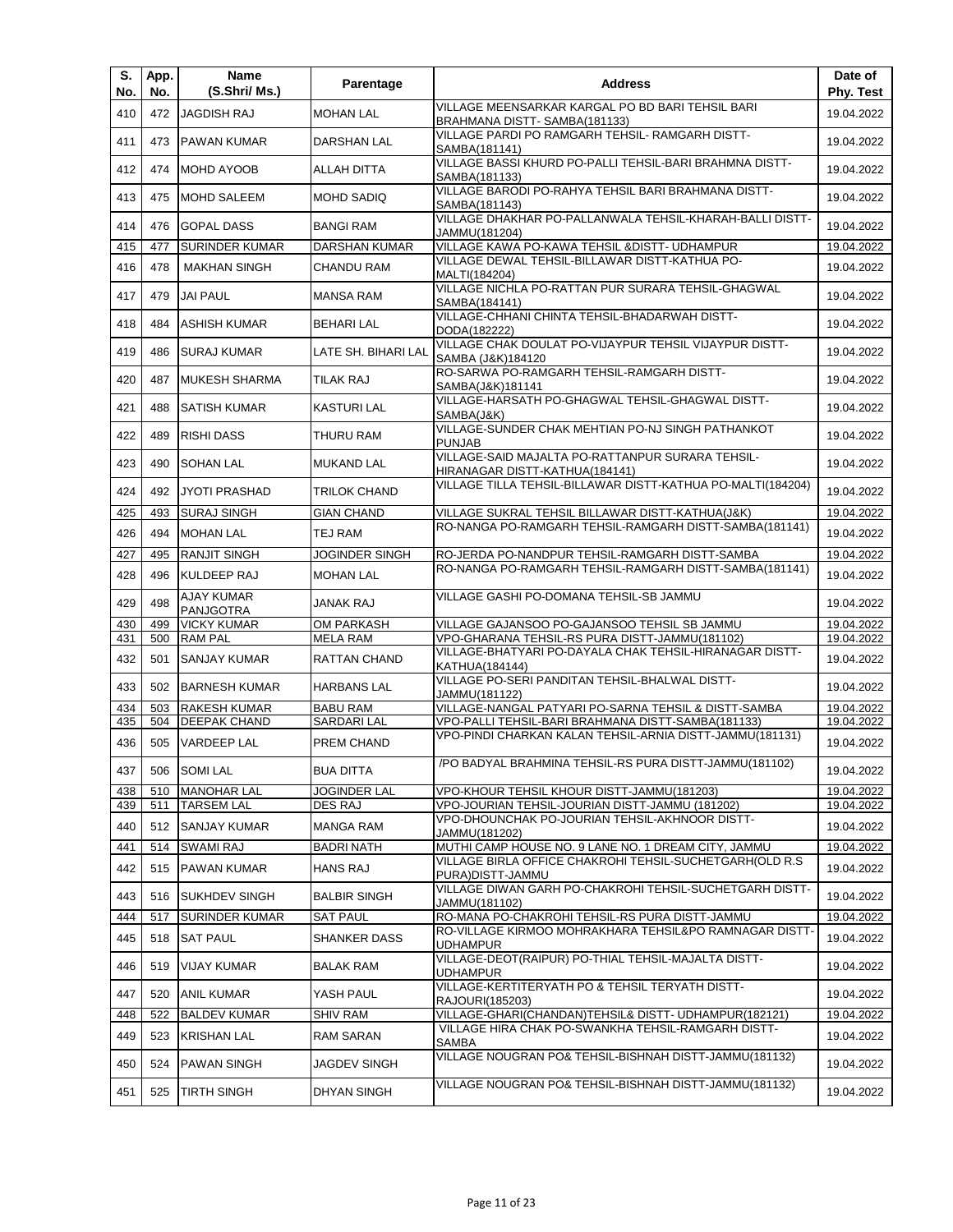| S.<br>No.  | App.<br>No. | Name<br>(S.Shri/ Ms.)                       | Parentage                             | <b>Address</b>                                                                                            | Date of<br>Phy. Test     |
|------------|-------------|---------------------------------------------|---------------------------------------|-----------------------------------------------------------------------------------------------------------|--------------------------|
| 410        | 472         | <b>JAGDISH RAJ</b>                          | <b>MOHAN LAL</b>                      | VILLAGE MEENSARKAR KARGAL PO BD BARI TEHSIL BARI                                                          | 19.04.2022               |
| 411        | 473         | <b>PAWAN KUMAR</b>                          | <b>DARSHAN LAL</b>                    | BRAHMANA DISTT-SAMBA(181133)<br>VILLAGE PARDI PO RAMGARH TEHSIL- RAMGARH DISTT-<br>SAMBA(181141)          | 19.04.2022               |
| 412        | 474         | <b>MOHD AYOOB</b>                           | ALLAH DITTA                           | VILLAGE BASSI KHURD PO-PALLI TEHSIL-BARI BRAHMNA DISTT-<br>SAMBA(181133)                                  | 19.04.2022               |
| 413        | 475         | <b>MOHD SALEEM</b>                          | <b>MOHD SADIQ</b>                     | VILLAGE BARODI PO-RAHYA TEHSIL BARI BRAHMANA DISTT-<br>SAMBA(181143)                                      | 19.04.2022               |
| 414        | 476         | <b>GOPAL DASS</b>                           | <b>BANGI RAM</b>                      | VILLAGE DHAKHAR PO-PALLANWALA TEHSIL-KHARAH-BALLI DISTT-<br>JAMMU(181204)                                 | 19.04.2022               |
| 415        | 477         | <b>SURINDER KUMAR</b>                       | <b>DARSHAN KUMAR</b>                  | VILLAGE KAWA PO-KAWA TEHSIL & DISTT- UDHAMPUR                                                             | 19.04.2022               |
| 416        | 478         | <b>MAKHAN SINGH</b>                         | <b>CHANDU RAM</b>                     | VILLAGE DEWAL TEHSIL-BILLAWAR DISTT-KATHUA PO-<br>MALTI(184204)                                           | 19.04.2022               |
| 417        | 479         | <b>JAI PAUL</b>                             | <b>MANSA RAM</b>                      | VILLAGE NICHLA PO-RATTAN PUR SURARA TEHSIL-GHAGWAL<br>SAMBA(184141)                                       | 19.04.2022               |
| 418        | 484         | <b>ASHISH KUMAR</b>                         | <b>BEHARI LAL</b>                     | VILLAGE-CHHANI CHINTA TEHSIL-BHADARWAH DISTT-<br>DODA(182222)                                             | 19.04.2022               |
| 419        | 486         | <b>SURAJ KUMAR</b>                          | LATE SH. BIHARI LAL                   | VILLAGE CHAK DOULAT PO-VIJAYPUR TEHSIL VIJAYPUR DISTT-<br>SAMBA (J&K)184120                               | 19.04.2022               |
| 420        | 487         | <b>MUKESH SHARMA</b>                        | TILAK RAJ                             | RO-SARWA PO-RAMGARH TEHSIL-RAMGARH DISTT-<br>SAMBA(J&K)181141                                             | 19.04.2022               |
| 421        | 488         | <b>SATISH KUMAR</b>                         | <b>KASTURI LAL</b>                    | VILLAGE-HARSATH PO-GHAGWAL TEHSIL-GHAGWAL DISTT-<br>SAMBA(J&K)                                            | 19.04.2022               |
| 422        | 489         | <b>RISHI DASS</b>                           | THURU RAM                             | VILLAGE-SUNDER CHAK MEHTIAN PO-NJ SINGH PATHANKOT<br><b>PUNJAB</b>                                        | 19.04.2022               |
| 423        | 490         | <b>SOHAN LAL</b>                            | <b>MUKAND LAL</b>                     | VILLAGE-SAID MAJALTA PO-RATTANPUR SURARA TEHSIL-<br>HIRANAGAR DISTT-KATHUA(184141)                        | 19.04.2022               |
| 424        | 492         | JYOTI PRASHAD                               | <b>TRILOK CHAND</b>                   | VILLAGE TILLA TEHSIL-BILLAWAR DISTT-KATHUA PO-MALTI(184204)                                               | 19.04.2022               |
| 425        | 493         | <b>SURAJ SINGH</b>                          | <b>GIAN CHAND</b>                     | VILLAGE SUKRAL TEHSIL BILLAWAR DISTT-KATHUA(J&K)                                                          | 19.04.2022               |
| 426        | 494         | <b>MOHAN LAL</b>                            | TEJ RAM                               | RO-NANGA PO-RAMGARH TEHSIL-RAMGARH DISTT-SAMBA(181141)                                                    | 19.04.2022               |
| 427        | 495         | <b>RANJIT SINGH</b>                         | <b>JOGINDER SINGH</b>                 | RO-JERDA PO-NANDPUR TEHSIL-RAMGARH DISTT-SAMBA                                                            | 19.04.2022               |
| 428        | 496         | <b>KULDEEP RAJ</b>                          | <b>MOHAN LAL</b>                      | RO-NANGA PO-RAMGARH TEHSIL-RAMGARH DISTT-SAMBA(181141)                                                    | 19.04.2022               |
| 429        | 498         | <b>AJAY KUMAR</b><br><b>PANJGOTRA</b>       | <b>JANAK RAJ</b>                      | VILLAGE GASHI PO-DOMANA TEHSIL-SB JAMMU                                                                   | 19.04.2022               |
| 430        | 499         | <b>VICKY KUMAR</b>                          | <b>OM PARKASH</b>                     | VILLAGE GAJANSOO PO-GAJANSOO TEHSIL SB JAMMU                                                              | 19.04.2022               |
| 431        | 500         | <b>RAM PAL</b>                              | <b>MELA RAM</b>                       | VPO-GHARANA TEHSIL-RS PURA DISTT-JAMMU(181102)<br>VILLAGE-BHATYARI PO-DAYALA CHAK TEHSIL-HIRANAGAR DISTT- | 19.04.2022               |
| 432        | 501         | <b>SANJAY KUMAR</b>                         | RATTAN CHAND                          | KATHUA(184144)<br>VILLAGE PO-SERI PANDITAN TEHSIL-BHALWAL DISTT-                                          | 19.04.2022               |
| 433        | 502         | <b>BARNESH KUMAR</b><br><b>RAKESH KUMAR</b> | <b>HARBANS LAL</b><br><b>BABU RAM</b> | JAMMU(181122)<br>VILLAGE-NANGAL PATYARI PO-SARNA TEHSIL & DISTT-SAMBA                                     | 19.04.2022<br>19.04.2022 |
| 434<br>435 | 503<br>504  | <b>DEEPAK CHAND</b>                         | <b>SARDARI LAL</b>                    | VPO-PALLI TEHSIL-BARI BRAHMANA DISTT-SAMBA(181133)                                                        | 19.04.2022               |
| 436        | 505         | <b>VARDEEP LAL</b>                          | PREM CHAND                            | VPO-PINDI CHARKAN KALAN TEHSIL-ARNIA DISTT-JAMMU(181131)                                                  | 19.04.2022               |
| 437        | 506         | <b>SOMILAL</b>                              | <b>BUA DITTA</b>                      | /PO BADYAL BRAHMINA TEHSIL-RS PURA DISTT-JAMMU(181102)                                                    | 19.04.2022               |
| 438        | 510         | <b>MANOHAR LAL</b>                          | JOGINDER LAL                          | VPO-KHOUR TEHSIL KHOUR DISTT-JAMMU(181203)                                                                | 19.04.2022               |
| 439        | 511         | <b>TARSEM LAL</b>                           | DES RAJ                               | VPO-JOURIAN TEHSIL-JOURIAN DISTT-JAMMU (181202)                                                           | 19.04.2022               |
| 440        | 512         | <b>SANJAY KUMAR</b>                         | <b>MANGA RAM</b>                      | VPO-DHOUNCHAK PO-JOURIAN TEHSIL-AKHNOOR DISTT-<br>JAMMU(181202)                                           | 19.04.2022               |
| 441        | 514         | <b>SWAMI RAJ</b>                            | <b>BADRI NATH</b>                     | MUTHI CAMP HOUSE NO. 9 LANE NO. 1 DREAM CITY, JAMMU                                                       | 19.04.2022               |
| 442        | 515         | PAWAN KUMAR                                 | HANS RAJ                              | VILLAGE BIRLA OFFICE CHAKROHI TEHSIL-SUCHETGARH(OLD R.S.<br>PURA) DISTT-JAMMU                             | 19.04.2022               |
| 443        | 516         | <b>SUKHDEV SINGH</b>                        | <b>BALBIR SINGH</b>                   | VILLAGE DIWAN GARH PO-CHAKROHI TEHSIL-SUCHETGARH DISTT-<br>JAMMU(181102)                                  | 19.04.2022               |
| 444        | 517         | <b>SURINDER KUMAR</b>                       | <b>SAT PAUL</b>                       | RO-MANA PO-CHAKROHI TEHSIL-RS PURA DISTT-JAMMU                                                            | 19.04.2022               |
| 445        | 518         | <b>SAT PAUL</b>                             | SHANKER DASS                          | RO-VILLAGE KIRMOO MOHRAKHARA TEHSIL&PO RAMNAGAR DISTT-<br><b>UDHAMPUR</b>                                 | 19.04.2022               |
| 446        | 519         | VIJAY KUMAR                                 | <b>BALAK RAM</b>                      | VILLAGE-DEOT(RAIPUR) PO-THIAL TEHSIL-MAJALTA DISTT-<br><b>UDHAMPUR</b>                                    | 19.04.2022               |
| 447        | 520         | <b>ANIL KUMAR</b>                           | YASH PAUL                             | VILLAGE-KERTITERYATH PO & TEHSIL TERYATH DISTT-<br>RAJOURI(185203)                                        | 19.04.2022               |
| 448        | 522         | <b>BALDEV KUMAR</b>                         | <b>SHIV RAM</b>                       | VILLAGE-GHARI(CHANDAN)TEHSIL& DISTT- UDHAMPUR(182121)                                                     | 19.04.2022               |
| 449        | 523         | <b>KRISHAN LAL</b>                          | RAM SARAN                             | VILLAGE HIRA CHAK PO-SWANKHA TEHSIL-RAMGARH DISTT-<br>SAMBA                                               | 19.04.2022               |
| 450        | 524         | <b>PAWAN SINGH</b>                          | JAGDEV SINGH                          | VILLAGE NOUGRAN PO& TEHSIL-BISHNAH DISTT-JAMMU(181132)                                                    | 19.04.2022               |
| 451        | 525         | <b>TIRTH SINGH</b>                          | <b>DHYAN SINGH</b>                    | VILLAGE NOUGRAN PO& TEHSIL-BISHNAH DISTT-JAMMU(181132)                                                    | 19.04.2022               |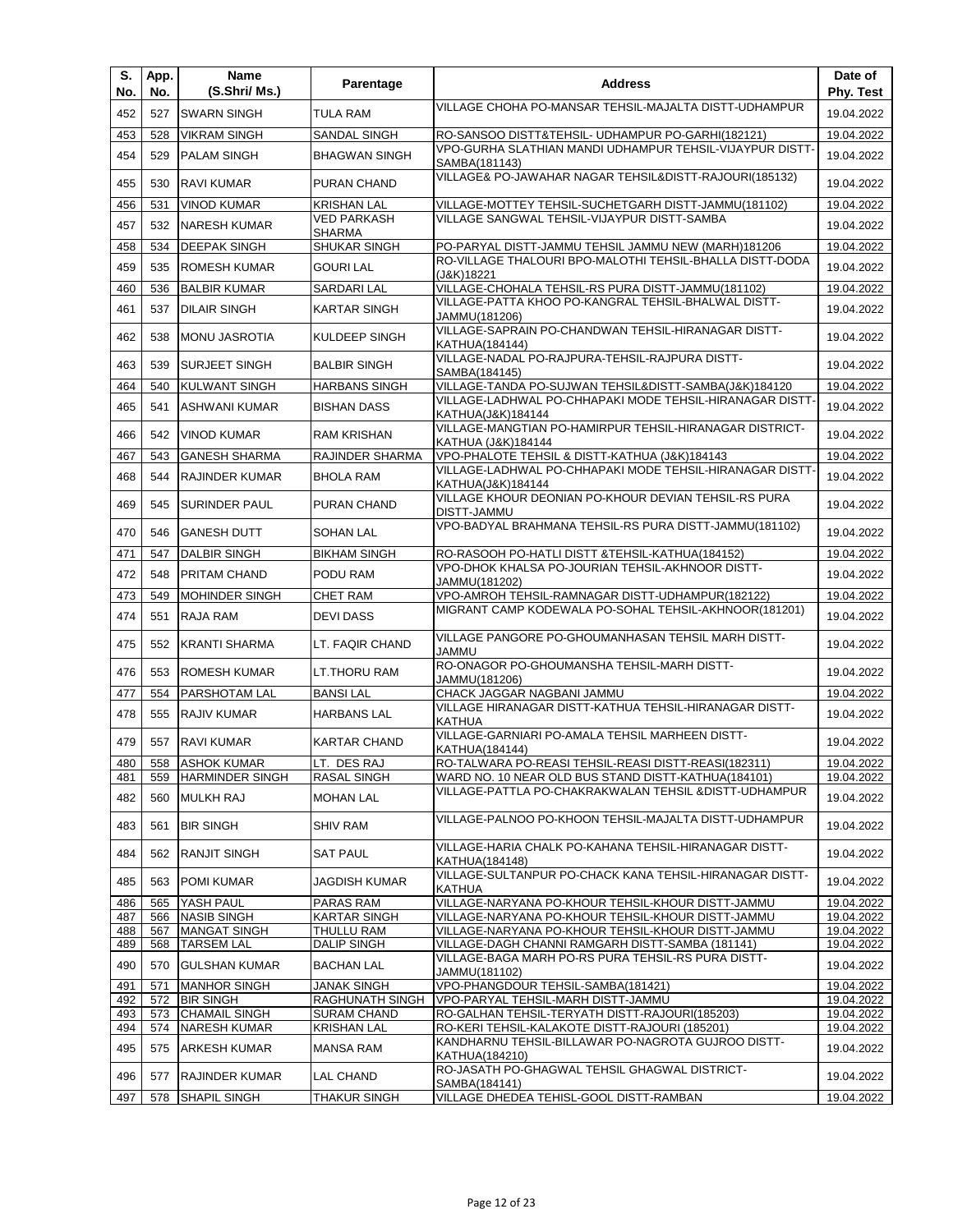| S.<br>No.  | App.<br>No. | <b>Name</b><br>(S.Shri/ Ms.)                  | Parentage                                | <b>Address</b>                                                                                              | Date of<br>Phy. Test     |
|------------|-------------|-----------------------------------------------|------------------------------------------|-------------------------------------------------------------------------------------------------------------|--------------------------|
| 452        | 527         | <b>SWARN SINGH</b>                            | <b>TULA RAM</b>                          | VILLAGE CHOHA PO-MANSAR TEHSIL-MAJALTA DISTT-UDHAMPUR                                                       | 19.04.2022               |
| 453        | 528         | <b>VIKRAM SINGH</b>                           | SANDAL SINGH                             | RO-SANSOO DISTT&TEHSIL- UDHAMPUR PO-GARHI(182121)                                                           | 19.04.2022               |
| 454        | 529         | <b>PALAM SINGH</b>                            | <b>BHAGWAN SINGH</b>                     | VPO-GURHA SLATHIAN MANDI UDHAMPUR TEHSIL-VIJAYPUR DISTT-                                                    | 19.04.2022               |
| 455        | 530         | <b>RAVI KUMAR</b>                             | PURAN CHAND                              | SAMBA(181143)<br>VILLAGE& PO-JAWAHAR NAGAR TEHSIL&DISTT-RAJOURI(185132)                                     | 19.04.2022               |
|            |             |                                               |                                          |                                                                                                             |                          |
| 456        | 531         | <b>VINOD KUMAR</b>                            | <b>KRISHAN LAL</b><br><b>VED PARKASH</b> | VILLAGE-MOTTEY TEHSIL-SUCHETGARH DISTT-JAMMU(181102)<br><b>VILLAGE SANGWAL TEHSIL-VIJAYPUR DISTT-SAMBA</b>  | 19.04.2022               |
| 457        | 532         | <b>NARESH KUMAR</b>                           | <b>SHARMA</b>                            |                                                                                                             | 19.04.2022               |
| 458        | 534         | <b>DEEPAK SINGH</b>                           | <b>SHUKAR SINGH</b>                      | PO-PARYAL DISTT-JAMMU TEHSIL JAMMU NEW (MARH)181206                                                         | 19.04.2022               |
| 459        | 535         | <b>ROMESH KUMAR</b>                           | <b>GOURI LAL</b>                         | RO-VILLAGE THALOURI BPO-MALOTHI TEHSIL-BHALLA DISTT-DODA<br>(J&K)18221                                      | 19.04.2022               |
| 460        | 536         | <b>BALBIR KUMAR</b>                           | <b>SARDARI LAL</b>                       | VILLAGE-CHOHALA TEHSIL-RS PURA DISTT-JAMMU(181102)                                                          | 19.04.2022               |
| 461        | 537         | <b>DILAIR SINGH</b>                           | <b>KARTAR SINGH</b>                      | VILLAGE-PATTA KHOO PO-KANGRAL TEHSIL-BHALWAL DISTT-                                                         | 19.04.2022               |
|            |             |                                               |                                          | JAMMU(181206)<br>VILLAGE-SAPRAIN PO-CHANDWAN TEHSIL-HIRANAGAR DISTT-                                        |                          |
| 462        | 538         | <b>MONU JASROTIA</b>                          | KULDEEP SINGH                            | KATHUA(184144)                                                                                              | 19.04.2022               |
| 463        | 539         | <b>SURJEET SINGH</b>                          | <b>BALBIR SINGH</b>                      | VILLAGE-NADAL PO-RAJPURA-TEHSIL-RAJPURA DISTT-<br>SAMBA(184145)                                             | 19.04.2022               |
| 464        | 540         | <b>KULWANT SINGH</b>                          | <b>HARBANS SINGH</b>                     | VILLAGE-TANDA PO-SUJWAN TEHSIL&DISTT-SAMBA(J&K)184120                                                       | 19.04.2022               |
| 465        | 541         | <b>ASHWANI KUMAR</b>                          | <b>BISHAN DASS</b>                       | VILLAGE-LADHWAL PO-CHHAPAKI MODE TEHSIL-HIRANAGAR DISTT-                                                    | 19.04.2022               |
|            |             |                                               |                                          | KATHUA(J&K)184144<br>VILLAGE-MANGTIAN PO-HAMIRPUR TEHSIL-HIRANAGAR DISTRICT-                                |                          |
| 466        | 542         | <b>VINOD KUMAR</b>                            | <b>RAM KRISHAN</b>                       | KATHUA (J&K)184144                                                                                          | 19.04.2022               |
| 467        | 543         | <b>GANESH SHARMA</b>                          | <b>RAJINDER SHARMA</b>                   | VPO-PHALOTE TEHSIL & DISTT-KATHUA (J&K)184143                                                               | 19.04.2022               |
| 468        | 544         | <b>RAJINDER KUMAR</b>                         | <b>BHOLA RAM</b>                         | VILLAGE-LADHWAL PO-CHHAPAKI MODE TEHSIL-HIRANAGAR DISTT-                                                    | 19.04.2022               |
|            |             |                                               |                                          | KATHUA(J&K)184144<br>VILLAGE KHOUR DEONIAN PO-KHOUR DEVIAN TEHSIL-RS PURA                                   |                          |
| 469        | 545         | <b>SURINDER PAUL</b>                          | PURAN CHAND                              | DISTT-JAMMU                                                                                                 | 19.04.2022               |
| 470        | 546         | <b>GANESH DUTT</b>                            | <b>SOHAN LAL</b>                         | VPO-BADYAL BRAHMANA TEHSIL-RS PURA DISTT-JAMMU(181102)                                                      | 19.04.2022               |
| 471        | 547         | <b>DALBIR SINGH</b>                           | <b>BIKHAM SINGH</b>                      | RO-RASOOH PO-HATLI DISTT & TEHSIL-KATHUA(184152)                                                            | 19.04.2022               |
| 472        | 548         | PRITAM CHAND                                  | PODU RAM                                 | VPO-DHOK KHALSA PO-JOURIAN TEHSIL-AKHNOOR DISTT-<br>JAMMU(181202)                                           | 19.04.2022               |
| 473        | 549         | <b>MOHINDER SINGH</b>                         | <b>CHET RAM</b>                          | VPO-AMROH TEHSIL-RAMNAGAR DISTT-UDHAMPUR(182122)                                                            | 19.04.2022               |
| 474        | 551         | RAJA RAM                                      | <b>DEVIDASS</b>                          | MIGRANT CAMP KODEWALA PO-SOHAL TEHSIL-AKHNOOR(181201)                                                       | 19.04.2022               |
| 475        | 552         | <b>KRANTI SHARMA</b>                          | LT. FAQIR CHAND                          | VILLAGE PANGORE PO-GHOUMANHASAN TEHSIL MARH DISTT-<br>JAMMU                                                 | 19.04.2022               |
| 476        | 553         | <b>ROMESH KUMAR</b>                           | <b>LT.THORU RAM</b>                      | RO-ONAGOR PO-GHOUMANSHA TEHSIL-MARH DISTT-<br>JAMMU(181206)                                                 | 19.04.2022               |
| 477        | 554         | PARSHOTAM LAL                                 | <b>BANSILAL</b>                          | CHACK JAGGAR NAGBANI JAMMU                                                                                  | 19.04.2022               |
| 478        | 555         | <b>RAJIV KUMAR</b>                            | <b>HARBANS LAL</b>                       | VILLAGE HIRANAGAR DISTT-KATHUA TEHSIL-HIRANAGAR DISTT-                                                      | 19.04.2022               |
|            |             |                                               | <b>KARTAR CHAND</b>                      | <b>KATHUA</b><br>VILLAGE-GARNIARI PO-AMALA TEHSIL MARHEEN DISTT-                                            |                          |
| 479        | 557         | <b>RAVI KUMAR</b>                             |                                          | KATHUA(184144)                                                                                              | 19.04.2022               |
| 481        | 559         | 480 558 ASHOK KUMAR<br><b>HARMINDER SINGH</b> | LT. DES RAJ<br><b>RASAL SINGH</b>        | RO-TALWARA PO-REASI TEHSIL-REASI DISTT-REASI(182311)<br>WARD NO. 10 NEAR OLD BUS STAND DISTT-KATHUA(184101) | 19.04.2022<br>19.04.2022 |
|            |             |                                               |                                          | VILLAGE-PATTLA PO-CHAKRAKWALAN TEHSIL & DISTT-UDHAMPUR                                                      |                          |
| 482        | 560         | <b>MULKH RAJ</b>                              | <b>MOHAN LAL</b>                         |                                                                                                             | 19.04.2022               |
| 483        | 561         | <b>BIR SINGH</b>                              | <b>SHIV RAM</b>                          | VILLAGE-PALNOO PO-KHOON TEHSIL-MAJALTA DISTT-UDHAMPUR                                                       | 19.04.2022               |
| 484        | 562         | <b>RANJIT SINGH</b>                           | <b>SAT PAUL</b>                          | VILLAGE-HARIA CHALK PO-KAHANA TEHSIL-HIRANAGAR DISTT-<br>KATHUA(184148)                                     | 19.04.2022               |
| 485        | 563         | <b>POMI KUMAR</b>                             | <b>JAGDISH KUMAR</b>                     | VILLAGE-SULTANPUR PO-CHACK KANA TEHSIL-HIRANAGAR DISTT-<br>KATHUA                                           | 19.04.2022               |
| 486        | 565         | YASH PAUL                                     | <b>PARAS RAM</b>                         | VILLAGE-NARYANA PO-KHOUR TEHSIL-KHOUR DISTT-JAMMU                                                           | 19.04.2022               |
| 487<br>488 | 566<br>567  | <b>NASIB SINGH</b><br><b>MANGAT SINGH</b>     | KARTAR SINGH<br>THULLU RAM               | VILLAGE-NARYANA PO-KHOUR TEHSIL-KHOUR DISTT-JAMMU<br>VILLAGE-NARYANA PO-KHOUR TEHSIL-KHOUR DISTT-JAMMU      | 19.04.2022<br>19.04.2022 |
| 489        | 568         | <b>TARSEM LAL</b>                             | <b>DALIP SINGH</b>                       | VILLAGE-DAGH CHANNI RAMGARH DISTT-SAMBA (181141)                                                            | 19.04.2022               |
| 490        | 570         | <b>GULSHAN KUMAR</b>                          | <b>BACHAN LAL</b>                        | VILLAGE-BAGA MARH PO-RS PURA TEHSIL-RS PURA DISTT-<br>JAMMU(181102)                                         | 19.04.2022               |
| 491        | 571         | <b>MANHOR SINGH</b>                           | JANAK SINGH                              | VPO-PHANGDOUR TEHSIL-SAMBA(181421)                                                                          | 19.04.2022               |
| 492        | 572         | <b>BIR SINGH</b><br><b>CHAMAIL SINGH</b>      | RAGHUNATH SINGH                          | VPO-PARYAL TEHSIL-MARH DISTT-JAMMU                                                                          | 19.04.2022<br>19.04.2022 |
| 493<br>494 | 573<br>574  | <b>NARESH KUMAR</b>                           | <b>SURAM CHAND</b><br><b>KRISHAN LAL</b> | RO-GALHAN TEHSIL-TERYATH DISTT-RAJOURI(185203)<br>RO-KERI TEHSIL-KALAKOTE DISTT-RAJOURI (185201)            | 19.04.2022               |
| 495        | 575         | <b>ARKESH KUMAR</b>                           | <b>MANSA RAM</b>                         | KANDHARNU TEHSIL-BILLAWAR PO-NAGROTA GUJROO DISTT-<br>KATHUA(184210)                                        | 19.04.2022               |
| 496        | 577         | RAJINDER KUMAR                                | <b>LAL CHAND</b>                         | RO-JASATH PO-GHAGWAL TEHSIL GHAGWAL DISTRICT-<br>SAMBA(184141)                                              | 19.04.2022               |
| 497        | 578         | <b>SHAPIL SINGH</b>                           | THAKUR SINGH                             | VILLAGE DHEDEA TEHISL-GOOL DISTT-RAMBAN                                                                     | 19.04.2022               |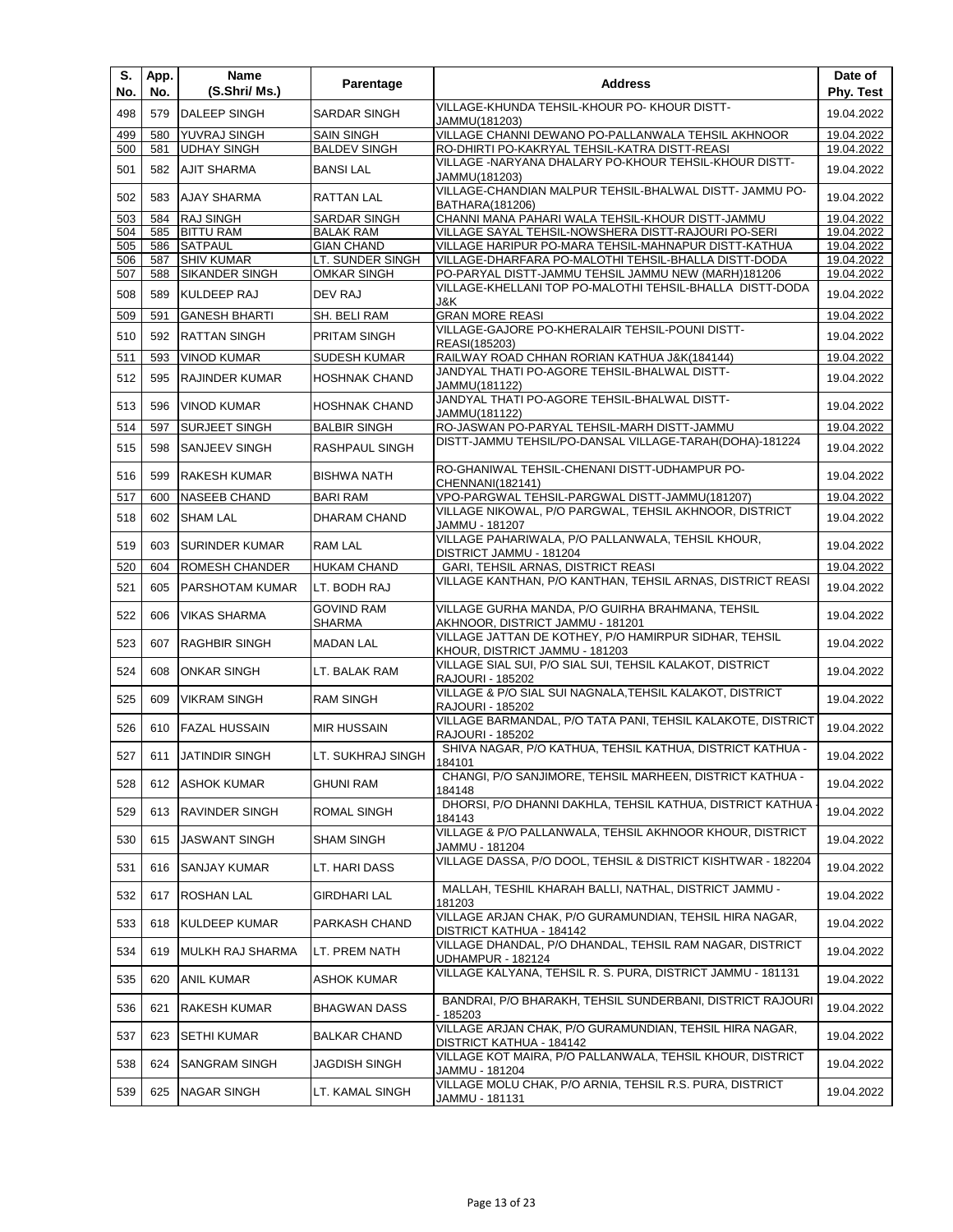| S.<br>No.  | App.<br>No. | Name<br>(S.Shri/ Ms.)                      | Parentage                              | <b>Address</b>                                                                                              | Date of<br>Phy. Test     |
|------------|-------------|--------------------------------------------|----------------------------------------|-------------------------------------------------------------------------------------------------------------|--------------------------|
| 498        | 579         | <b>DALEEP SINGH</b>                        | <b>SARDAR SINGH</b>                    | VILLAGE-KHUNDA TEHSIL-KHOUR PO- KHOUR DISTT-<br>JAMMU(181203)                                               | 19.04.2022               |
| 499        | 580         | YUVRAJ SINGH                               | <b>SAIN SINGH</b>                      | VILLAGE CHANNI DEWANO PO-PALLANWALA TEHSIL AKHNOOR                                                          | 19.04.2022               |
| 500        | 581         | <b>UDHAY SINGH</b>                         | <b>BALDEV SINGH</b>                    | RO-DHIRTI PO-KAKRYAL TEHSIL-KATRA DISTT-REASI                                                               | 19.04.2022               |
| 501        | 582         | <b>AJIT SHARMA</b>                         | <b>BANSILAL</b>                        | VILLAGE -NARYANA DHALARY PO-KHOUR TEHSIL-KHOUR DISTT-<br>JAMMU(181203)                                      | 19.04.2022               |
| 502        | 583         | <b>AJAY SHARMA</b>                         | <b>RATTAN LAL</b>                      | VILLAGE-CHANDIAN MALPUR TEHSIL-BHALWAL DISTT- JAMMU PO-<br>BATHARA(181206)                                  | 19.04.2022               |
| 503        | 584         | <b>RAJ SINGH</b>                           | <b>SARDAR SINGH</b>                    | CHANNI MANA PAHARI WALA TEHSIL-KHOUR DISTT-JAMMU                                                            | 19.04.2022               |
| 504        | 585         | <b>BITTU RAM</b>                           | <b>BALAK RAM</b>                       | VILLAGE SAYAL TEHSIL-NOWSHERA DISTT-RAJOURI PO-SERI                                                         | 19.04.2022               |
| 505        | 586         | <b>SATPAUL</b>                             | <b>GIAN CHAND</b>                      | VILLAGE HARIPUR PO-MARA TEHSIL-MAHNAPUR DISTT-KATHUA                                                        | 19.04.2022               |
| 506<br>507 | 587<br>588  | <b>SHIV KUMAR</b><br><b>SIKANDER SINGH</b> | LT. SUNDER SINGH<br><b>OMKAR SINGH</b> | VILLAGE-DHARFARA PO-MALOTHI TEHSIL-BHALLA DISTT-DODA<br>PO-PARYAL DISTT-JAMMU TEHSIL JAMMU NEW (MARH)181206 | 19.04.2022<br>19.04.2022 |
| 508        | 589         | <b>KULDEEP RAJ</b>                         | DEV RAJ                                | VILLAGE-KHELLANI TOP PO-MALOTHI TEHSIL-BHALLA DISTT-DODA<br>J&K                                             | 19.04.2022               |
| 509        | 591         | <b>GANESH BHARTI</b>                       | SH. BELI RAM                           | <b>GRAN MORE REASI</b>                                                                                      | 19.04.2022               |
| 510        | 592         | <b>RATTAN SINGH</b>                        | PRITAM SINGH                           | VILLAGE-GAJORE PO-KHERALAIR TEHSIL-POUNI DISTT-                                                             | 19.04.2022               |
| 511        | 593         | <b>VINOD KUMAR</b>                         | SUDESH KUMAR                           | REASI(185203)<br>RAILWAY ROAD CHHAN RORIAN KATHUA J&K(184144)                                               | 19.04.2022               |
|            |             |                                            |                                        | JANDYAL THATI PO-AGORE TEHSIL-BHALWAL DISTT-                                                                |                          |
| 512        | 595         | RAJINDER KUMAR                             | <b>HOSHNAK CHAND</b>                   | JAMMU(181122)<br>JANDYAL THATI PO-AGORE TEHSIL-BHALWAL DISTT-                                               | 19.04.2022               |
| 513        | 596         | <b>VINOD KUMAR</b>                         | <b>HOSHNAK CHAND</b>                   | JAMMU(181122)                                                                                               | 19.04.2022               |
| 514        | 597         | <b>SURJEET SINGH</b>                       | <b>BALBIR SINGH</b>                    | RO-JASWAN PO-PARYAL TEHSIL-MARH DISTT-JAMMU                                                                 | 19.04.2022               |
| 515        | 598         | SANJEEV SINGH                              | RASHPAUL SINGH                         | DISTT-JAMMU TEHSIL/PO-DANSAL VILLAGE-TARAH(DOHA)-181224                                                     | 19.04.2022               |
| 516        | 599         | RAKESH KUMAR                               | <b>BISHWA NATH</b>                     | RO-GHANIWAL TEHSIL-CHENANI DISTT-UDHAMPUR PO-<br>CHENNANI(182141)                                           | 19.04.2022               |
| 517        | 600         | <b>NASEEB CHAND</b>                        | <b>BARI RAM</b>                        | VPO-PARGWAL TEHSIL-PARGWAL DISTT-JAMMU(181207)                                                              | 19.04.2022               |
| 518        | 602         | <b>SHAM LAL</b>                            | DHARAM CHAND                           | VILLAGE NIKOWAL, P/O PARGWAL, TEHSIL AKHNOOR, DISTRICT<br>JAMMU - 181207                                    | 19.04.2022               |
| 519        | 603         | <b>SURINDER KUMAR</b>                      | <b>RAM LAL</b>                         | VILLAGE PAHARIWALA, P/O PALLANWALA, TEHSIL KHOUR,<br>DISTRICT JAMMU - 181204                                | 19.04.2022               |
| 520        | 604         | ROMESH CHANDER                             | <b>HUKAM CHAND</b>                     | GARI, TEHSIL ARNAS, DISTRICT REASI                                                                          | 19.04.2022               |
| 521        | 605         | PARSHOTAM KUMAR                            | LT. BODH RAJ                           | VILLAGE KANTHAN, P/O KANTHAN, TEHSIL ARNAS, DISTRICT REASI                                                  | 19.04.2022               |
| 522        | 606         | <b>VIKAS SHARMA</b>                        | <b>GOVIND RAM</b><br><b>SHARMA</b>     | VILLAGE GURHA MANDA, P/O GUIRHA BRAHMANA, TEHSIL<br>AKHNOOR, DISTRICT JAMMU - 181201                        | 19.04.2022               |
| 523        | 607         | <b>RAGHBIR SINGH</b>                       | <b>MADAN LAL</b>                       | VILLAGE JATTAN DE KOTHEY, P/O HAMIRPUR SIDHAR, TEHSIL<br>KHOUR, DISTRICT JAMMU - 181203                     | 19.04.2022               |
| 524        | 608         | <b>ONKAR SINGH</b>                         | LT. BALAK RAM                          | VILLAGE SIAL SUI, P/O SIAL SUI, TEHSIL KALAKOT, DISTRICT<br>RAJOURI - 185202                                | 19.04.2022               |
| 525        | 609         | <b>VIKRAM SINGH</b>                        | <b>RAM SINGH</b>                       | VILLAGE & P/O SIAL SUI NAGNALA, TEHSIL KALAKOT, DISTRICT<br>RAJOURI - 185202                                | 19.04.2022               |
| 526        | 610         | <b>FAZAL HUSSAIN</b>                       | <b>MIR HUSSAIN</b>                     | VILLAGE BARMANDAL, P/O TATA PANI, TEHSIL KALAKOTE, DISTRICT<br>RAJOURI - 185202                             | 19.04.2022               |
| 527        | 611         | <b>JATINDIR SINGH</b>                      | LT. SUKHRAJ SINGH                      | SHIVA NAGAR, P/O KATHUA, TEHSIL KATHUA, DISTRICT KATHUA -<br>184101                                         | 19.04.2022               |
| 528        | 612         | ASHOK KUMAR                                | <b>GHUNI RAM</b>                       | CHANGI, P/O SANJIMORE, TEHSIL MARHEEN, DISTRICT KATHUA -<br>184148                                          | 19.04.2022               |
| 529        | 613         | RAVINDER SINGH                             | ROMAL SINGH                            | DHORSI, P/O DHANNI DAKHLA, TEHSIL KATHUA, DISTRICT KATHUA<br>184143                                         | 19.04.2022               |
| 530        | 615         | <b>JASWANT SINGH</b>                       | SHAM SINGH                             | VILLAGE & P/O PALLANWALA, TEHSIL AKHNOOR KHOUR, DISTRICT<br>JAMMU - 181204                                  | 19.04.2022               |
| 531        | 616         | SANJAY KUMAR                               | LT. HARI DASS                          | VILLAGE DASSA, P/O DOOL, TEHSIL & DISTRICT KISHTWAR - 182204                                                | 19.04.2022               |
| 532        | 617         | ROSHAN LAL                                 | GIRDHARI LAL                           | MALLAH, TESHIL KHARAH BALLI, NATHAL, DISTRICT JAMMU -<br>181203                                             | 19.04.2022               |
| 533        | 618         | KULDEEP KUMAR                              | PARKASH CHAND                          | VILLAGE ARJAN CHAK, P/O GURAMUNDIAN, TEHSIL HIRA NAGAR,<br>DISTRICT KATHUA - 184142                         | 19.04.2022               |
| 534        | 619         | MULKH RAJ SHARMA                           | LT. PREM NATH                          | VILLAGE DHANDAL, P/O DHANDAL, TEHSIL RAM NAGAR, DISTRICT<br>UDHAMPUR - 182124                               | 19.04.2022               |
| 535        | 620         | ANIL KUMAR                                 | ASHOK KUMAR                            | VILLAGE KALYANA, TEHSIL R. S. PURA, DISTRICT JAMMU - 181131                                                 | 19.04.2022               |
| 536        | 621         | RAKESH KUMAR                               | <b>BHAGWAN DASS</b>                    | BANDRAI, P/O BHARAKH, TEHSIL SUNDERBANI, DISTRICT RAJOURI<br>185203                                         | 19.04.2022               |
| 537        | 623         | SETHI KUMAR                                | BALKAR CHAND                           | VILLAGE ARJAN CHAK, P/O GURAMUNDIAN, TEHSIL HIRA NAGAR,<br>DISTRICT KATHUA - 184142                         | 19.04.2022               |
| 538        | 624         | SANGRAM SINGH                              | JAGDISH SINGH                          | VILLAGE KOT MAIRA, P/O PALLANWALA, TEHSIL KHOUR, DISTRICT<br>JAMMU - 181204                                 | 19.04.2022               |
| 539        | 625         | NAGAR SINGH                                | LT. KAMAL SINGH                        | VILLAGE MOLU CHAK, P/O ARNIA, TEHSIL R.S. PURA, DISTRICT<br>JAMMU - 181131                                  | 19.04.2022               |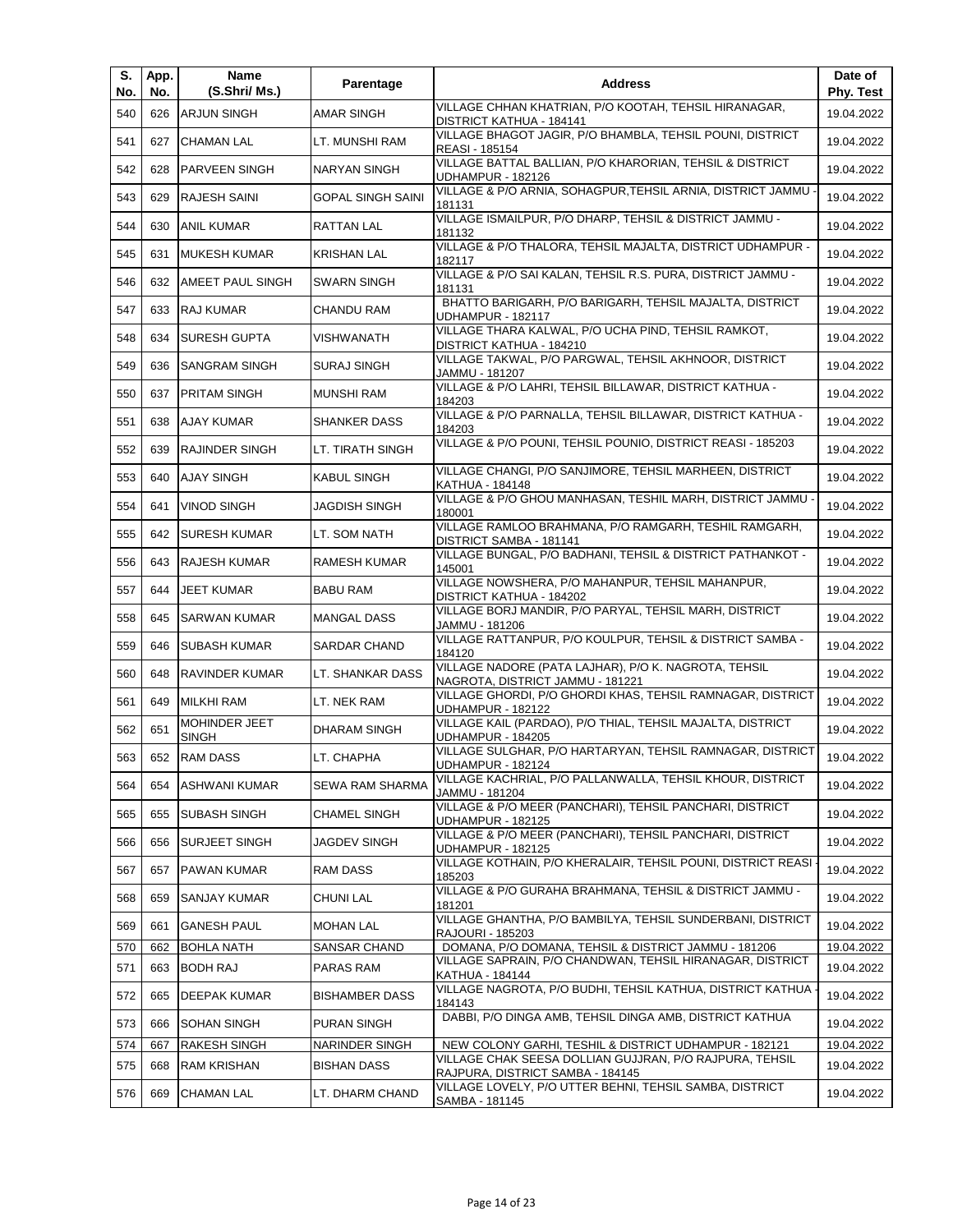| S.<br>No. | App.<br>No. | Name<br>(S.Shri/ Ms.)                | Parentage             | <b>Address</b>                                                                              | Date of<br>Phy. Test |
|-----------|-------------|--------------------------------------|-----------------------|---------------------------------------------------------------------------------------------|----------------------|
| 540       | 626         | <b>ARJUN SINGH</b>                   | <b>AMAR SINGH</b>     | VILLAGE CHHAN KHATRIAN, P/O KOOTAH, TEHSIL HIRANAGAR,<br>DISTRICT KATHUA - 184141           | 19.04.2022           |
| 541       | 627         | <b>CHAMAN LAL</b>                    | LT. MUNSHI RAM        | VILLAGE BHAGOT JAGIR, P/O BHAMBLA, TEHSIL POUNI, DISTRICT<br>REASI - 185154                 | 19.04.2022           |
| 542       | 628         | PARVEEN SINGH                        | <b>NARYAN SINGH</b>   | VILLAGE BATTAL BALLIAN, P/O KHARORIAN, TEHSIL & DISTRICT<br>UDHAMPUR - 182126               | 19.04.2022           |
| 543       | 629         | <b>RAJESH SAINI</b>                  | GOPAL SINGH SAINI     | VILLAGE & P/O ARNIA, SOHAGPUR, TEHSIL ARNIA, DISTRICT JAMMU<br>181131                       | 19.04.2022           |
| 544       | 630         | <b>ANIL KUMAR</b>                    | RATTAN LAL            | VILLAGE ISMAILPUR, P/O DHARP, TEHSIL & DISTRICT JAMMU -<br>181132                           | 19.04.2022           |
| 545       | 631         | <b>MUKESH KUMAR</b>                  | KRISHAN LAL           | VILLAGE & P/O THALORA, TEHSIL MAJALTA, DISTRICT UDHAMPUR -<br>182117                        | 19.04.2022           |
| 546       | 632         | AMEET PAUL SINGH                     | <b>SWARN SINGH</b>    | VILLAGE & P/O SAI KALAN, TEHSIL R.S. PURA, DISTRICT JAMMU -<br>181131                       | 19.04.2022           |
| 547       | 633         | RAJ KUMAR                            | CHANDU RAM            | BHATTO BARIGARH, P/O BARIGARH, TEHSIL MAJALTA, DISTRICT<br>UDHAMPUR - 182117                | 19.04.2022           |
| 548       | 634         | <b>SURESH GUPTA</b>                  | VISHWANATH            | VILLAGE THARA KALWAL, P/O UCHA PIND, TEHSIL RAMKOT,<br>DISTRICT KATHUA - 184210             | 19.04.2022           |
| 549       | 636         | <b>SANGRAM SINGH</b>                 | <b>SURAJ SINGH</b>    | VILLAGE TAKWAL, P/O PARGWAL, TEHSIL AKHNOOR, DISTRICT<br>JAMMU - 181207                     | 19.04.2022           |
| 550       | 637         | <b>PRITAM SINGH</b>                  | <b>MUNSHI RAM</b>     | VILLAGE & P/O LAHRI, TEHSIL BILLAWAR, DISTRICT KATHUA -<br>184203                           | 19.04.2022           |
| 551       | 638         | <b>AJAY KUMAR</b>                    | SHANKER DASS          | VILLAGE & P/O PARNALLA, TEHSIL BILLAWAR, DISTRICT KATHUA -<br>184203                        | 19.04.2022           |
| 552       | 639         | RAJINDER SINGH                       | LT. TIRATH SINGH      | VILLAGE & P/O POUNI, TEHSIL POUNIO, DISTRICT REASI - 185203                                 | 19.04.2022           |
| 553       | 640         | <b>AJAY SINGH</b>                    | <b>KABUL SINGH</b>    | VILLAGE CHANGI, P/O SANJIMORE, TEHSIL MARHEEN, DISTRICT<br>KATHUA - 184148                  | 19.04.2022           |
| 554       | 641         | <b>VINOD SINGH</b>                   | JAGDISH SINGH         | VILLAGE & P/O GHOU MANHASAN, TESHIL MARH, DISTRICT JAMMU<br>180001                          | 19.04.2022           |
| 555       | 642         | <b>SURESH KUMAR</b>                  | LT. SOM NATH          | VILLAGE RAMLOO BRAHMANA, P/O RAMGARH, TESHIL RAMGARH,<br>DISTRICT SAMBA - 181141            | 19.04.2022           |
| 556       | 643         | <b>RAJESH KUMAR</b>                  | RAMESH KUMAR          | VILLAGE BUNGAL, P/O BADHANI, TEHSIL & DISTRICT PATHANKOT -<br>145001                        | 19.04.2022           |
| 557       | 644         | <b>JEET KUMAR</b>                    | <b>BABU RAM</b>       | VILLAGE NOWSHERA, P/O MAHANPUR, TEHSIL MAHANPUR,<br>DISTRICT KATHUA - 184202                | 19.04.2022           |
| 558       | 645         | <b>SARWAN KUMAR</b>                  | <b>MANGAL DASS</b>    | VILLAGE BORJ MANDIR, P/O PARYAL, TEHSIL MARH, DISTRICT<br>JAMMU - 181206                    | 19.04.2022           |
| 559       | 646         | <b>SUBASH KUMAR</b>                  | SARDAR CHAND          | VILLAGE RATTANPUR, P/O KOULPUR, TEHSIL & DISTRICT SAMBA -<br>184120                         | 19.04.2022           |
| 560       | 648         | <b>RAVINDER KUMAR</b>                | LT. SHANKAR DASS      | VILLAGE NADORE (PATA LAJHAR), P/O K. NAGROTA, TEHSIL<br>NAGROTA, DISTRICT JAMMU - 181221    | 19.04.2022           |
| 561       | 649         | <b>MILKHI RAM</b>                    | LT. NEK RAM           | VILLAGE GHORDI, P/O GHORDI KHAS, TEHSIL RAMNAGAR, DISTRICT<br><b>UDHAMPUR - 182122</b>      | 19.04.2022           |
| 562       | 651         | <b>MOHINDER JEET</b><br><b>SINGH</b> | DHARAM SINGH          | VILLAGE KAIL (PARDAO), P/O THIAL, TEHSIL MAJALTA, DISTRICT<br><b>UDHAMPUR - 184205</b>      | 19.04.2022           |
| 563       | 652         | <b>RAM DASS</b>                      | LT. CHAPHA            | VILLAGE SULGHAR, P/O HARTARYAN, TEHSIL RAMNAGAR, DISTRICT<br><b>UDHAMPUR - 182124</b>       | 19.04.2022           |
| 564       | 654         | ASHWANI KUMAR                        | SEWA RAM SHARMA       | VILLAGE KACHRIAL, P/O PALLANWALLA, TEHSIL KHOUR, DISTRICT<br>JAMMU - 181204                 | 19.04.2022           |
| 565       | 655         | SUBASH SINGH                         | <b>CHAMEL SINGH</b>   | VILLAGE & P/O MEER (PANCHARI), TEHSIL PANCHARI, DISTRICT<br><b>UDHAMPUR - 182125</b>        | 19.04.2022           |
| 566       | 656         | SURJEET SINGH                        | JAGDEV SINGH          | VILLAGE & P/O MEER (PANCHARI), TEHSIL PANCHARI, DISTRICT<br><b>UDHAMPUR - 182125</b>        | 19.04.2022           |
| 567       | 657         | PAWAN KUMAR                          | RAM DASS              | VILLAGE KOTHAIN, P/O KHERALAIR, TEHSIL POUNI, DISTRICT REASI<br>185203                      | 19.04.2022           |
| 568       | 659         | SANJAY KUMAR                         | CHUNI LAL             | VILLAGE & P/O GURAHA BRAHMANA, TEHSIL & DISTRICT JAMMU -<br>181201                          | 19.04.2022           |
| 569       | 661         | <b>GANESH PAUL</b>                   | <b>MOHAN LAL</b>      | VILLAGE GHANTHA, P/O BAMBILYA, TEHSIL SUNDERBANI, DISTRICT<br>RAJOURI - 185203              | 19.04.2022           |
| 570       | 662         | <b>BOHLA NATH</b>                    | SANSAR CHAND          | DOMANA, P/O DOMANA, TEHSIL & DISTRICT JAMMU - 181206                                        | 19.04.2022           |
| 571       | 663         | <b>BODH RAJ</b>                      | PARAS RAM             | VILLAGE SAPRAIN, P/O CHANDWAN, TEHSIL HIRANAGAR, DISTRICT<br>KATHUA - 184144                | 19.04.2022           |
| 572       | 665         | DEEPAK KUMAR                         | <b>BISHAMBER DASS</b> | VILLAGE NAGROTA, P/O BUDHI, TEHSIL KATHUA, DISTRICT KATHUA<br>184143                        | 19.04.2022           |
| 573       | 666         | SOHAN SINGH                          | PURAN SINGH           | DABBI, P/O DINGA AMB, TEHSIL DINGA AMB, DISTRICT KATHUA                                     | 19.04.2022           |
| 574       | 667         | <b>RAKESH SINGH</b>                  | NARINDER SINGH        | NEW COLONY GARHI, TESHIL & DISTRICT UDHAMPUR - 182121                                       | 19.04.2022           |
| 575       | 668         | <b>RAM KRISHAN</b>                   | BISHAN DASS           | VILLAGE CHAK SEESA DOLLIAN GUJJRAN, P/O RAJPURA, TEHSIL<br>RAJPURA, DISTRICT SAMBA - 184145 | 19.04.2022           |
| 576       | 669         | <b>CHAMAN LAL</b>                    | LT. DHARM CHAND       | VILLAGE LOVELY, P/O UTTER BEHNI, TEHSIL SAMBA, DISTRICT<br>SAMBA - 181145                   | 19.04.2022           |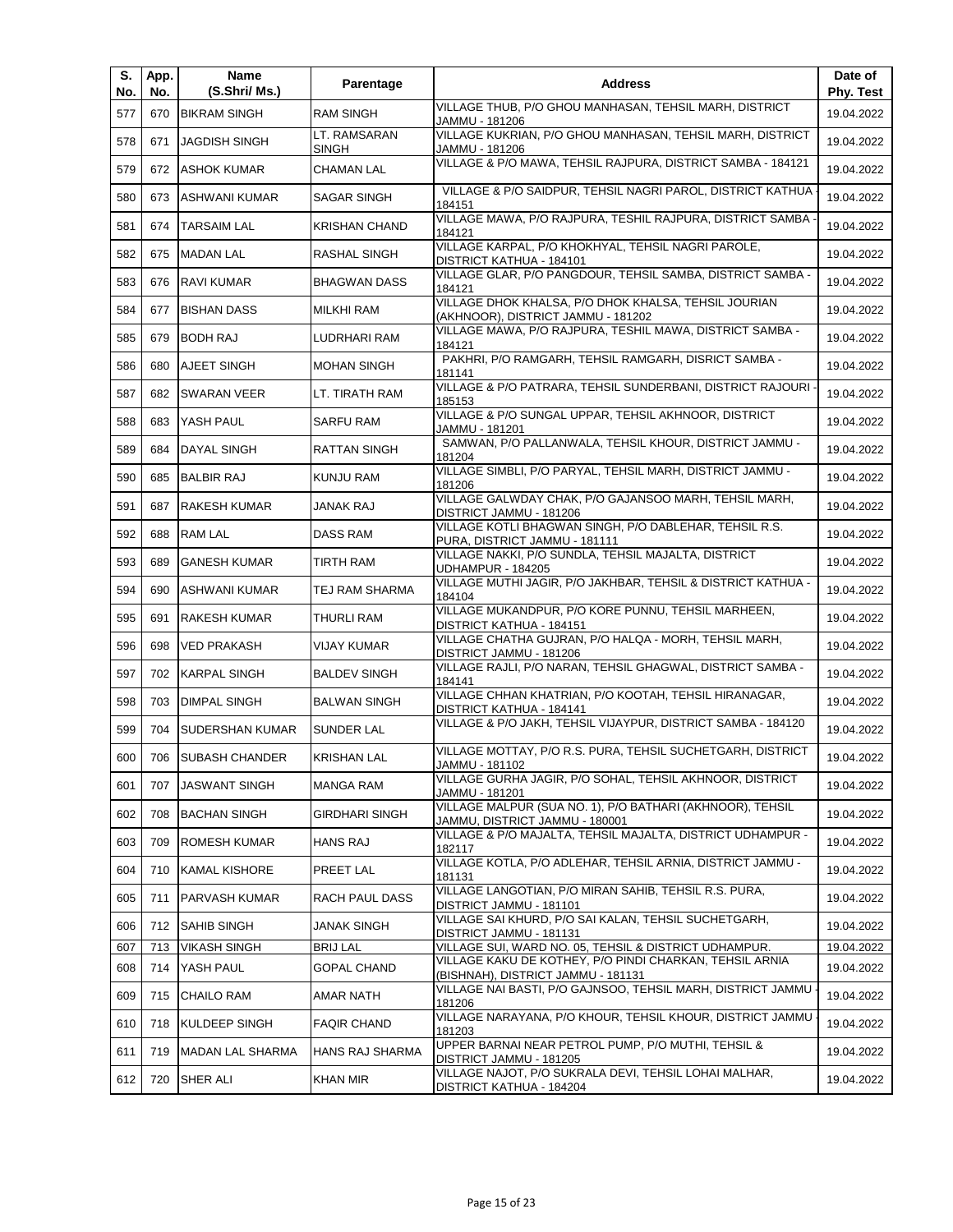| S.<br>No. | App.<br>No. | Name<br>(S.Shri/ Ms.)   | Parentage                    | <b>Address</b>                                                                                    | Date of<br>Phy. Test |
|-----------|-------------|-------------------------|------------------------------|---------------------------------------------------------------------------------------------------|----------------------|
| 577       | 670         | <b>BIKRAM SINGH</b>     | <b>RAM SINGH</b>             | VILLAGE THUB, P/O GHOU MANHASAN, TEHSIL MARH, DISTRICT<br>JAMMU - 181206                          | 19.04.2022           |
| 578       | 671         | <b>JAGDISH SINGH</b>    | LT. RAMSARAN<br><b>SINGH</b> | VILLAGE KUKRIAN, P/O GHOU MANHASAN, TEHSIL MARH, DISTRICT<br>JAMMU - 181206                       | 19.04.2022           |
| 579       | 672         | <b>ASHOK KUMAR</b>      | <b>CHAMAN LAL</b>            | VILLAGE & P/O MAWA, TEHSIL RAJPURA, DISTRICT SAMBA - 184121                                       | 19.04.2022           |
| 580       | 673         | <b>ASHWANI KUMAR</b>    | SAGAR SINGH                  | VILLAGE & P/O SAIDPUR, TEHSIL NAGRI PAROL, DISTRICT KATHUA<br>184151                              | 19.04.2022           |
| 581       | 674         | <b>TARSAIM LAL</b>      | <b>KRISHAN CHAND</b>         | VILLAGE MAWA, P/O RAJPURA, TESHIL RAJPURA, DISTRICT SAMBA<br>184121                               | 19.04.2022           |
| 582       | 675         | <b>MADAN LAL</b>        | RASHAL SINGH                 | VILLAGE KARPAL, P/O KHOKHYAL, TEHSIL NAGRI PAROLE,<br>DISTRICT KATHUA - 184101                    | 19.04.2022           |
| 583       | 676         | <b>RAVI KUMAR</b>       | <b>BHAGWAN DASS</b>          | VILLAGE GLAR, P/O PANGDOUR, TEHSIL SAMBA, DISTRICT SAMBA -<br>184121                              | 19.04.2022           |
| 584       | 677         | <b>BISHAN DASS</b>      | <b>MILKHI RAM</b>            | VILLAGE DHOK KHALSA, P/O DHOK KHALSA, TEHSIL JOURIAN<br>(AKHNOOR), DISTRICT JAMMU - 181202        | 19.04.2022           |
| 585       | 679         | <b>BODH RAJ</b>         | LUDRHARI RAM                 | VILLAGE MAWA, P/O RAJPURA, TESHIL MAWA, DISTRICT SAMBA -<br>184121                                | 19.04.2022           |
| 586       | 680         | AJEET SINGH             | <b>MOHAN SINGH</b>           | PAKHRI, P/O RAMGARH, TEHSIL RAMGARH, DISRICT SAMBA -<br>181141                                    | 19.04.2022           |
| 587       | 682         | <b>SWARAN VEER</b>      | LT. TIRATH RAM               | VILLAGE & P/O PATRARA, TEHSIL SUNDERBANI, DISTRICT RAJOURI ·<br>185153                            | 19.04.2022           |
| 588       | 683         | YASH PAUL               | <b>SARFU RAM</b>             | VILLAGE & P/O SUNGAL UPPAR, TEHSIL AKHNOOR, DISTRICT<br>JAMMU - 181201                            | 19.04.2022           |
| 589       | 684         | <b>DAYAL SINGH</b>      | RATTAN SINGH                 | SAMWAN, P/O PALLANWALA, TEHSIL KHOUR, DISTRICT JAMMU -<br>181204                                  | 19.04.2022           |
| 590       | 685         | <b>BALBIR RAJ</b>       | KUNJU RAM                    | VILLAGE SIMBLI, P/O PARYAL, TEHSIL MARH, DISTRICT JAMMU -<br>181206                               | 19.04.2022           |
| 591       | 687         | <b>RAKESH KUMAR</b>     | JANAK RAJ                    | VILLAGE GALWDAY CHAK, P/O GAJANSOO MARH, TEHSIL MARH,<br>DISTRICT JAMMU - 181206                  | 19.04.2022           |
| 592       | 688         | <b>RAM LAL</b>          | DASS RAM                     | VILLAGE KOTLI BHAGWAN SINGH, P/O DABLEHAR, TEHSIL R.S.<br>PURA, DISTRICT JAMMU - 181111           | 19.04.2022           |
| 593       | 689         | <b>GANESH KUMAR</b>     | TIRTH RAM                    | VILLAGE NAKKI, P/O SUNDLA, TEHSIL MAJALTA, DISTRICT<br>UDHAMPUR - 184205                          | 19.04.2022           |
| 594       | 690         | <b>ASHWANI KUMAR</b>    | TEJ RAM SHARMA               | VILLAGE MUTHI JAGIR, P/O JAKHBAR, TEHSIL & DISTRICT KATHUA -<br>184104                            | 19.04.2022           |
| 595       | 691         | RAKESH KUMAR            | THURLI RAM                   | VILLAGE MUKANDPUR, P/O KORE PUNNU, TEHSIL MARHEEN,<br>DISTRICT KATHUA - 184151                    | 19.04.2022           |
| 596       | 698         | <b>VED PRAKASH</b>      | VIJAY KUMAR                  | VILLAGE CHATHA GUJRAN, P/O HALQA - MORH, TEHSIL MARH,<br>DISTRICT JAMMU - 181206                  | 19.04.2022           |
| 597       | 702         | <b>KARPAL SINGH</b>     | <b>BALDEV SINGH</b>          | VILLAGE RAJLI, P/O NARAN, TEHSIL GHAGWAL, DISTRICT SAMBA -<br>184141                              | 19.04.2022           |
| 598       | 703         | <b>DIMPAL SINGH</b>     | <b>BALWAN SINGH</b>          | VILLAGE CHHAN KHATRIAN, P/O KOOTAH, TEHSIL HIRANAGAR,<br>DISTRICT KATHUA - 184141                 | 19.04.2022           |
| 599       | 704         | <b>SUDERSHAN KUMAR</b>  | SUNDER LAL                   | VILLAGE & P/O JAKH, TEHSIL VIJAYPUR, DISTRICT SAMBA - 184120                                      | 19.04.2022           |
| 600       |             | 706 SUBASH CHANDER      | <b>KRISHAN LAL</b>           | VILLAGE MOTTAY, P/O R.S. PURA, TEHSIL SUCHETGARH, DISTRICT<br>JAMMU - 181102                      | 19.04.2022           |
| 601       | 707         | <b>JASWANT SINGH</b>    | <b>MANGA RAM</b>             | VILLAGE GURHA JAGIR, P/O SOHAL, TEHSIL AKHNOOR, DISTRICT<br>JAMMU - 181201                        | 19.04.2022           |
| 602       | 708         | <b>BACHAN SINGH</b>     | <b>GIRDHARI SINGH</b>        | VILLAGE MALPUR (SUA NO. 1), P/O BATHARI (AKHNOOR), TEHSIL<br>JAMMU, DISTRICT JAMMU - 180001       | 19.04.2022           |
| 603       | 709         | <b>ROMESH KUMAR</b>     | HANS RAJ                     | VILLAGE & P/O MAJALTA, TEHSIL MAJALTA, DISTRICT UDHAMPUR -<br>182117                              | 19.04.2022           |
| 604       | 710         | <b>KAMAL KISHORE</b>    | PREET LAL                    | VILLAGE KOTLA, P/O ADLEHAR, TEHSIL ARNIA, DISTRICT JAMMU -<br>181131                              | 19.04.2022           |
| 605       | 711         | PARVASH KUMAR           | RACH PAUL DASS               | VILLAGE LANGOTIAN. P/O MIRAN SAHIB. TEHSIL R.S. PURA.<br>DISTRICT JAMMU - 181101                  | 19.04.2022           |
| 606       | 712         | <b>SAHIB SINGH</b>      | JANAK SINGH                  | VILLAGE SAI KHURD, P/O SAI KALAN, TEHSIL SUCHETGARH,                                              | 19.04.2022           |
| 607       | 713         | <b>VIKASH SINGH</b>     | <b>BRIJ LAL</b>              | DISTRICT JAMMU - 181131<br>VILLAGE SUI, WARD NO. 05, TEHSIL & DISTRICT UDHAMPUR.                  | 19.04.2022           |
| 608       | 714         | YASH PAUL               | <b>GOPAL CHAND</b>           | VILLAGE KAKU DE KOTHEY, P/O PINDI CHARKAN, TEHSIL ARNIA                                           | 19.04.2022           |
| 609       | 715         | <b>CHAILO RAM</b>       | AMAR NATH                    | (BISHNAH), DISTRICT JAMMU - 181131<br>VILLAGE NAI BASTI, P/O GAJNSOO, TEHSIL MARH, DISTRICT JAMMU | 19.04.2022           |
| 610       | 718         | KULDEEP SINGH           | <b>FAQIR CHAND</b>           | 181206<br>VILLAGE NARAYANA, P/O KHOUR, TEHSIL KHOUR, DISTRICT JAMMU                               | 19.04.2022           |
| 611       | 719         | <b>MADAN LAL SHARMA</b> | HANS RAJ SHARMA              | 181203<br>UPPER BARNAI NEAR PETROL PUMP, P/O MUTHI, TEHSIL &                                      | 19.04.2022           |
| 612       | 720         | SHER ALI                | KHAN MIR                     | DISTRICT JAMMU - 181205<br>VILLAGE NAJOT, P/O SUKRALA DEVI, TEHSIL LOHAI MALHAR,                  | 19.04.2022           |
|           |             |                         |                              | DISTRICT KATHUA - 184204                                                                          |                      |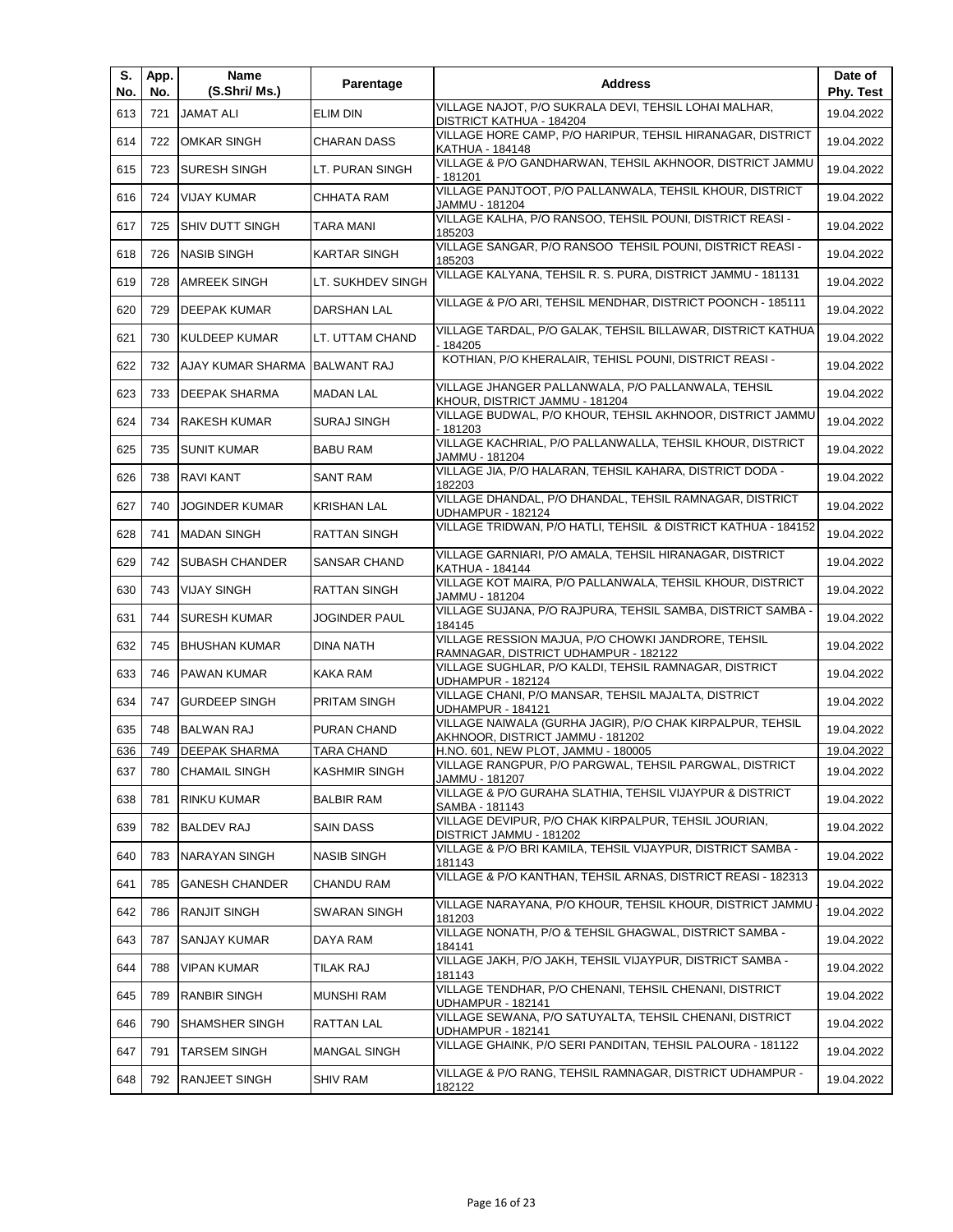| S.<br>No. | App.<br>No. | Name<br>(S.Shri/ Ms.)    | Parentage            | <b>Address</b>                                                                                | Date of<br>Phy. Test |
|-----------|-------------|--------------------------|----------------------|-----------------------------------------------------------------------------------------------|----------------------|
| 613       | 721         | <b>JAMAT ALI</b>         | <b>ELIM DIN</b>      | VILLAGE NAJOT. P/O SUKRALA DEVI. TEHSIL LOHAI MALHAR.<br>DISTRICT KATHUA - 184204             | 19.04.2022           |
| 614       | 722         | <b>OMKAR SINGH</b>       | <b>CHARAN DASS</b>   | VILLAGE HORE CAMP, P/O HARIPUR, TEHSIL HIRANAGAR, DISTRICT<br>KATHUA - 184148                 | 19.04.2022           |
| 615       | 723         | <b>SURESH SINGH</b>      | LT. PURAN SINGH      | VILLAGE & P/O GANDHARWAN, TEHSIL AKHNOOR, DISTRICT JAMMU<br>- 181201                          | 19.04.2022           |
| 616       | 724         | <b>VIJAY KUMAR</b>       | <b>CHHATA RAM</b>    | VILLAGE PANJTOOT, P/O PALLANWALA, TEHSIL KHOUR, DISTRICT<br>JAMMU - 181204                    | 19.04.2022           |
| 617       | 725         | SHIV DUTT SINGH          | <b>TARA MANI</b>     | VILLAGE KALHA, P/O RANSOO, TEHSIL POUNI, DISTRICT REASI -<br>185203                           | 19.04.2022           |
| 618       | 726         | <b>NASIB SINGH</b>       | <b>KARTAR SINGH</b>  | VILLAGE SANGAR, P/O RANSOO TEHSIL POUNI, DISTRICT REASI -<br>185203                           | 19.04.2022           |
| 619       | 728         | <b>AMREEK SINGH</b>      | LT. SUKHDEV SINGH    | VILLAGE KALYANA, TEHSIL R. S. PURA, DISTRICT JAMMU - 181131                                   | 19.04.2022           |
| 620       | 729         | <b>DEEPAK KUMAR</b>      | DARSHAN LAL          | VILLAGE & P/O ARI, TEHSIL MENDHAR, DISTRICT POONCH - 185111                                   | 19.04.2022           |
| 621       | 730         | <b>KULDEEP KUMAR</b>     | LT. UTTAM CHAND      | VILLAGE TARDAL, P/O GALAK, TEHSIL BILLAWAR, DISTRICT KATHUA<br>- 184205                       | 19.04.2022           |
| 622       | 732         | <b>AJAY KUMAR SHARMA</b> | <b>BALWANT RAJ</b>   | KOTHIAN, P/O KHERALAIR, TEHISL POUNI, DISTRICT REASI -                                        | 19.04.2022           |
| 623       | 733         | <b>DEEPAK SHARMA</b>     | <b>MADAN LAL</b>     | VILLAGE JHANGER PALLANWALA, P/O PALLANWALA, TEHSIL<br>KHOUR, DISTRICT JAMMU - 181204          | 19.04.2022           |
| 624       | 734         | <b>RAKESH KUMAR</b>      | <b>SURAJ SINGH</b>   | VILLAGE BUDWAL, P/O KHOUR, TEHSIL AKHNOOR, DISTRICT JAMMU<br>- 181203                         | 19.04.2022           |
| 625       | 735         | <b>SUNIT KUMAR</b>       | <b>BABU RAM</b>      | VILLAGE KACHRIAL, P/O PALLANWALLA, TEHSIL KHOUR, DISTRICT<br>JAMMU - 181204                   | 19.04.2022           |
| 626       | 738         | <b>RAVI KANT</b>         | <b>SANT RAM</b>      | VILLAGE JIA, P/O HALARAN, TEHSIL KAHARA, DISTRICT DODA -<br>182203                            | 19.04.2022           |
| 627       | 740         | <b>JOGINDER KUMAR</b>    | <b>KRISHAN LAL</b>   | VILLAGE DHANDAL, P/O DHANDAL, TEHSIL RAMNAGAR, DISTRICT<br><b>UDHAMPUR - 182124</b>           | 19.04.2022           |
| 628       | 741         | <b>MADAN SINGH</b>       | <b>RATTAN SINGH</b>  | VILLAGE TRIDWAN, P/O HATLI, TEHSIL & DISTRICT KATHUA - 184152                                 | 19.04.2022           |
| 629       | 742         | <b>SUBASH CHANDER</b>    | <b>SANSAR CHAND</b>  | VILLAGE GARNIARI, P/O AMALA, TEHSIL HIRANAGAR, DISTRICT<br>KATHUA - 184144                    | 19.04.2022           |
| 630       | 743         | <b>VIJAY SINGH</b>       | <b>RATTAN SINGH</b>  | VILLAGE KOT MAIRA, P/O PALLANWALA, TEHSIL KHOUR, DISTRICT<br>JAMMU - 181204                   | 19.04.2022           |
| 631       | 744         | <b>SURESH KUMAR</b>      | JOGINDER PAUL        | VILLAGE SUJANA, P/O RAJPURA, TEHSIL SAMBA, DISTRICT SAMBA -<br>184145                         | 19.04.2022           |
| 632       | 745         | <b>BHUSHAN KUMAR</b>     | <b>DINA NATH</b>     | VILLAGE RESSION MAJUA, P/O CHOWKI JANDRORE, TEHSIL<br>RAMNAGAR, DISTRICT UDHAMPUR - 182122    | 19.04.2022           |
| 633       | 746         | <b>PAWAN KUMAR</b>       | KAKA RAM             | VILLAGE SUGHLAR, P/O KALDI, TEHSIL RAMNAGAR, DISTRICT<br><b>UDHAMPUR - 182124</b>             | 19.04.2022           |
| 634       | 747         | <b>GURDEEP SINGH</b>     | PRITAM SINGH         | VILLAGE CHANI, P/O MANSAR, TEHSIL MAJALTA, DISTRICT<br><b>UDHAMPUR - 184121</b>               | 19.04.2022           |
| 635       | 748         | <b>BALWAN RAJ</b>        | PURAN CHAND          | VILLAGE NAIWALA (GURHA JAGIR), P/O CHAK KIRPALPUR, TEHSIL<br>AKHNOOR, DISTRICT JAMMU - 181202 | 19.04.2022           |
| 636       | 749         | <b>DEEPAK SHARMA</b>     | <b>TARA CHAND</b>    | H.NO. 601, NEW PLOT, JAMMU - 180005                                                           | 19.04.2022           |
| 637       | 780         | <b>CHAMAIL SINGH</b>     | <b>KASHMIR SINGH</b> | VILLAGE RANGPUR, P/O PARGWAL, TEHSIL PARGWAL, DISTRICT<br>JAMMU - 181207                      | 19.04.2022           |
| 638       | 781         | <b>RINKU KUMAR</b>       | <b>BALBIR RAM</b>    | VILLAGE & P/O GURAHA SLATHIA, TEHSIL VIJAYPUR & DISTRICT<br>SAMBA - 181143                    | 19.04.2022           |
| 639       | 782         | <b>BALDEV RAJ</b>        | SAIN DASS            | VILLAGE DEVIPUR, P/O CHAK KIRPALPUR, TEHSIL JOURIAN,<br>DISTRICT JAMMU - 181202               | 19.04.2022           |
| 640       | 783         | NARAYAN SINGH            | NASIB SINGH          | VILLAGE & P/O BRI KAMILA, TEHSIL VIJAYPUR, DISTRICT SAMBA -<br>181143                         | 19.04.2022           |
| 641       | 785         | <b>GANESH CHANDER</b>    | CHANDU RAM           | VILLAGE & P/O KANTHAN, TEHSIL ARNAS, DISTRICT REASI - 182313                                  | 19.04.2022           |
| 642       | 786         | RANJIT SINGH             | SWARAN SINGH         | VILLAGE NARAYANA, P/O KHOUR, TEHSIL KHOUR, DISTRICT JAMMU<br>181203                           | 19.04.2022           |
| 643       | 787         | SANJAY KUMAR             | DAYA RAM             | VILLAGE NONATH, P/O & TEHSIL GHAGWAL, DISTRICT SAMBA -<br>184141                              | 19.04.2022           |
| 644       | 788         | VIPAN KUMAR              | TILAK RAJ            | VILLAGE JAKH, P/O JAKH, TEHSIL VIJAYPUR, DISTRICT SAMBA -<br>181143                           | 19.04.2022           |
| 645       | 789         | RANBIR SINGH             | MUNSHI RAM           | VILLAGE TENDHAR, P/O CHENANI, TEHSIL CHENANI, DISTRICT<br>UDHAMPUR - 182141                   | 19.04.2022           |
| 646       | 790         | SHAMSHER SINGH           | RATTAN LAL           | VILLAGE SEWANA, P/O SATUYALTA, TEHSIL CHENANI, DISTRICT<br>UDHAMPUR - 182141                  | 19.04.2022           |
| 647       | 791         | <b>TARSEM SINGH</b>      | <b>MANGAL SINGH</b>  | VILLAGE GHAINK, P/O SERI PANDITAN, TEHSIL PALOURA - 181122                                    | 19.04.2022           |
| 648       | 792         | RANJEET SINGH            | <b>SHIV RAM</b>      | VILLAGE & P/O RANG, TEHSIL RAMNAGAR, DISTRICT UDHAMPUR -<br>182122                            | 19.04.2022           |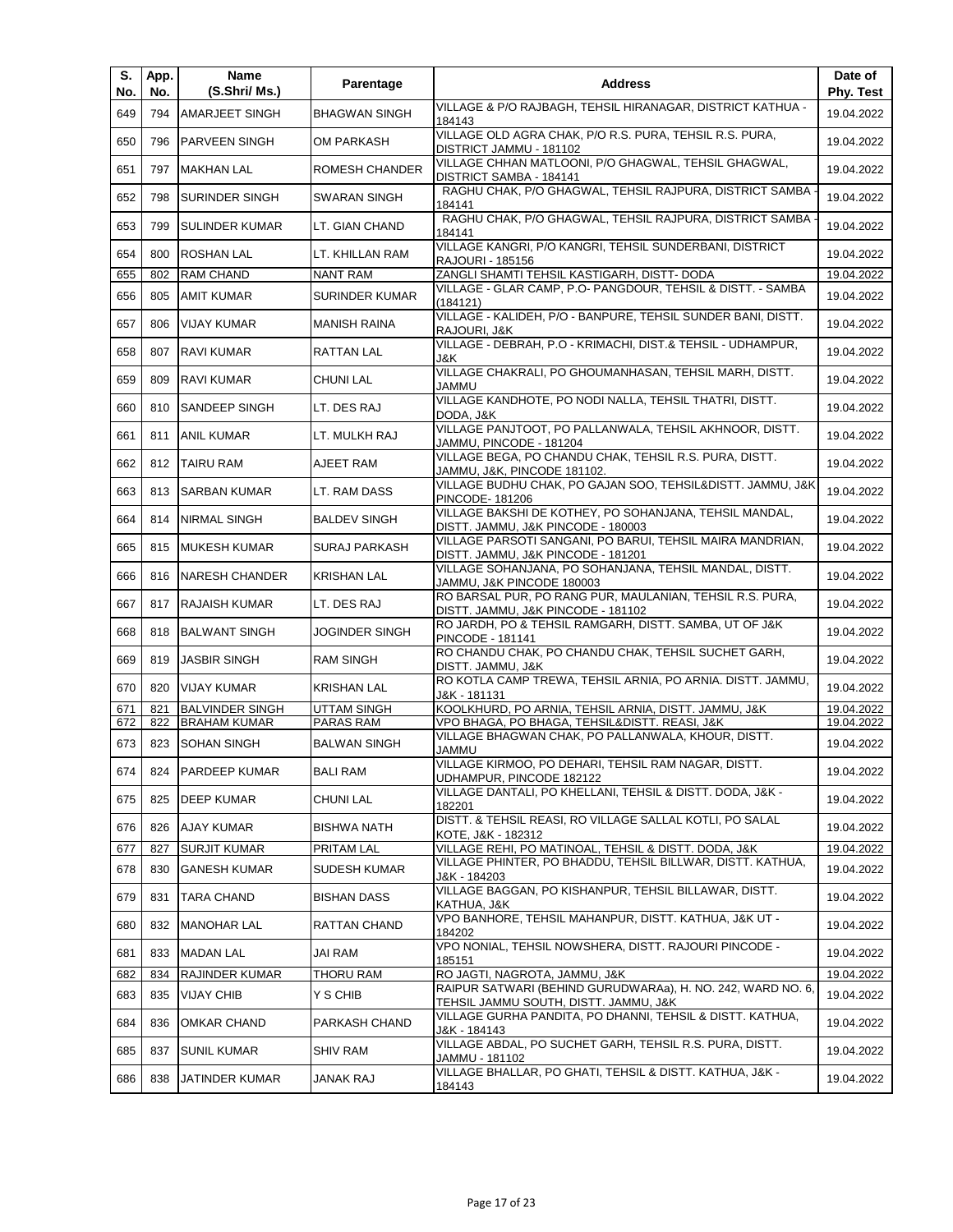| S.<br>No. | App.<br>No. | Name<br>(S.Shri/ Ms.)  | Parentage            | <b>Address</b>                                                                                       | Date of<br>Phy. Test |
|-----------|-------------|------------------------|----------------------|------------------------------------------------------------------------------------------------------|----------------------|
| 649       | 794         | <b>AMARJEET SINGH</b>  | <b>BHAGWAN SINGH</b> | VILLAGE & P/O RAJBAGH, TEHSIL HIRANAGAR, DISTRICT KATHUA -<br>184143                                 | 19.04.2022           |
| 650       | 796         | <b>PARVEEN SINGH</b>   | OM PARKASH           | VILLAGE OLD AGRA CHAK, P/O R.S. PURA, TEHSIL R.S. PURA,<br>DISTRICT JAMMU - 181102                   | 19.04.2022           |
| 651       | 797         | <b>MAKHAN LAL</b>      | ROMESH CHANDER       | VILLAGE CHHAN MATLOONI, P/O GHAGWAL, TEHSIL GHAGWAL,<br>DISTRICT SAMBA - 184141                      | 19.04.2022           |
| 652       | 798         | <b>SURINDER SINGH</b>  | SWARAN SINGH         | RAGHU CHAK, P/O GHAGWAL, TEHSIL RAJPURA, DISTRICT SAMBA<br>184141                                    | 19.04.2022           |
| 653       | 799         | <b>SULINDER KUMAR</b>  | LT. GIAN CHAND       | RAGHU CHAK, P/O GHAGWAL, TEHSIL RAJPURA, DISTRICT SAMBA<br>184141                                    | 19.04.2022           |
| 654       | 800         | <b>ROSHAN LAL</b>      | LT. KHILLAN RAM      | VILLAGE KANGRI, P/O KANGRI, TEHSIL SUNDERBANI, DISTRICT<br>RAJOURI - 185156                          | 19.04.2022           |
| 655       | 802         | <b>RAM CHAND</b>       | <b>NANT RAM</b>      | ZANGLI SHAMTI TEHSIL KASTIGARH, DISTT- DODA                                                          | 19.04.2022           |
| 656       | 805         | <b>AMIT KUMAR</b>      | SURINDER KUMAR       | VILLAGE - GLAR CAMP, P.O- PANGDOUR, TEHSIL & DISTT. - SAMBA<br>(184121)                              | 19.04.2022           |
| 657       | 806         | <b>VIJAY KUMAR</b>     | <b>MANISH RAINA</b>  | VILLAGE - KALIDEH, P/O - BANPURE, TEHSIL SUNDER BANI, DISTT.<br>RAJOURI, J&K                         | 19.04.2022           |
| 658       | 807         | <b>RAVI KUMAR</b>      | RATTAN LAL           | VILLAGE - DEBRAH, P.O - KRIMACHI, DIST.& TEHSIL - UDHAMPUR,<br>J&K.                                  | 19.04.2022           |
| 659       | 809         | <b>RAVI KUMAR</b>      | CHUNI LAL            | VILLAGE CHAKRALI, PO GHOUMANHASAN, TEHSIL MARH, DISTT.<br><b>JAMMU</b>                               | 19.04.2022           |
| 660       | 810         | <b>SANDEEP SINGH</b>   | LT. DES RAJ          | VILLAGE KANDHOTE, PO NODI NALLA, TEHSIL THATRI, DISTT.<br>DODA, J&K                                  | 19.04.2022           |
| 661       | 811         | ANIL KUMAR             | LT. MULKH RAJ        | VILLAGE PANJTOOT, PO PALLANWALA, TEHSIL AKHNOOR, DISTT.<br>JAMMU, PINCODE - 181204                   | 19.04.2022           |
| 662       | 812         | <b>TAIRU RAM</b>       | AJEET RAM            | VILLAGE BEGA, PO CHANDU CHAK, TEHSIL R.S. PURA, DISTT.<br>JAMMU, J&K, PINCODE 181102.                | 19.04.2022           |
| 663       | 813         | <b>SARBAN KUMAR</b>    | LT. RAM DASS         | VILLAGE BUDHU CHAK, PO GAJAN SOO, TEHSIL&DISTT. JAMMU, J&K<br>PINCODE-181206                         | 19.04.2022           |
| 664       | 814         | <b>NIRMAL SINGH</b>    | <b>BALDEV SINGH</b>  | VILLAGE BAKSHI DE KOTHEY, PO SOHANJANA, TEHSIL MANDAL,<br>DISTT. JAMMU, J&K PINCODE - 180003         | 19.04.2022           |
| 665       | 815         | <b>MUKESH KUMAR</b>    | SURAJ PARKASH        | VILLAGE PARSOTI SANGANI, PO BARUI, TEHSIL MAIRA MANDRIAN,<br>DISTT. JAMMU, J&K PINCODE - 181201      | 19.04.2022           |
| 666       | 816         | <b>INARESH CHANDER</b> | <b>KRISHAN LAL</b>   | VILLAGE SOHANJANA, PO SOHANJANA, TEHSIL MANDAL, DISTT.<br>JAMMU, J&K PINCODE 180003                  | 19.04.2022           |
| 667       | 817         | RAJAISH KUMAR          | LT. DES RAJ          | RO BARSAL PUR, PO RANG PUR, MAULANIAN, TEHSIL R.S. PURA,<br>DISTT. JAMMU, J&K PINCODE - 181102       | 19.04.2022           |
| 668       | 818         | <b>BALWANT SINGH</b>   | JOGINDER SINGH       | RO JARDH, PO & TEHSIL RAMGARH, DISTT. SAMBA, UT OF J&K<br>PINCODE - 181141                           | 19.04.2022           |
| 669       | 819         | <b>JASBIR SINGH</b>    | <b>RAM SINGH</b>     | RO CHANDU CHAK, PO CHANDU CHAK, TEHSIL SUCHET GARH,<br>DISTT. JAMMU, J&K                             | 19.04.2022           |
| 670       | 820         | <b>VIJAY KUMAR</b>     | <b>KRISHAN LAL</b>   | RO KOTLA CAMP TREWA, TEHSIL ARNIA, PO ARNIA. DISTT. JAMMU,<br>J&K - 181131                           | 19.04.2022           |
| 671       | 821         | <b>BALVINDER SINGH</b> | <b>UTTAM SINGH</b>   | KOOLKHURD, PO ARNIA, TEHSIL ARNIA, DISTT. JAMMU, J&K                                                 | 19.04.2022           |
| 672       | 822         | <b>BRAHAM KUMAR</b>    | PARAS RAM            | VPO BHAGA, PO BHAGA, TEHSIL&DISTT. REASI, J&K                                                        | 19.04.2022           |
| 673       | 823         | <b>SOHAN SINGH</b>     | <b>BALWAN SINGH</b>  | VILLAGE BHAGWAN CHAK, PO PALLANWALA, KHOUR, DISTT.<br>JAMMU                                          | 19.04.2022           |
| 674       | 824         | <b>PARDEEP KUMAR</b>   | BALI RAM             | VILLAGE KIRMOO, PO DEHARI, TEHSIL RAM NAGAR, DISTT.<br>UDHAMPUR, PINCODE 182122                      | 19.04.2022           |
| 675       | 825         | DEEP KUMAR             | <b>CHUNI LAL</b>     | VILLAGE DANTALI, PO KHELLANI, TEHSIL & DISTT. DODA, J&K -<br>182201                                  | 19.04.2022           |
| 676       | 826         | AJAY KUMAR             | BISHWA NATH          | DISTT. & TEHSIL REASI, RO VILLAGE SALLAL KOTLI, PO SALAL<br>KOTE, J&K - 182312                       | 19.04.2022           |
| 677       | 827         | <b>SURJIT KUMAR</b>    | PRITAM LAL           | VILLAGE REHI, PO MATINOAL, TEHSIL & DISTT. DODA, J&K                                                 | 19.04.2022           |
| 678       | 830         | <b>GANESH KUMAR</b>    | <b>SUDESH KUMAR</b>  | VILLAGE PHINTER, PO BHADDU, TEHSIL BILLWAR, DISTT. KATHUA,<br>J&K - 184203                           | 19.04.2022           |
| 679       | 831         | <b>TARA CHAND</b>      | BISHAN DASS          | VILLAGE BAGGAN, PO KISHANPUR, TEHSIL BILLAWAR, DISTT.<br>KATHUA, J&K                                 | 19.04.2022           |
| 680       | 832         | <b>MANOHAR LAL</b>     | RATTAN CHAND         | VPO BANHORE, TEHSIL MAHANPUR, DISTT. KATHUA, J&K UT -<br>184202                                      | 19.04.2022           |
| 681       | 833         | <b>MADAN LAL</b>       | JAI RAM              | VPO NONIAL, TEHSIL NOWSHERA, DISTT. RAJOURI PINCODE -<br>185151                                      | 19.04.2022           |
| 682       | 834         | RAJINDER KUMAR         | THORU RAM            | RO JAGTI, NAGROTA, JAMMU, J&K                                                                        | 19.04.2022           |
| 683       | 835         | <b>VIJAY CHIB</b>      | Y S CHIB             | RAIPUR SATWARI (BEHIND GURUDWARAa), H. NO. 242, WARD NO. 6,<br>TEHSIL JAMMU SOUTH, DISTT. JAMMU, J&K | 19.04.2022           |
| 684       | 836         | OMKAR CHAND            | PARKASH CHAND        | VILLAGE GURHA PANDITA, PO DHANNI, TEHSIL & DISTT. KATHUA,<br>J&K - 184143                            | 19.04.2022           |
| 685       | 837         | <b>SUNIL KUMAR</b>     | <b>SHIV RAM</b>      | VILLAGE ABDAL, PO SUCHET GARH, TEHSIL R.S. PURA, DISTT.<br>JAMMU - 181102                            | 19.04.2022           |
| 686       | 838         | JATINDER KUMAR         | JANAK RAJ            | VILLAGE BHALLAR, PO GHATI, TEHSIL & DISTT. KATHUA, J&K -<br>184143                                   | 19.04.2022           |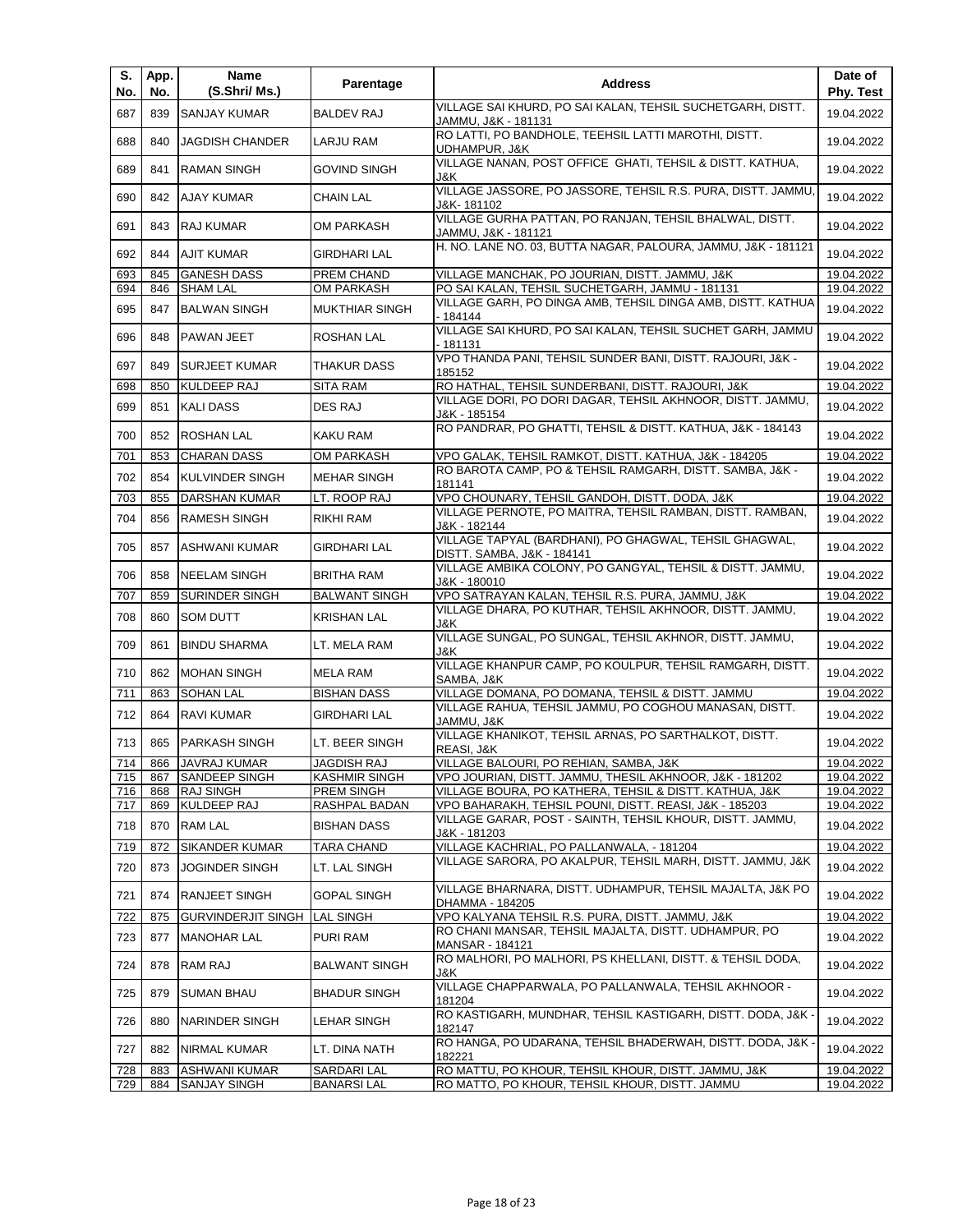| S.<br>No.  | App.<br>No. | Name<br>(S.Shri/ Ms.)                       | Parentage                 | <b>Address</b>                                                                                                      | Date of<br>Phy. Test     |
|------------|-------------|---------------------------------------------|---------------------------|---------------------------------------------------------------------------------------------------------------------|--------------------------|
| 687        | 839         | <b>SANJAY KUMAR</b>                         | <b>BALDEV RAJ</b>         | VILLAGE SAI KHURD, PO SAI KALAN, TEHSIL SUCHETGARH, DISTT.<br>JAMMU, J&K - 181131                                   | 19.04.2022               |
| 688        | 840         | <b>JAGDISH CHANDER</b>                      | LARJU RAM                 | RO LATTI, PO BANDHOLE, TEEHSIL LATTI MAROTHI, DISTT.<br>UDHAMPUR, J&K                                               | 19.04.2022               |
| 689        | 841         | <b>RAMAN SINGH</b>                          | <b>GOVIND SINGH</b>       | VILLAGE NANAN, POST OFFICE GHATI, TEHSIL & DISTT. KATHUA,<br>J&K                                                    | 19.04.2022               |
| 690        | 842         | <b>AJAY KUMAR</b>                           | <b>CHAIN LAL</b>          | VILLAGE JASSORE, PO JASSORE, TEHSIL R.S. PURA, DISTT. JAMMU,<br>J&K- 181102                                         | 19.04.2022               |
| 691        | 843         | <b>RAJ KUMAR</b>                            | OM PARKASH                | VILLAGE GURHA PATTAN, PO RANJAN, TEHSIL BHALWAL, DISTT.<br>JAMMU, J&K - 181121                                      | 19.04.2022               |
| 692        | 844         | <b>AJIT KUMAR</b>                           | <b>GIRDHARI LAL</b>       | H. NO. LANE NO. 03, BUTTA NAGAR, PALOURA, JAMMU, J&K - 181121                                                       | 19.04.2022               |
| 693        | 845         | <b>GANESH DASS</b>                          | PREM CHAND                | VILLAGE MANCHAK, PO JOURIAN, DISTT. JAMMU, J&K                                                                      | 19.04.2022               |
| 694        | 846         | <b>SHAM LAL</b>                             | <b>OM PARKASH</b>         | PO SAI KALAN, TEHSIL SUCHETGARH, JAMMU - 181131                                                                     | 19.04.2022               |
| 695        | 847         | <b>BALWAN SINGH</b>                         | <b>MUKTHIAR SINGH</b>     | VILLAGE GARH, PO DINGA AMB, TEHSIL DINGA AMB, DISTT. KATHUA<br>- 184144                                             | 19.04.2022               |
| 696        | 848         | <b>PAWAN JEET</b>                           | <b>ROSHAN LAL</b>         | VILLAGE SAI KHURD, PO SAI KALAN, TEHSIL SUCHET GARH, JAMMU<br>- 181131                                              | 19.04.2022               |
| 697        | 849         | <b>SURJEET KUMAR</b>                        | THAKUR DASS               | VPO THANDA PANI, TEHSIL SUNDER BANI, DISTT. RAJOURI, J&K -<br>185152                                                | 19.04.2022               |
| 698        | 850         | <b>KULDEEP RAJ</b>                          | <b>SITA RAM</b>           | RO HATHAL, TEHSIL SUNDERBANI, DISTT. RAJOURI, J&K                                                                   | 19.04.2022               |
| 699        | 851         | <b>KALI DASS</b>                            | DES RAJ                   | VILLAGE DORI, PO DORI DAGAR, TEHSIL AKHNOOR, DISTT. JAMMU,<br>J&K - 185154                                          | 19.04.2022               |
| 700        | 852         | <b>ROSHAN LAL</b>                           | KAKU RAM                  | RO PANDRAR, PO GHATTI, TEHSIL & DISTT. KATHUA, J&K - 184143                                                         | 19.04.2022               |
| 701        | 853         | <b>CHARAN DASS</b>                          | <b>OM PARKASH</b>         | VPO GALAK, TEHSIL RAMKOT, DISTT. KATHUA, J&K - 184205                                                               | 19.04.2022               |
| 702        | 854         | <b>KULVINDER SINGH</b>                      | <b>MEHAR SINGH</b>        | RO BAROTA CAMP, PO & TEHSIL RAMGARH, DISTT. SAMBA, J&K -                                                            | 19.04.2022               |
|            |             |                                             |                           | 181141                                                                                                              |                          |
| 703<br>704 | 855<br>856  | <b>DARSHAN KUMAR</b><br><b>RAMESH SINGH</b> | LT. ROOP RAJ<br>RIKHI RAM | VPO CHOUNARY, TEHSIL GANDOH, DISTT. DODA, J&K<br>VILLAGE PERNOTE, PO MAITRA, TEHSIL RAMBAN, DISTT. RAMBAN,          | 19.04.2022<br>19.04.2022 |
| 705        | 857         | ASHWANI KUMAR                               | GIRDHARI LAL              | J&K - 182144<br>VILLAGE TAPYAL (BARDHANI), PO GHAGWAL, TEHSIL GHAGWAL,                                              | 19.04.2022               |
| 706        | 858         | <b>NEELAM SINGH</b>                         | BRITHA RAM                | DISTT. SAMBA, J&K - 184141<br>VILLAGE AMBIKA COLONY, PO GANGYAL, TEHSIL & DISTT. JAMMU,                             | 19.04.2022               |
| 707        | 859         | <b>SURINDER SINGH</b>                       | <b>BALWANT SINGH</b>      | J&K - 180010<br>VPO SATRAYAN KALAN, TEHSIL R.S. PURA, JAMMU, J&K                                                    | 19.04.2022               |
| 708        | 860         | <b>SOM DUTT</b>                             | <b>KRISHAN LAL</b>        | VILLAGE DHARA, PO KUTHAR, TEHSIL AKHNOOR, DISTT. JAMMU,<br>J&K                                                      | 19.04.2022               |
| 709        | 861         | <b>BINDU SHARMA</b>                         | LT. MELA RAM              | VILLAGE SUNGAL, PO SUNGAL, TEHSIL AKHNOR, DISTT. JAMMU,<br>J&K                                                      | 19.04.2022               |
| 710        | 862         | <b>MOHAN SINGH</b>                          | MELA RAM                  | VILLAGE KHANPUR CAMP, PO KOULPUR, TEHSIL RAMGARH, DISTT.<br>SAMBA, J&K                                              | 19.04.2022               |
| 711        | 863         | <b>SOHAN LAL</b>                            | <b>BISHAN DASS</b>        | VILLAGE DOMANA, PO DOMANA, TEHSIL & DISTT. JAMMU                                                                    | 19.04.2022               |
|            |             |                                             |                           | VILLAGE RAHUA, TEHSIL JAMMU, PO COGHOU MANASAN, DISTT.                                                              |                          |
| 712        | 864         | RAVI KUMAR                                  | <b>GIRDHARI LAL</b>       | JAMMU, J&K<br>VILLAGE KHANIKOT, TEHSIL ARNAS, PO SARTHALKOT, DISTT.                                                 | 19.04.2022               |
| 713        | 865         | <b>PARKASH SINGH</b>                        | LT. BEER SINGH            | REASI, J&K                                                                                                          | 19.04.2022               |
| 714        |             | 866 JAVRAJ KUMAR                            | JAGDISH RAJ               | VILLAGE BALOURI, PO REHIAN, SAMBA, J&K                                                                              | 19.04.2022               |
| 715        | 867         | <b>SANDEEP SINGH</b>                        | <b>KASHMIR SINGH</b>      | VPO JOURIAN, DISTT. JAMMU, THESIL AKHNOOR, J&K - 181202                                                             | 19.04.2022               |
| 716        | 868         | <b>RAJ SINGH</b>                            | PREM SINGH                | VILLAGE BOURA, PO KATHERA, TEHSIL & DISTT. KATHUA, J&K                                                              | 19.04.2022               |
| 717        | 869         | <b>KULDEEP RAJ</b>                          | RASHPAL BADAN             | VPO BAHARAKH, TEHSIL POUNI, DISTT. REASI, J&K - 185203<br>VILLAGE GARAR, POST - SAINTH, TEHSIL KHOUR, DISTT. JAMMU, | 19.04.2022               |
| 718        | 870         | <b>RAM LAL</b>                              | <b>BISHAN DASS</b>        | J&K - 181203                                                                                                        | 19.04.2022               |
| 719        | 872         | <b>SIKANDER KUMAR</b>                       | <b>TARA CHAND</b>         | VILLAGE KACHRIAL, PO PALLANWALA, - 181204                                                                           | 19.04.2022               |
| 720        | 873         | <b>JOGINDER SINGH</b>                       | LT. LAL SINGH             | VILLAGE SARORA, PO AKALPUR, TEHSIL MARH, DISTT, JAMMU, J&K                                                          | 19.04.2022               |
| 721        | 874         | <b>RANJEET SINGH</b>                        | <b>GOPAL SINGH</b>        | VILLAGE BHARNARA, DISTT. UDHAMPUR, TEHSIL MAJALTA, J&K PO<br>DHAMMA - 184205                                        | 19.04.2022               |
| 722        | 875         | <b>GURVINDERJIT SINGH</b>                   | <b>LAL SINGH</b>          | VPO KALYANA TEHSIL R.S. PURA, DISTT. JAMMU, J&K                                                                     | 19.04.2022               |
| 723        | 877         | <b>MANOHAR LAL</b>                          | PURI RAM                  | RO CHANI MANSAR, TEHSIL MAJALTA, DISTT. UDHAMPUR, PO<br>MANSAR - 184121                                             | 19.04.2022               |
| 724        | 878         | <b>RAM RAJ</b>                              | <b>BALWANT SINGH</b>      | RO MALHORI, PO MALHORI, PS KHELLANI, DISTT. & TEHSIL DODA,<br>J&K                                                   | 19.04.2022               |
| 725        | 879         | <b>SUMAN BHAU</b>                           | <b>BHADUR SINGH</b>       | VILLAGE CHAPPARWALA, PO PALLANWALA, TEHSIL AKHNOOR -<br>181204                                                      | 19.04.2022               |
| 726        | 880         | NARINDER SINGH                              | LEHAR SINGH               | RO KASTIGARH, MUNDHAR, TEHSIL KASTIGARH, DISTT. DODA, J&K ·<br>182147                                               | 19.04.2022               |
| 727        | 882         | <b>NIRMAL KUMAR</b>                         | LT. DINA NATH             | RO HANGA, PO UDARANA, TEHSIL BHADERWAH, DISTT. DODA, J&K ·<br>182221                                                | 19.04.2022               |
| 728        | 883         | <b>ASHWANI KUMAR</b>                        | SARDARI LAL               | RO MATTU, PO KHOUR, TEHSIL KHOUR, DISTT. JAMMU, J&K                                                                 | 19.04.2022               |
| 729        | 884         | <b>SANJAY SINGH</b>                         | <b>BANARSILAL</b>         | RO MATTO, PO KHOUR, TEHSIL KHOUR, DISTT. JAMMU                                                                      | 19.04.2022               |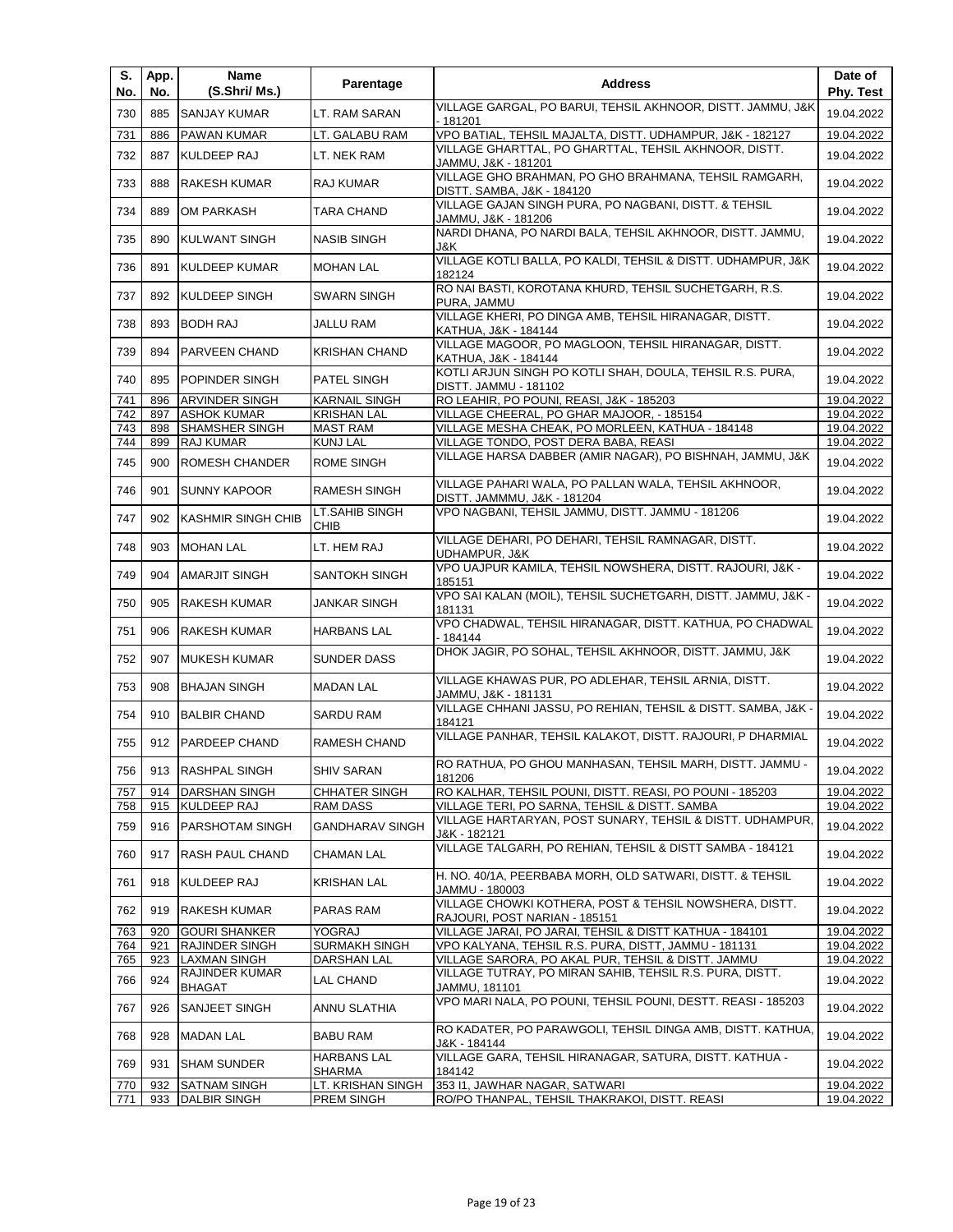| S.<br>No.  | App.<br>No. | Name<br>(S.Shri/ Ms.)                     | Parentage                                 | <b>Address</b>                                                                                                    | Date of<br><b>Phy. Test</b> |
|------------|-------------|-------------------------------------------|-------------------------------------------|-------------------------------------------------------------------------------------------------------------------|-----------------------------|
| 730        | 885         | <b>SANJAY KUMAR</b>                       | LT. RAM SARAN                             | VILLAGE GARGAL, PO BARUI, TEHSIL AKHNOOR, DISTT. JAMMU, J&K<br>- 181201                                           | 19.04.2022                  |
| 731        | 886         | <b>PAWAN KUMAR</b>                        | LT. GALABU RAM                            | VPO BATIAL, TEHSIL MAJALTA, DISTT. UDHAMPUR, J&K - 182127                                                         | 19.04.2022                  |
| 732        | 887         | <b>KULDEEP RAJ</b>                        | LT. NEK RAM                               | VILLAGE GHARTTAL, PO GHARTTAL, TEHSIL AKHNOOR, DISTT.<br>JAMMU, J&K - 181201                                      | 19.04.2022                  |
| 733        | 888         | <b>RAKESH KUMAR</b>                       | RAJ KUMAR                                 | VILLAGE GHO BRAHMAN, PO GHO BRAHMANA, TEHSIL RAMGARH,<br>DISTT. SAMBA, J&K - 184120                               | 19.04.2022                  |
| 734        | 889         | OM PARKASH                                | TARA CHAND                                | VILLAGE GAJAN SINGH PURA, PO NAGBANI, DISTT. & TEHSIL<br>JAMMU, J&K - 181206                                      | 19.04.2022                  |
| 735        | 890         | KULWANT SINGH                             | <b>NASIB SINGH</b>                        | NARDI DHANA, PO NARDI BALA, TEHSIL AKHNOOR, DISTT. JAMMU,<br>J&K.                                                 | 19.04.2022                  |
| 736        | 891         | KULDEEP KUMAR                             | <b>MOHAN LAL</b>                          | VILLAGE KOTLI BALLA, PO KALDI, TEHSIL & DISTT. UDHAMPUR, J&K<br>182124                                            | 19.04.2022                  |
| 737        | 892         | <b>KULDEEP SINGH</b>                      | <b>SWARN SINGH</b>                        | RO NAI BASTI, KOROTANA KHURD, TEHSIL SUCHETGARH, R.S.<br>PURA, JAMMU                                              | 19.04.2022                  |
| 738        | 893         | <b>BODH RAJ</b>                           | JALLU RAM                                 | VILLAGE KHERI, PO DINGA AMB, TEHSIL HIRANAGAR, DISTT.<br>KATHUA, J&K - 184144                                     | 19.04.2022                  |
| 739        | 894         | <b>PARVEEN CHAND</b>                      | <b>KRISHAN CHAND</b>                      | VILLAGE MAGOOR, PO MAGLOON, TEHSIL HIRANAGAR, DISTT.<br>KATHUA, J&K - 184144                                      | 19.04.2022                  |
| 740        | 895         | POPINDER SINGH                            | PATEL SINGH                               | KOTLI ARJUN SINGH PO KOTLI SHAH, DOULA, TEHSIL R.S. PURA,<br>DISTT. JAMMU - 181102                                | 19.04.2022                  |
| 741        | 896         | ARVINDER SINGH                            | <b>KARNAIL SINGH</b>                      | RO LEAHIR, PO POUNI, REASI, J&K - 185203                                                                          | 19.04.2022                  |
| 742        | 897         | <b>ASHOK KUMAR</b>                        | <b>KRISHAN LAL</b>                        | VILLAGE CHEERAL, PO GHAR MAJOOR, - 185154                                                                         | 19.04.2022                  |
| 743        | 898         | <b>SHAMSHER SINGH</b>                     | <b>MAST RAM</b>                           | VILLAGE MESHA CHEAK, PO MORLEEN, KATHUA - 184148                                                                  | 19.04.2022                  |
| 744        | 899         | RAJ KUMAR                                 | <b>KUNJ LAL</b>                           | VILLAGE TONDO, POST DERA BABA, REASI                                                                              | 19.04.2022                  |
| 745        | 900         | <b>ROMESH CHANDER</b>                     | ROME SINGH                                | VILLAGE HARSA DABBER (AMIR NAGAR), PO BISHNAH, JAMMU, J&K<br>VILLAGE PAHARI WALA, PO PALLAN WALA, TEHSIL AKHNOOR, | 19.04.2022                  |
| 746        | 901         | <b>SUNNY KAPOOR</b>                       | <b>RAMESH SINGH</b><br>LT.SAHIB SINGH     | DISTT. JAMMMU, J&K - 181204<br>VPO NAGBANI, TEHSIL JAMMU, DISTT. JAMMU - 181206                                   | 19.04.2022                  |
| 747        | 902         | <b>KASHMIR SINGH CHIB</b>                 | <b>CHIB</b>                               | VILLAGE DEHARI, PO DEHARI, TEHSIL RAMNAGAR, DISTT.                                                                | 19.04.2022                  |
| 748        | 903         | <b>MOHAN LAL</b>                          | LT. HEM RAJ                               | UDHAMPUR, J&K<br>VPO UAJPUR KAMILA, TEHSIL NOWSHERA, DISTT. RAJOURI, J&K -                                        | 19.04.2022                  |
| 749        | 904         | <b>AMARJIT SINGH</b>                      | SANTOKH SINGH                             | 185151                                                                                                            | 19.04.2022                  |
| 750        | 905         | RAKESH KUMAR                              | JANKAR SINGH                              | VPO SAI KALAN (MOIL), TEHSIL SUCHETGARH, DISTT. JAMMU, J&K -<br>181131                                            | 19.04.2022                  |
| 751        | 906         | <b>RAKESH KUMAR</b>                       | <b>HARBANS LAL</b>                        | VPO CHADWAL, TEHSIL HIRANAGAR, DISTT. KATHUA, PO CHADWAL<br>- 184144                                              | 19.04.2022                  |
| 752        | 907         | <b>MUKESH KUMAR</b>                       | SUNDER DASS                               | DHOK JAGIR, PO SOHAL, TEHSIL AKHNOOR, DISTT. JAMMU, J&K                                                           | 19.04.2022                  |
| 753        | 908         | <b>BHAJAN SINGH</b>                       | <b>MADAN LAL</b>                          | VILLAGE KHAWAS PUR, PO ADLEHAR, TEHSIL ARNIA, DISTT.<br>JAMMU, J&K - 181131                                       | 19.04.2022                  |
| 754        | 910         | <b>BALBIR CHAND</b>                       | SARDU RAM                                 | VILLAGE CHHANI JASSU, PO REHIAN, TEHSIL & DISTT. SAMBA, J&K -<br>184121                                           | 19.04.2022                  |
| 755        |             | 912 PARDEEP CHAND                         | RAMESH CHAND                              | VILLAGE PANHAR, TEHSIL KALAKOT, DISTT. RAJOURI, P DHARMIAL                                                        | 19.04.2022                  |
| 756        |             | 913 RASHPAL SINGH                         | <b>SHIV SARAN</b>                         | RO RATHUA, PO GHOU MANHASAN, TEHSIL MARH, DISTT. JAMMU -<br>181206                                                | 19.04.2022                  |
| 757        | 914         | <b>DARSHAN SINGH</b>                      | <b>CHHATER SINGH</b>                      | RO KALHAR, TEHSIL POUNI, DISTT. REASI, PO POUNI - 185203                                                          | 19.04.2022                  |
| 758<br>759 | 916         | 915 KULDEEP RAJ<br><b>PARSHOTAM SINGH</b> | <b>RAM DASS</b><br><b>GANDHARAV SINGH</b> | VILLAGE TERI, PO SARNA, TEHSIL & DISTT. SAMBA<br>VILLAGE HARTARYAN, POST SUNARY, TEHSIL & DISTT. UDHAMPUR,        | 19.04.2022<br>19.04.2022    |
| 760        | 917         | <b>RASH PAUL CHAND</b>                    | <b>CHAMAN LAL</b>                         | J&K - 182121<br>VILLAGE TALGARH, PO REHIAN, TEHSIL & DISTT SAMBA - 184121                                         | 19.04.2022                  |
| 761        | 918         | KULDEEP RAJ                               | <b>KRISHAN LAL</b>                        | H. NO. 40/1A, PEERBABA MORH, OLD SATWARI, DISTT. & TEHSIL<br>JAMMU - 180003                                       | 19.04.2022                  |
| 762        | 919         | <b>RAKESH KUMAR</b>                       | PARAS RAM                                 | VILLAGE CHOWKI KOTHERA, POST & TEHSIL NOWSHERA, DISTT.<br>RAJOURI, POST NARIAN - 185151                           | 19.04.2022                  |
| 763        | 920         | <b>GOURI SHANKER</b>                      | YOGRAJ                                    | VILLAGE JARAI, PO JARAI, TEHSIL & DISTT KATHUA - 184101                                                           | 19.04.2022                  |
| 764        | 921         | RAJINDER SINGH                            | <b>SURMAKH SINGH</b>                      | VPO KALYANA, TEHSIL R.S. PURA, DISTT, JAMMU - 181131                                                              | 19.04.2022                  |
| 765        | 923         | <b>LAXMAN SINGH</b>                       | <b>DARSHAN LAL</b>                        | VILLAGE SARORA, PO AKAL PUR, TEHSIL & DISTT. JAMMU                                                                | 19.04.2022                  |
| 766        | 924         | RAJINDER KUMAR<br><b>BHAGAT</b>           | LAL CHAND                                 | VILLAGE TUTRAY, PO MIRAN SAHIB, TEHSIL R.S. PURA, DISTT.<br>JAMMU, 181101                                         | 19.04.2022                  |
| 767        | 926         | SANJEET SINGH                             | ANNU SLATHIA                              | VPO MARI NALA, PO POUNI, TEHSIL POUNI, DESTT. REASI - 185203                                                      | 19.04.2022                  |
| 768        | 928         | <b>MADAN LAL</b>                          | BABU RAM                                  | RO KADATER, PO PARAWGOLI, TEHSIL DINGA AMB, DISTT. KATHUA,<br>J&K - 184144                                        | 19.04.2022                  |
| 769        | 931         | <b>SHAM SUNDER</b>                        | <b>HARBANS LAL</b><br>SHARMA              | VILLAGE GARA, TEHSIL HIRANAGAR, SATURA, DISTT. KATHUA -<br>184142                                                 | 19.04.2022                  |
| 770        | 932         | <b>SATNAM SINGH</b>                       | LT. KRISHAN SINGH                         | 353 I1, JAWHAR NAGAR, SATWARI                                                                                     | 19.04.2022                  |
| 771        | 933         | <b>DALBIR SINGH</b>                       | PREM SINGH                                | RO/PO THANPAL, TEHSIL THAKRAKOI, DISTT. REASI                                                                     | 19.04.2022                  |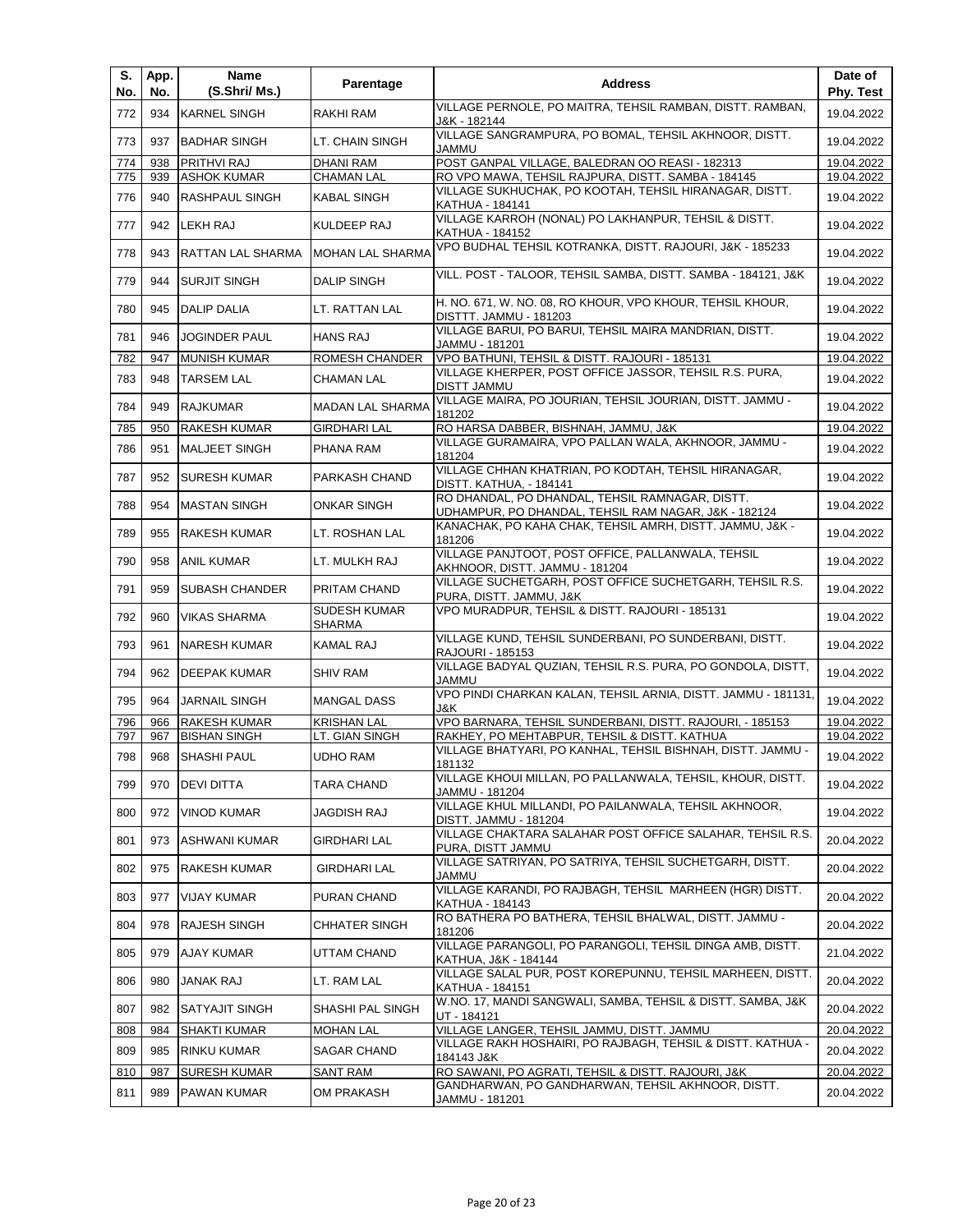| S.<br>No.  | App.<br>No. | Name<br>(S.Shri/ Ms.)                  | Parentage                             | <b>Address</b>                                                                                              | Date of<br>Phy. Test     |
|------------|-------------|----------------------------------------|---------------------------------------|-------------------------------------------------------------------------------------------------------------|--------------------------|
| 772        | 934         | <b>KARNEL SINGH</b>                    | RAKHI RAM                             | VILLAGE PERNOLE, PO MAITRA, TEHSIL RAMBAN, DISTT. RAMBAN,<br>J&K - 182144                                   | 19.04.2022               |
| 773        | 937         | <b>BADHAR SINGH</b>                    | LT. CHAIN SINGH                       | VILLAGE SANGRAMPURA, PO BOMAL, TEHSIL AKHNOOR, DISTT.<br>JAMMU                                              | 19.04.2022               |
| 774<br>775 | 938<br>939  | PRITHVI RAJ<br><b>ASHOK KUMAR</b>      | <b>DHANI RAM</b><br><b>CHAMAN LAL</b> | POST GANPAL VILLAGE, BALEDRAN OO REASI - 182313<br>RO VPO MAWA, TEHSIL RAJPURA, DISTT. SAMBA - 184145       | 19.04.2022<br>19.04.2022 |
| 776        | 940         | <b>RASHPAUL SINGH</b>                  | <b>KABAL SINGH</b>                    | VILLAGE SUKHUCHAK, PO KOOTAH, TEHSIL HIRANAGAR, DISTT.                                                      | 19.04.2022               |
| 777        | 942         | LEKH RAJ                               | KULDEEP RAJ                           | KATHUA - 184141<br>VILLAGE KARROH (NONAL) PO LAKHANPUR, TEHSIL & DISTT.                                     | 19.04.2022               |
| 778        | 943         | RATTAN LAL SHARMA                      | <b>MOHAN LAL SHARMA</b>               | KATHUA - 184152<br>VPO BUDHAL TEHSIL KOTRANKA, DISTT. RAJOURI, J&K - 185233                                 | 19.04.2022               |
| 779        | 944         | <b>SURJIT SINGH</b>                    | <b>DALIP SINGH</b>                    | VILL. POST - TALOOR, TEHSIL SAMBA, DISTT. SAMBA - 184121, J&K                                               | 19.04.2022               |
| 780        | 945         | <b>DALIP DALIA</b>                     | LT. RATTAN LAL                        | H. NO. 671, W. NO. 08, RO KHOUR, VPO KHOUR, TEHSIL KHOUR,<br>DISTTT. JAMMU - 181203                         | 19.04.2022               |
| 781        | 946         | <b>JOGINDER PAUL</b>                   | <b>HANS RAJ</b>                       | VILLAGE BARUI, PO BARUI, TEHSIL MAIRA MANDRIAN, DISTT.<br>JAMMU - 181201                                    | 19.04.2022               |
| 782        | 947         | <b>MUNISH KUMAR</b>                    | ROMESH CHANDER                        | VPO BATHUNI, TEHSIL & DISTT. RAJOURI - 185131                                                               | 19.04.2022               |
| 783        | 948         | <b>TARSEM LAL</b>                      | <b>CHAMAN LAL</b>                     | VILLAGE KHERPER, POST OFFICE JASSOR, TEHSIL R.S. PURA,<br><b>DISTT JAMMU</b>                                | 19.04.2022               |
| 784        | 949         | <b>RAJKUMAR</b>                        | MADAN LAL SHARMA                      | VILLAGE MAIRA, PO JOURIAN, TEHSIL JOURIAN, DISTT. JAMMU -<br>181202                                         | 19.04.2022               |
| 785        | 950         | <b>RAKESH KUMAR</b>                    | <b>GIRDHARI LAL</b>                   | RO HARSA DABBER, BISHNAH, JAMMU, J&K                                                                        | 19.04.2022               |
| 786        | 951         | <b>MALJEET SINGH</b>                   | PHANA RAM                             | VILLAGE GURAMAIRA, VPO PALLAN WALA, AKHNOOR, JAMMU -<br>181204                                              | 19.04.2022               |
| 787        | 952         | <b>SURESH KUMAR</b>                    | PARKASH CHAND                         | VILLAGE CHHAN KHATRIAN, PO KODTAH, TEHSIL HIRANAGAR,<br>DISTT. KATHUA, - 184141                             | 19.04.2022               |
| 788        | 954         | <b>MASTAN SINGH</b>                    | <b>ONKAR SINGH</b>                    | RO DHANDAL, PO DHANDAL, TEHSIL RAMNAGAR, DISTT.<br>UDHAMPUR, PO DHANDAL, TEHSIL RAM NAGAR, J&K - 182124     | 19.04.2022               |
| 789        | 955         | <b>RAKESH KUMAR</b>                    | LT. ROSHAN LAL                        | KANACHAK, PO KAHA CHAK, TEHSIL AMRH, DISTT. JAMMU, J&K -<br>181206                                          | 19.04.2022               |
| 790        | 958         | <b>ANIL KUMAR</b>                      | LT. MULKH RAJ                         | VILLAGE PANJTOOT, POST OFFICE, PALLANWALA, TEHSIL<br>AKHNOOR, DISTT. JAMMU - 181204                         | 19.04.2022               |
| 791        | 959         | <b>SUBASH CHANDER</b>                  | PRITAM CHAND                          | VILLAGE SUCHETGARH, POST OFFICE SUCHETGARH, TEHSIL R.S.<br>PURA, DISTT. JAMMU, J&K                          | 19.04.2022               |
| 792        | 960         | <b>VIKAS SHARMA</b>                    | <b>SUDESH KUMAR</b><br><b>SHARMA</b>  | VPO MURADPUR, TEHSIL & DISTT. RAJOURI - 185131                                                              | 19.04.2022               |
| 793        | 961         | <b>NARESH KUMAR</b>                    | <b>KAMAL RAJ</b>                      | VILLAGE KUND, TEHSIL SUNDERBANI, PO SUNDERBANI, DISTT.<br>RAJOURI - 185153                                  | 19.04.2022               |
| 794        | 962         | DEEPAK KUMAR                           | <b>SHIV RAM</b>                       | VILLAGE BADYAL QUZIAN, TEHSIL R.S. PURA, PO GONDOLA, DISTT,<br>JAMMU                                        | 19.04.2022               |
| 795        | 964         | <b>JARNAIL SINGH</b>                   | <b>MANGAL DASS</b>                    | VPO PINDI CHARKAN KALAN, TEHSIL ARNIA, DISTT. JAMMU - 181131,<br>J&K.                                       | 19.04.2022               |
| 796        | 966         | <b>RAKESH KUMAR</b>                    | <b>KRISHAN LAL</b>                    | VPO BARNARA, TEHSIL SUNDERBANI, DISTT. RAJOURI, - 185153                                                    | 19.04.2022               |
| 797<br>798 | 967         | <b>BISHAN SINGH</b><br>968 SHASHI PAUL | LT. GIAN SINGH<br><b>UDHO RAM</b>     | RAKHEY, PO MEHTABPUR, TEHSIL & DISTT. KATHUA<br>VILLAGE BHATYARI, PO KANHAL, TEHSIL BISHNAH, DISTT. JAMMU - | 19.04.2022<br>19.04.2022 |
| 799        | 970         | <b>DEVI DITTA</b>                      | <b>TARA CHAND</b>                     | 181132<br>VILLAGE KHOUI MILLAN, PO PALLANWALA, TEHSIL, KHOUR, DISTT.                                        | 19.04.2022               |
| 800        | 972         | <b>VINOD KUMAR</b>                     | <b>JAGDISH RAJ</b>                    | JAMMU - 181204<br>VILLAGE KHUL MILLANDI, PO PAILANWALA, TEHSIL AKHNOOR,                                     | 19.04.2022               |
| 801        | 973         | <b>ASHWANI KUMAR</b>                   | GIRDHARI LAL                          | DISTT. JAMMU - 181204<br>VILLAGE CHAKTARA SALAHAR POST OFFICE SALAHAR, TEHSIL R.S.                          | 20.04.2022               |
| 802        | 975         | <b>RAKESH KUMAR</b>                    | GIRDHARI LAL                          | PURA, DISTT JAMMU<br>VILLAGE SATRIYAN, PO SATRIYA, TEHSIL SUCHETGARH, DISTT.                                | 20.04.2022               |
| 803        | 977         | <b>VIJAY KUMAR</b>                     | PURAN CHAND                           | JAMMU<br>VILLAGE KARANDI, PO RAJBAGH, TEHSIL MARHEEN (HGR) DISTT.                                           | 20.04.2022               |
| 804        | 978         | <b>RAJESH SINGH</b>                    | CHHATER SINGH                         | KATHUA - 184143<br>RO BATHERA PO BATHERA, TEHSIL BHALWAL, DISTT. JAMMU -                                    | 20.04.2022               |
| 805        | 979         | <b>AJAY KUMAR</b>                      | UTTAM CHAND                           | 181206<br>VILLAGE PARANGOLI, PO PARANGOLI, TEHSIL DINGA AMB, DISTT.                                         | 21.04.2022               |
| 806        | 980         | JANAK RAJ                              | LT. RAM LAL                           | KATHUA, J&K - 184144<br>VILLAGE SALAL PUR, POST KOREPUNNU, TEHSIL MARHEEN, DISTT.                           | 20.04.2022               |
| 807        | 982         | SATYAJIT SINGH                         | SHASHI PAL SINGH                      | KATHUA - 184151<br>W.NO. 17, MANDI SANGWALI, SAMBA, TEHSIL & DISTT. SAMBA, J&K                              | 20.04.2022               |
| 808        | 984         | <b>SHAKTI KUMAR</b>                    | <b>MOHAN LAL</b>                      | UT - 184121<br>VILLAGE LANGER, TEHSIL JAMMU, DISTT. JAMMU                                                   | 20.04.2022               |
| 809        | 985         | <b>RINKU KUMAR</b>                     | SAGAR CHAND                           | VILLAGE RAKH HOSHAIRI, PO RAJBAGH, TEHSIL & DISTT. KATHUA -                                                 | 20.04.2022               |
| 810        | 987         | <b>SURESH KUMAR</b>                    | <b>SANT RAM</b>                       | 184143 J&K<br>RO SAWANI, PO AGRATI, TEHSIL & DISTT. RAJOURI, J&K                                            | 20.04.2022               |
| 811        | 989         | <b>PAWAN KUMAR</b>                     | OM PRAKASH                            | GANDHARWAN, PO GANDHARWAN, TEHSIL AKHNOOR, DISTT.<br>JAMMU - 181201                                         | 20.04.2022               |
|            |             |                                        |                                       |                                                                                                             |                          |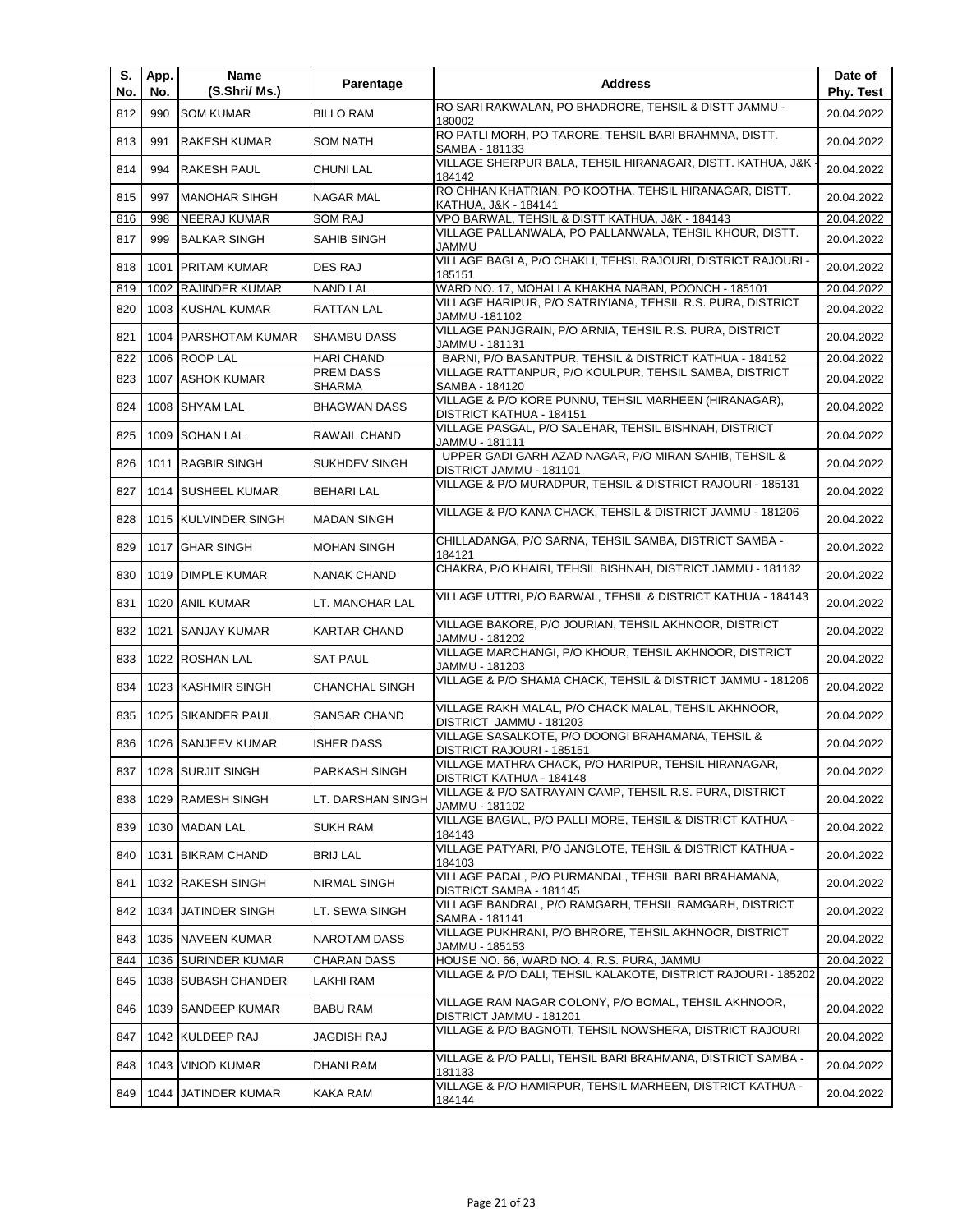| S.<br>No. | App.<br>No. | Name<br>(S.Shri/ Ms.)  | Parentage             | <b>Address</b>                                                                    | Date of<br>Phy. Test |
|-----------|-------------|------------------------|-----------------------|-----------------------------------------------------------------------------------|----------------------|
| 812       | 990         | <b>SOM KUMAR</b>       | <b>BILLO RAM</b>      | RO SARI RAKWALAN, PO BHADRORE, TEHSIL & DISTT JAMMU -<br>180002                   | 20.04.2022           |
| 813       | 991         | <b>RAKESH KUMAR</b>    | <b>SOM NATH</b>       | RO PATLI MORH, PO TARORE, TEHSIL BARI BRAHMNA, DISTT.<br>SAMBA - 181133           | 20.04.2022           |
| 814       | 994         | <b>RAKESH PAUL</b>     | <b>CHUNI LAL</b>      | VILLAGE SHERPUR BALA, TEHSIL HIRANAGAR, DISTT. KATHUA, J&K -<br>184142            | 20.04.2022           |
| 815       | 997         | <b>MANOHAR SIHGH</b>   | <b>NAGAR MAL</b>      | RO CHHAN KHATRIAN, PO KOOTHA, TEHSIL HIRANAGAR, DISTT.<br>KATHUA, J&K - 184141    | 20.04.2022           |
| 816       | 998         | NEERAJ KUMAR           | <b>SOM RAJ</b>        | VPO BARWAL, TEHSIL & DISTT KATHUA, J&K - 184143                                   | 20.04.2022           |
| 817       | 999         | <b>BALKAR SINGH</b>    | SAHIB SINGH           | VILLAGE PALLANWALA, PO PALLANWALA, TEHSIL KHOUR, DISTT.<br><b>UMMAL</b>           | 20.04.2022           |
| 818       | 1001        | <b>PRITAM KUMAR</b>    | DES RAJ               | VILLAGE BAGLA, P/O CHAKLI, TEHSI. RAJOURI, DISTRICT RAJOURI -<br>185151           | 20.04.2022           |
| 819       | 1002        | <b>RAJINDER KUMAR</b>  | <b>NAND LAL</b>       | WARD NO. 17, MOHALLA KHAKHA NABAN, POONCH - 185101                                | 20.04.2022           |
| 820       | 1003        | <b>KUSHAL KUMAR</b>    | RATTAN LAL            | VILLAGE HARIPUR, P/O SATRIYIANA, TEHSIL R.S. PURA, DISTRICT<br>JAMMU -181102      | 20.04.2022           |
| 821       | 1004        | <b>PARSHOTAM KUMAR</b> | <b>SHAMBU DASS</b>    | VILLAGE PANJGRAIN, P/O ARNIA, TEHSIL R.S. PURA, DISTRICT<br>JAMMU - 181131        | 20.04.2022           |
| 822       | 1006        | <b>ROOP LAL</b>        | <b>HARI CHAND</b>     | BARNI, P/O BASANTPUR, TEHSIL & DISTRICT KATHUA - 184152                           | 20.04.2022           |
| 823       |             | 1007 ASHOK KUMAR       | PREM DASS<br>SHARMA   | VILLAGE RATTANPUR, P/O KOULPUR, TEHSIL SAMBA, DISTRICT<br>SAMBA - 184120          | 20.04.2022           |
| 824       |             | 1008 SHYAM LAL         | <b>BHAGWAN DASS</b>   | VILLAGE & P/O KORE PUNNU, TEHSIL MARHEEN (HIRANAGAR),<br>DISTRICT KATHUA - 184151 | 20.04.2022           |
| 825       | 1009        | <b>SOHAN LAL</b>       | RAWAIL CHAND          | VILLAGE PASGAL, P/O SALEHAR, TEHSIL BISHNAH, DISTRICT<br>JAMMU - 181111           | 20.04.2022           |
| 826       |             | 1011 RAGBIR SINGH      | SUKHDEV SINGH         | UPPER GADI GARH AZAD NAGAR, P/O MIRAN SAHIB, TEHSIL &<br>DISTRICT JAMMU - 181101  | 20.04.2022           |
| 827       |             | 1014 SUSHEEL KUMAR     | <b>BEHARI LAL</b>     | VILLAGE & P/O MURADPUR, TEHSIL & DISTRICT RAJOURI - 185131                        | 20.04.2022           |
| 828       |             | 1015 KULVINDER SINGH   | <b>MADAN SINGH</b>    | VILLAGE & P/O KANA CHACK, TEHSIL & DISTRICT JAMMU - 181206                        | 20.04.2022           |
| 829       |             | 1017 GHAR SINGH        | <b>MOHAN SINGH</b>    | CHILLADANGA, P/O SARNA, TEHSIL SAMBA, DISTRICT SAMBA -<br>184121                  | 20.04.2022           |
| 830       | 1019        | <b>DIMPLE KUMAR</b>    | <b>NANAK CHAND</b>    | CHAKRA, P/O KHAIRI, TEHSIL BISHNAH, DISTRICT JAMMU - 181132                       | 20.04.2022           |
| 831       | 1020        | <b>ANIL KUMAR</b>      | LT. MANOHAR LAL       | VILLAGE UTTRI, P/O BARWAL, TEHSIL & DISTRICT KATHUA - 184143                      | 20.04.2022           |
| 832       | 1021        | <b>SANJAY KUMAR</b>    | <b>KARTAR CHAND</b>   | VILLAGE BAKORE, P/O JOURIAN, TEHSIL AKHNOOR, DISTRICT<br>JAMMU - 181202           | 20.04.2022           |
| 833       |             | 1022 ROSHAN LAL        | <b>SAT PAUL</b>       | VILLAGE MARCHANGI, P/O KHOUR, TEHSIL AKHNOOR, DISTRICT<br>JAMMU - 181203          | 20.04.2022           |
| 834       |             | 1023 KASHMIR SINGH     | <b>CHANCHAL SINGH</b> | VILLAGE & P/O SHAMA CHACK, TEHSIL & DISTRICT JAMMU - 181206                       | 20.04.2022           |
| 835       | 1025        | <b>SIKANDER PAUL</b>   | SANSAR CHAND          | VILLAGE RAKH MALAL, P/O CHACK MALAL, TEHSIL AKHNOOR,<br>DISTRICT JAMMU - 181203   | 20.04.2022           |
| 836       |             | 1026 SANJEEV KUMAR     | <b>ISHER DASS</b>     | VILLAGE SASALKOTE, P/O DOONGI BRAHAMANA, TEHSIL &<br>DISTRICT RAJOURI - 185151    | 20.04.2022           |
| 837       |             | 1028 SURJIT SINGH      | PARKASH SINGH         | VILLAGE MATHRA CHACK, P/O HARIPUR, TEHSIL HIRANAGAR,<br>DISTRICT KATHUA - 184148  | 20.04.2022           |
| 838       |             | 1029 RAMESH SINGH      | LT. DARSHAN SINGH     | VILLAGE & P/O SATRAYAIN CAMP, TEHSIL R.S. PURA, DISTRICT<br>JAMMU - 181102        | 20.04.2022           |
| 839       |             | 1030 MADAN LAL         | SUKH RAM              | VILLAGE BAGIAL, P/O PALLI MORE, TEHSIL & DISTRICT KATHUA -<br>184143              | 20.04.2022           |
| 840       | 1031        | <b>BIKRAM CHAND</b>    | <b>BRIJ LAL</b>       | VILLAGE PATYARI, P/O JANGLOTE, TEHSIL & DISTRICT KATHUA -<br>184103               | 20.04.2022           |
| 841       |             | 1032 RAKESH SINGH      | NIRMAL SINGH          | VILLAGE PADAL, P/O PURMANDAL, TEHSIL BARI BRAHAMANA,<br>DISTRICT SAMBA - 181145   | 20.04.2022           |
| 842       | 1034        | JATINDER SINGH         | LT. SEWA SINGH        | VILLAGE BANDRAL, P/O RAMGARH, TEHSIL RAMGARH, DISTRICT<br>SAMBA - 181141          | 20.04.2022           |
| 843       |             | 1035 NAVEEN KUMAR      | NAROTAM DASS          | VILLAGE PUKHRANI, P/O BHRORE, TEHSIL AKHNOOR, DISTRICT<br>JAMMU - 185153          | 20.04.2022           |
| 844       |             | 1036 SURINDER KUMAR    | <b>CHARAN DASS</b>    | HOUSE NO. 66, WARD NO. 4, R.S. PURA, JAMMU                                        | 20.04.2022           |
| 845       |             | 1038 SUBASH CHANDER    | LAKHI RAM             | VILLAGE & P/O DALI, TEHSIL KALAKOTE, DISTRICT RAJOURI - 185202                    | 20.04.2022           |
| 846       |             | 1039 SANDEEP KUMAR     | BABU RAM              | VILLAGE RAM NAGAR COLONY, P/O BOMAL, TEHSIL AKHNOOR,<br>DISTRICT JAMMU - 181201   | 20.04.2022           |
| 847       |             | 1042 KULDEEP RAJ       | JAGDISH RAJ           | VILLAGE & P/O BAGNOTI, TEHSIL NOWSHERA, DISTRICT RAJOURI                          | 20.04.2022           |
| 848       |             | 1043   VINOD KUMAR     | DHANI RAM             | VILLAGE & P/O PALLI, TEHSIL BARI BRAHMANA, DISTRICT SAMBA -<br>181133             | 20.04.2022           |
| 849       | 1044        | JATINDER KUMAR         | KAKA RAM              | VILLAGE & P/O HAMIRPUR, TEHSIL MARHEEN, DISTRICT KATHUA -<br>184144               | 20.04.2022           |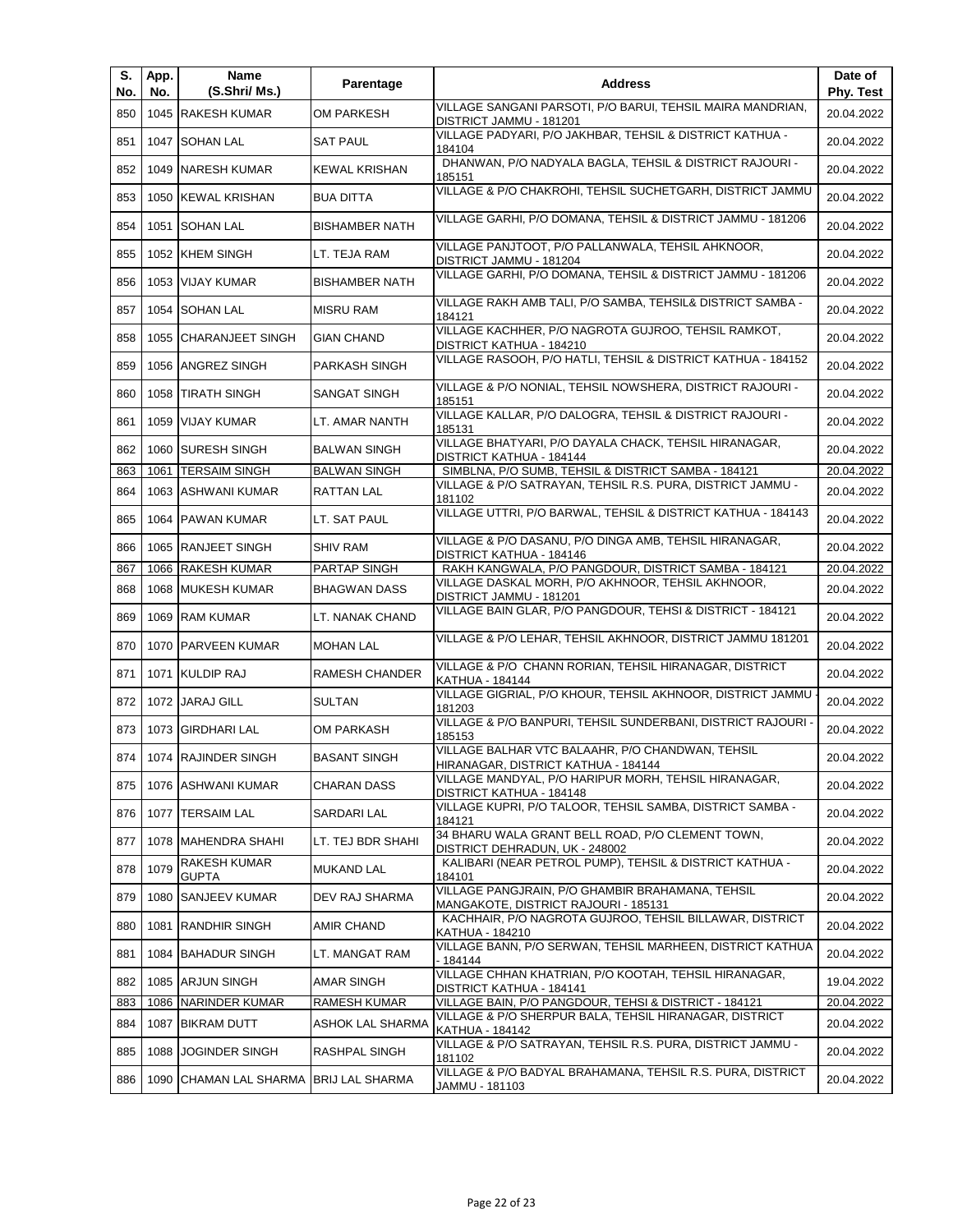| S.<br>No. | App.<br>No. | Name<br>(S.Shri/ Ms.)                  | Parentage             | <b>Address</b>                                                                           | Date of<br>Phy. Test |
|-----------|-------------|----------------------------------------|-----------------------|------------------------------------------------------------------------------------------|----------------------|
| 850       |             | 1045 RAKESH KUMAR                      | OM PARKESH            | VILLAGE SANGANI PARSOTI, P/O BARUI, TEHSIL MAIRA MANDRIAN,<br>DISTRICT JAMMU - 181201    | 20.04.2022           |
| 851       | 1047        | <b>SOHAN LAL</b>                       | <b>SAT PAUL</b>       | VILLAGE PADYARI, P/O JAKHBAR, TEHSIL & DISTRICT KATHUA -<br>184104                       | 20.04.2022           |
| 852       |             | 1049   NARESH KUMAR                    | <b>KEWAL KRISHAN</b>  | DHANWAN, P/O NADYALA BAGLA, TEHSIL & DISTRICT RAJOURI -<br>185151                        | 20.04.2022           |
| 853       |             | 1050 KEWAL KRISHAN                     | <b>BUA DITTA</b>      | VILLAGE & P/O CHAKROHI, TEHSIL SUCHETGARH, DISTRICT JAMMU                                | 20.04.2022           |
| 854       |             | 1051 SOHAN LAL                         | <b>BISHAMBER NATH</b> | VILLAGE GARHI, P/O DOMANA, TEHSIL & DISTRICT JAMMU - 181206                              | 20.04.2022           |
| 855       |             | 1052 KHEM SINGH                        | LT. TEJA RAM          | VILLAGE PANJTOOT, P/O PALLANWALA, TEHSIL AHKNOOR,<br>DISTRICT JAMMU - 181204             | 20.04.2022           |
| 856       |             | 1053 VIJAY KUMAR                       | <b>BISHAMBER NATH</b> | VILLAGE GARHI, P/O DOMANA, TEHSIL & DISTRICT JAMMU - 181206                              | 20.04.2022           |
| 857       |             | 1054 SOHAN LAL                         | <b>MISRU RAM</b>      | VILLAGE RAKH AMB TALI, P/O SAMBA, TEHSIL& DISTRICT SAMBA -<br>184121                     | 20.04.2022           |
| 858       | 1055        | <b>CHARANJEET SINGH</b>                | <b>GIAN CHAND</b>     | VILLAGE KACHHER, P/O NAGROTA GUJROO, TEHSIL RAMKOT,<br>DISTRICT KATHUA - 184210          | 20.04.2022           |
| 859       | 1056        | <b>ANGREZ SINGH</b>                    | PARKASH SINGH         | VILLAGE RASOOH, P/O HATLI, TEHSIL & DISTRICT KATHUA - 184152                             | 20.04.2022           |
| 860       |             | 1058 TIRATH SINGH                      | <b>SANGAT SINGH</b>   | VILLAGE & P/O NONIAL, TEHSIL NOWSHERA, DISTRICT RAJOURI -<br>185151                      | 20.04.2022           |
| 861       | 1059        | <b>VIJAY KUMAR</b>                     | LT. AMAR NANTH        | VILLAGE KALLAR, P/O DALOGRA, TEHSIL & DISTRICT RAJOURI -<br>185131                       | 20.04.2022           |
| 862       |             | 1060 SURESH SINGH                      | <b>BALWAN SINGH</b>   | VILLAGE BHATYARI, P/O DAYALA CHACK, TEHSIL HIRANAGAR,<br>DISTRICT KATHUA - 184144        | 20.04.2022           |
| 863       |             | 1061   TERSAIM SINGH                   | <b>BALWAN SINGH</b>   | SIMBLNA, P/O SUMB, TEHSIL & DISTRICT SAMBA - 184121                                      | 20.04.2022           |
| 864       |             | 1063 ASHWANI KUMAR                     | RATTAN LAL            | VILLAGE & P/O SATRAYAN, TEHSIL R.S. PURA, DISTRICT JAMMU -<br>181102                     | 20.04.2022           |
| 865       |             | 1064 PAWAN KUMAR                       | LT. SAT PAUL          | VILLAGE UTTRI, P/O BARWAL, TEHSIL & DISTRICT KATHUA - 184143                             | 20.04.2022           |
| 866       |             | 1065 RANJEET SINGH                     | <b>SHIV RAM</b>       | VILLAGE & P/O DASANU, P/O DINGA AMB, TEHSIL HIRANAGAR,<br>DISTRICT KATHUA - 184146       | 20.04.2022           |
| 867       |             | 1066 RAKESH KUMAR                      | PARTAP SINGH          | RAKH KANGWALA, P/O PANGDOUR, DISTRICT SAMBA - 184121                                     | 20.04.2022           |
| 868       | 1068        | <b>MUKESH KUMAR</b>                    | <b>BHAGWAN DASS</b>   | VILLAGE DASKAL MORH, P/O AKHNOOR, TEHSIL AKHNOOR,<br>DISTRICT JAMMU - 181201             | 20.04.2022           |
| 869       |             | 1069 RAM KUMAR                         | LT. NANAK CHAND       | VILLAGE BAIN GLAR, P/O PANGDOUR, TEHSI & DISTRICT - 184121                               | 20.04.2022           |
| 870       |             | 1070   PARVEEN KUMAR                   | <b>MOHAN LAL</b>      | VILLAGE & P/O LEHAR, TEHSIL AKHNOOR, DISTRICT JAMMU 181201                               | 20.04.2022           |
| 871       |             | 1071 KULDIP RAJ                        | RAMESH CHANDER        | VILLAGE & P/O CHANN RORIAN, TEHSIL HIRANAGAR, DISTRICT<br>KATHUA - 184144                | 20.04.2022           |
| 872       |             | 1072 JARAJ GILL                        | <b>SULTAN</b>         | VILLAGE GIGRIAL, P/O KHOUR, TEHSIL AKHNOOR, DISTRICT JAMMU<br>181203                     | 20.04.2022           |
| 873       |             | 1073 GIRDHARI LAL                      | OM PARKASH            | VILLAGE & P/O BANPURI, TEHSIL SUNDERBANI, DISTRICT RAJOURI ·<br>185153                   | 20.04.2022           |
| 874       |             | 1074 RAJINDER SINGH                    | <b>BASANT SINGH</b>   | VILLAGE BALHAR VTC BALAAHR, P/O CHANDWAN, TEHSIL<br>HIRANAGAR, DISTRICT KATHUA - 184144  | 20.04.2022           |
| 875       |             | 1076 ASHWANI KUMAR                     | CHARAN DASS           | VILLAGE MANDYAL, P/O HARIPUR MORH, TEHSIL HIRANAGAR,<br>DISTRICT KATHUA - 184148         | 20.04.2022           |
| 876       |             | 1077   TERSAIM LAL                     | SARDARI LAL           | VILLAGE KUPRI, P/O TALOOR, TEHSIL SAMBA, DISTRICT SAMBA -<br>184121                      | 20.04.2022           |
| 877       |             | 1078   MAHENDRA SHAHI                  | LT. TEJ BDR SHAHI     | 34 BHARU WALA GRANT BELL ROAD, P/O CLEMENT TOWN,<br>DISTRICT DEHRADUN, UK - 248002       | 20.04.2022           |
| 878       | 1079        | RAKESH KUMAR<br><b>GUPTA</b>           | MUKAND LAL            | KALIBARI (NEAR PETROL PUMP), TEHSIL & DISTRICT KATHUA -<br>184101                        | 20.04.2022           |
| 879       | 1080        | <b>SANJEEV KUMAR</b>                   | DEV RAJ SHARMA        | VILLAGE PANGJRAIN, P/O GHAMBIR BRAHAMANA, TEHSIL<br>MANGAKOTE, DISTRICT RAJOURI - 185131 | 20.04.2022           |
| 880       | 1081        | <b>RANDHIR SINGH</b>                   | AMIR CHAND            | KACHHAIR, P/O NAGROTA GUJROO, TEHSIL BILLAWAR, DISTRICT<br>KATHUA - 184210               | 20.04.2022           |
| 881       |             | 1084 BAHADUR SINGH                     | LT. MANGAT RAM        | VILLAGE BANN, P/O SERWAN, TEHSIL MARHEEN, DISTRICT KATHUA<br>- 184144                    | 20.04.2022           |
| 882       |             | 1085 ARJUN SINGH                       | AMAR SINGH            | VILLAGE CHHAN KHATRIAN, P/O KOOTAH, TEHSIL HIRANAGAR,<br>DISTRICT KATHUA - 184141        | 19.04.2022           |
| 883       |             | 1086 NARINDER KUMAR                    | RAMESH KUMAR          | VILLAGE BAIN, P/O PANGDOUR, TEHSI & DISTRICT - 184121                                    | 20.04.2022           |
| 884       |             | 1087 BIKRAM DUTT                       | ASHOK LAL SHARMA      | VILLAGE & P/O SHERPUR BALA, TEHSIL HIRANAGAR, DISTRICT<br>KATHUA - 184142                | 20.04.2022           |
| 885       | 1088        | <b>JOGINDER SINGH</b>                  | RASHPAL SINGH         | VILLAGE & P/O SATRAYAN, TEHSIL R.S. PURA, DISTRICT JAMMU -<br>181102                     | 20.04.2022           |
| 886       |             | 1090 CHAMAN LAL SHARMA BRIJ LAL SHARMA |                       | VILLAGE & P/O BADYAL BRAHAMANA, TEHSIL R.S. PURA, DISTRICT<br>JAMMU - 181103             | 20.04.2022           |